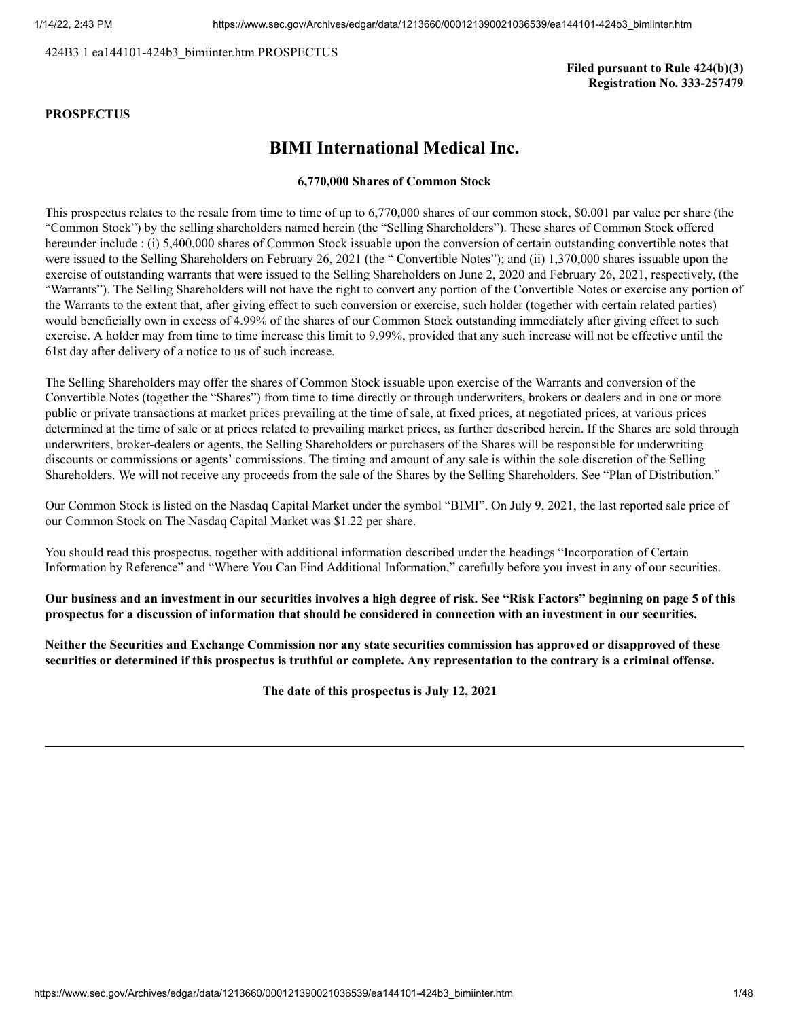#### 424B3 1 ea144101-424b3\_bimiinter.htm PROSPECTUS

#### **Filed pursuant to Rule 424(b)(3) Registration No. 333-257479**

## **PROSPECTUS**

## **BIMI International Medical Inc.**

#### **6,770,000 Shares of Common Stock**

This prospectus relates to the resale from time to time of up to 6,770,000 shares of our common stock, \$0.001 par value per share (the "Common Stock") by the selling shareholders named herein (the "Selling Shareholders"). These shares of Common Stock offered hereunder include : (i) 5,400,000 shares of Common Stock issuable upon the conversion of certain outstanding convertible notes that were issued to the Selling Shareholders on February 26, 2021 (the " Convertible Notes"); and (ii) 1,370,000 shares issuable upon the exercise of outstanding warrants that were issued to the Selling Shareholders on June 2, 2020 and February 26, 2021, respectively, (the "Warrants"). The Selling Shareholders will not have the right to convert any portion of the Convertible Notes or exercise any portion of the Warrants to the extent that, after giving effect to such conversion or exercise, such holder (together with certain related parties) would beneficially own in excess of 4.99% of the shares of our Common Stock outstanding immediately after giving effect to such exercise. A holder may from time to time increase this limit to 9.99%, provided that any such increase will not be effective until the 61st day after delivery of a notice to us of such increase.

The Selling Shareholders may offer the shares of Common Stock issuable upon exercise of the Warrants and conversion of the Convertible Notes (together the "Shares") from time to time directly or through underwriters, brokers or dealers and in one or more public or private transactions at market prices prevailing at the time of sale, at fixed prices, at negotiated prices, at various prices determined at the time of sale or at prices related to prevailing market prices, as further described herein. If the Shares are sold through underwriters, broker-dealers or agents, the Selling Shareholders or purchasers of the Shares will be responsible for underwriting discounts or commissions or agents' commissions. The timing and amount of any sale is within the sole discretion of the Selling Shareholders. We will not receive any proceeds from the sale of the Shares by the Selling Shareholders. See "Plan of Distribution."

Our Common Stock is listed on the Nasdaq Capital Market under the symbol "BIMI". On July 9, 2021, the last reported sale price of our Common Stock on The Nasdaq Capital Market was \$1.22 per share.

You should read this prospectus, together with additional information described under the headings "Incorporation of Certain Information by Reference" and "Where You Can Find Additional Information," carefully before you invest in any of our securities.

Our business and an investment in our securities involves a high degree of risk. See "Risk Factors" beginning on page 5 of this prospectus for a discussion of information that should be considered in connection with an investment in our securities.

Neither the Securities and Exchange Commission nor any state securities commission has approved or disapproved of these securities or determined if this prospectus is truthful or complete. Any representation to the contrary is a criminal offense.

**The date of this prospectus is July 12, 2021**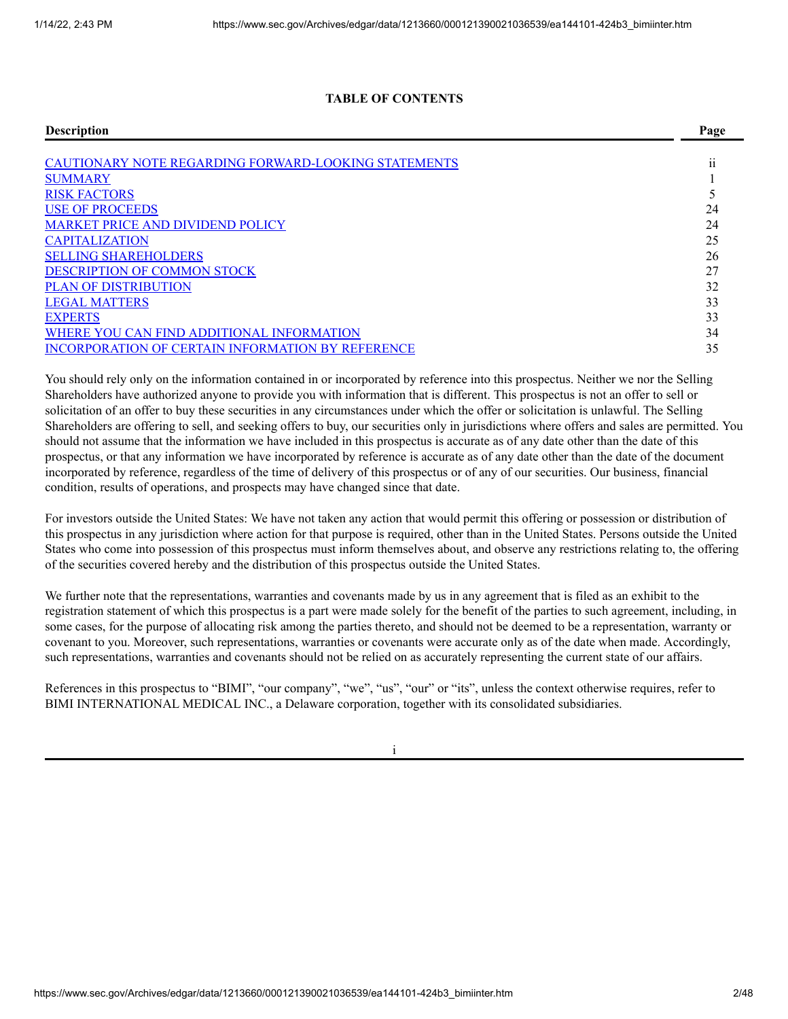## **TABLE OF CONTENTS**

| <b>Description</b>                                       | Page |  |
|----------------------------------------------------------|------|--|
|                                                          |      |  |
| CAUTIONARY NOTE REGARDING FORWARD-LOOKING STATEMENTS     | 11   |  |
| <b>SUMMARY</b>                                           |      |  |
| <b>RISK FACTORS</b>                                      |      |  |
| <b>USE OF PROCEEDS</b>                                   | 24   |  |
| <b>MARKET PRICE AND DIVIDEND POLICY</b>                  | 24   |  |
| <b>CAPITALIZATION</b>                                    | 25   |  |
| <b>SELLING SHAREHOLDERS</b>                              | 26   |  |
| DESCRIPTION OF COMMON STOCK                              | 27   |  |
| <b>PLAN OF DISTRIBUTION</b>                              | 32   |  |
| <b>LEGAL MATTERS</b>                                     | 33   |  |
| <b>EXPERTS</b>                                           | 33   |  |
| WHERE YOU CAN FIND ADDITIONAL INFORMATION                | 34   |  |
| <b>INCORPORATION OF CERTAIN INFORMATION BY REFERENCE</b> | 35   |  |

You should rely only on the information contained in or incorporated by reference into this prospectus. Neither we nor the Selling Shareholders have authorized anyone to provide you with information that is different. This prospectus is not an offer to sell or solicitation of an offer to buy these securities in any circumstances under which the offer or solicitation is unlawful. The Selling Shareholders are offering to sell, and seeking offers to buy, our securities only in jurisdictions where offers and sales are permitted. You should not assume that the information we have included in this prospectus is accurate as of any date other than the date of this prospectus, or that any information we have incorporated by reference is accurate as of any date other than the date of the document incorporated by reference, regardless of the time of delivery of this prospectus or of any of our securities. Our business, financial condition, results of operations, and prospects may have changed since that date.

For investors outside the United States: We have not taken any action that would permit this offering or possession or distribution of this prospectus in any jurisdiction where action for that purpose is required, other than in the United States. Persons outside the United States who come into possession of this prospectus must inform themselves about, and observe any restrictions relating to, the offering of the securities covered hereby and the distribution of this prospectus outside the United States.

We further note that the representations, warranties and covenants made by us in any agreement that is filed as an exhibit to the registration statement of which this prospectus is a part were made solely for the benefit of the parties to such agreement, including, in some cases, for the purpose of allocating risk among the parties thereto, and should not be deemed to be a representation, warranty or covenant to you. Moreover, such representations, warranties or covenants were accurate only as of the date when made. Accordingly, such representations, warranties and covenants should not be relied on as accurately representing the current state of our affairs.

References in this prospectus to "BIMI", "our company", "we", "us", "our" or "its", unless the context otherwise requires, refer to BIMI INTERNATIONAL MEDICAL INC., a Delaware corporation, together with its consolidated subsidiaries.

i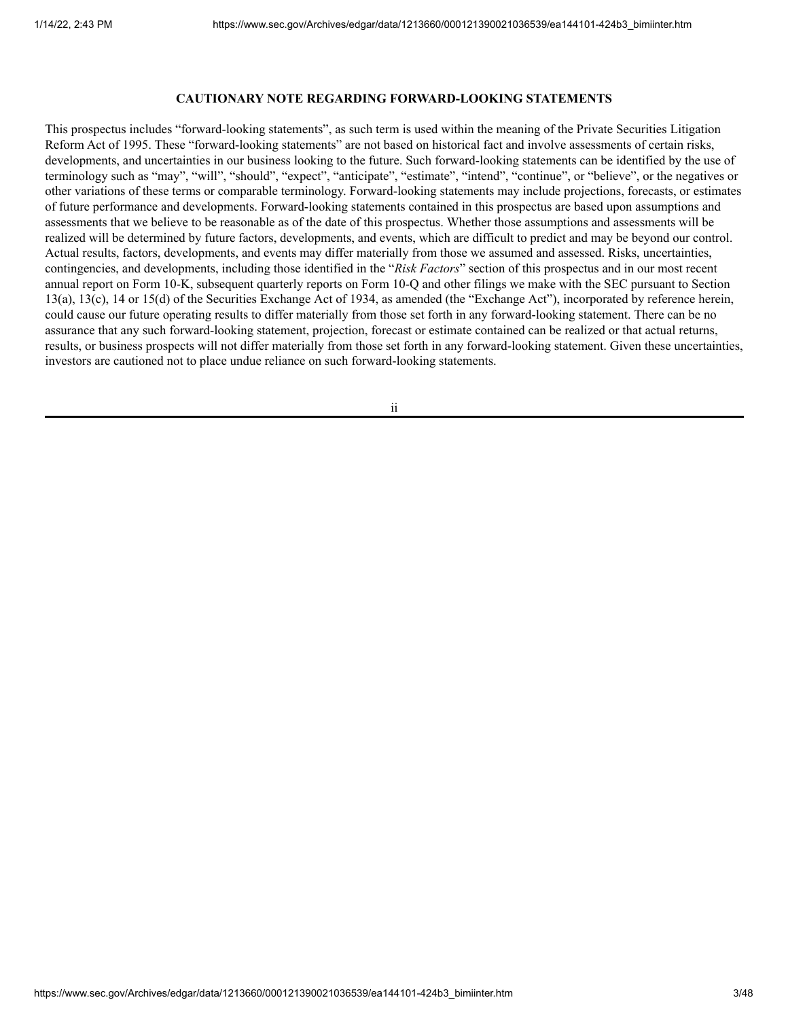## **CAUTIONARY NOTE REGARDING FORWARD-LOOKING STATEMENTS**

<span id="page-2-0"></span>This prospectus includes "forward-looking statements", as such term is used within the meaning of the Private Securities Litigation Reform Act of 1995. These "forward-looking statements" are not based on historical fact and involve assessments of certain risks, developments, and uncertainties in our business looking to the future. Such forward-looking statements can be identified by the use of terminology such as "may", "will", "should", "expect", "anticipate", "estimate", "intend", "continue", or "believe", or the negatives or other variations of these terms or comparable terminology. Forward-looking statements may include projections, forecasts, or estimates of future performance and developments. Forward-looking statements contained in this prospectus are based upon assumptions and assessments that we believe to be reasonable as of the date of this prospectus. Whether those assumptions and assessments will be realized will be determined by future factors, developments, and events, which are difficult to predict and may be beyond our control. Actual results, factors, developments, and events may differ materially from those we assumed and assessed. Risks, uncertainties, contingencies, and developments, including those identified in the "*Risk Factors*" section of this prospectus and in our most recent annual report on Form 10-K, subsequent quarterly reports on Form 10-Q and other filings we make with the SEC pursuant to Section 13(a), 13(c), 14 or 15(d) of the Securities Exchange Act of 1934, as amended (the "Exchange Act"), incorporated by reference herein, could cause our future operating results to differ materially from those set forth in any forward-looking statement. There can be no assurance that any such forward-looking statement, projection, forecast or estimate contained can be realized or that actual returns, results, or business prospects will not differ materially from those set forth in any forward-looking statement. Given these uncertainties, investors are cautioned not to place undue reliance on such forward-looking statements.

ii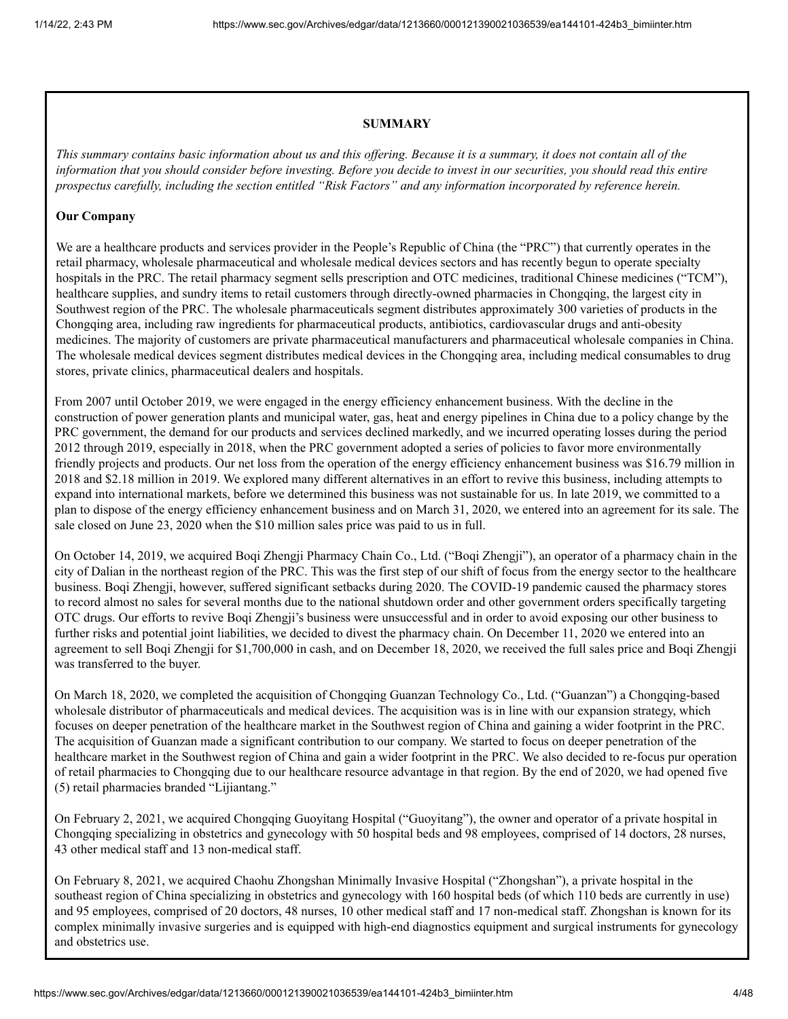## **SUMMARY**

<span id="page-3-0"></span>This summary contains basic information about us and this offering. Because it is a summary, it does not contain all of the information that you should consider before investing. Before you decide to invest in our securities, you should read this entire prospectus carefully, including the section entitled "Risk Factors" and any information incorporated by reference herein.

### **Our Company**

We are a healthcare products and services provider in the People's Republic of China (the "PRC") that currently operates in the retail pharmacy, wholesale pharmaceutical and wholesale medical devices sectors and has recently begun to operate specialty hospitals in the PRC. The retail pharmacy segment sells prescription and OTC medicines, traditional Chinese medicines ("TCM"), healthcare supplies, and sundry items to retail customers through directly-owned pharmacies in Chongqing, the largest city in Southwest region of the PRC. The wholesale pharmaceuticals segment distributes approximately 300 varieties of products in the Chongqing area, including raw ingredients for pharmaceutical products, antibiotics, cardiovascular drugs and anti-obesity medicines. The majority of customers are private pharmaceutical manufacturers and pharmaceutical wholesale companies in China. The wholesale medical devices segment distributes medical devices in the Chongqing area, including medical consumables to drug stores, private clinics, pharmaceutical dealers and hospitals.

From 2007 until October 2019, we were engaged in the energy efficiency enhancement business. With the decline in the construction of power generation plants and municipal water, gas, heat and energy pipelines in China due to a policy change by the PRC government, the demand for our products and services declined markedly, and we incurred operating losses during the period 2012 through 2019, especially in 2018, when the PRC government adopted a series of policies to favor more environmentally friendly projects and products. Our net loss from the operation of the energy efficiency enhancement business was \$16.79 million in 2018 and \$2.18 million in 2019. We explored many different alternatives in an effort to revive this business, including attempts to expand into international markets, before we determined this business was not sustainable for us. In late 2019, we committed to a plan to dispose of the energy efficiency enhancement business and on March 31, 2020, we entered into an agreement for its sale. The sale closed on June 23, 2020 when the \$10 million sales price was paid to us in full.

On October 14, 2019, we acquired Boqi Zhengji Pharmacy Chain Co., Ltd. ("Boqi Zhengji"), an operator of a pharmacy chain in the city of Dalian in the northeast region of the PRC. This was the first step of our shift of focus from the energy sector to the healthcare business. Boqi Zhengji, however, suffered significant setbacks during 2020. The COVID-19 pandemic caused the pharmacy stores to record almost no sales for several months due to the national shutdown order and other government orders specifically targeting OTC drugs. Our efforts to revive Boqi Zhengji's business were unsuccessful and in order to avoid exposing our other business to further risks and potential joint liabilities, we decided to divest the pharmacy chain. On December 11, 2020 we entered into an agreement to sell Boqi Zhengji for \$1,700,000 in cash, and on December 18, 2020, we received the full sales price and Boqi Zhengji was transferred to the buyer.

On March 18, 2020, we completed the acquisition of Chongqing Guanzan Technology Co., Ltd. ("Guanzan") a Chongqing-based wholesale distributor of pharmaceuticals and medical devices. The acquisition was is in line with our expansion strategy, which focuses on deeper penetration of the healthcare market in the Southwest region of China and gaining a wider footprint in the PRC. The acquisition of Guanzan made a significant contribution to our company. We started to focus on deeper penetration of the healthcare market in the Southwest region of China and gain a wider footprint in the PRC. We also decided to re-focus pur operation of retail pharmacies to Chongqing due to our healthcare resource advantage in that region. By the end of 2020, we had opened five (5) retail pharmacies branded "Lijiantang."

On February 2, 2021, we acquired Chongqing Guoyitang Hospital ("Guoyitang"), the owner and operator of a private hospital in Chongqing specializing in obstetrics and gynecology with 50 hospital beds and 98 employees, comprised of 14 doctors, 28 nurses, 43 other medical staff and 13 non-medical staff.

On February 8, 2021, we acquired Chaohu Zhongshan Minimally Invasive Hospital ("Zhongshan"), a private hospital in the southeast region of China specializing in obstetrics and gynecology with 160 hospital beds (of which 110 beds are currently in use) and 95 employees, comprised of 20 doctors, 48 nurses, 10 other medical staff and 17 non-medical staff. Zhongshan is known for its complex minimally invasive surgeries and is equipped with high-end diagnostics equipment and surgical instruments for gynecology and obstetrics use.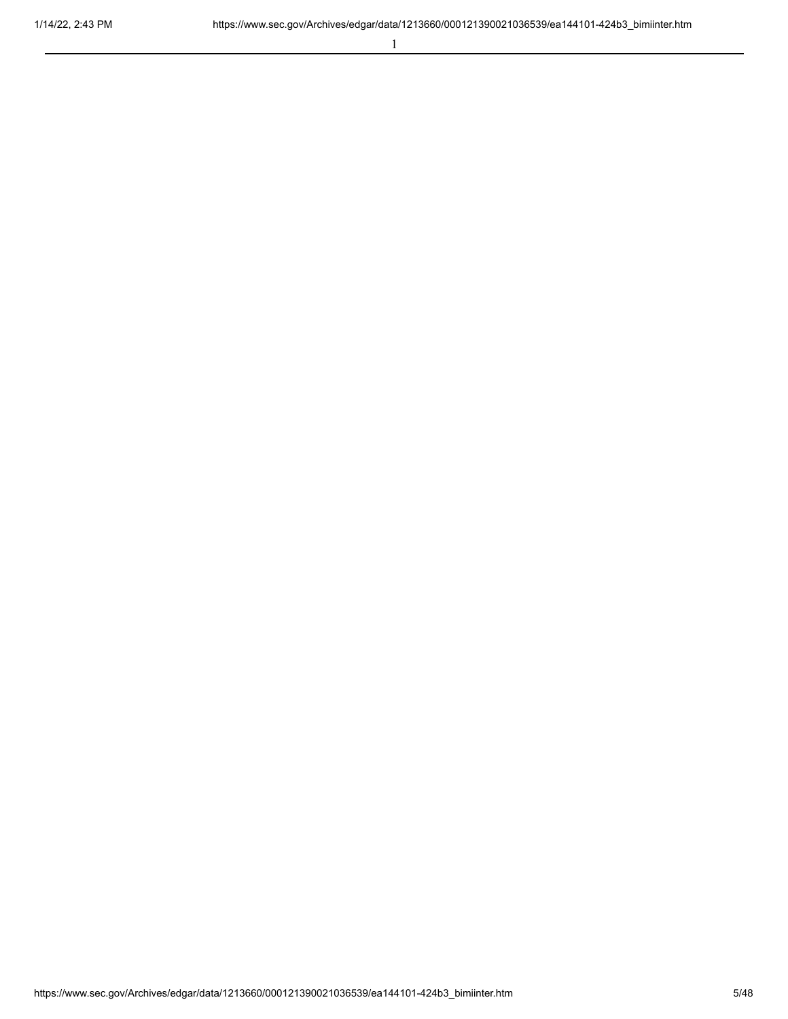1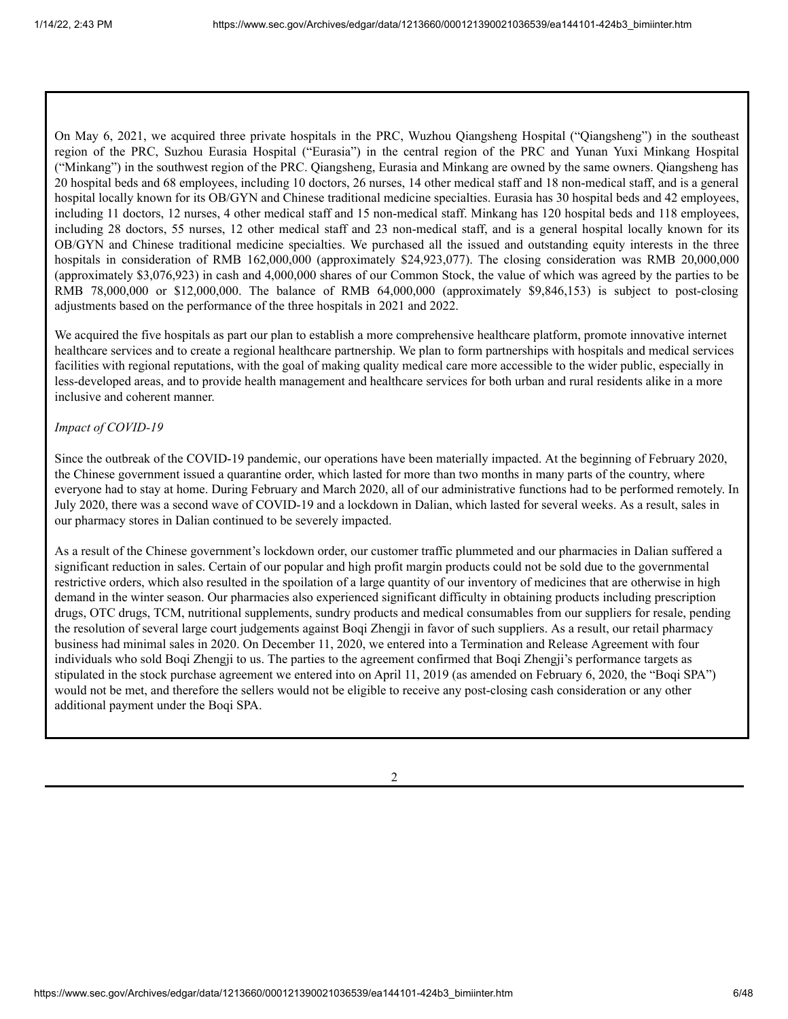On May 6, 2021, we acquired three private hospitals in the PRC, Wuzhou Qiangsheng Hospital ("Qiangsheng") in the southeast region of the PRC, Suzhou Eurasia Hospital ("Eurasia") in the central region of the PRC and Yunan Yuxi Minkang Hospital ("Minkang") in the southwest region of the PRC. Qiangsheng, Eurasia and Minkang are owned by the same owners. Qiangsheng has 20 hospital beds and 68 employees, including 10 doctors, 26 nurses, 14 other medical staff and 18 non-medical staff, and is a general hospital locally known for its OB/GYN and Chinese traditional medicine specialties. Eurasia has 30 hospital beds and 42 employees, including 11 doctors, 12 nurses, 4 other medical staff and 15 non-medical staff. Minkang has 120 hospital beds and 118 employees, including 28 doctors, 55 nurses, 12 other medical staff and 23 non-medical staff, and is a general hospital locally known for its OB/GYN and Chinese traditional medicine specialties. We purchased all the issued and outstanding equity interests in the three hospitals in consideration of RMB 162,000,000 (approximately \$24,923,077). The closing consideration was RMB 20,000,000 (approximately \$3,076,923) in cash and 4,000,000 shares of our Common Stock, the value of which was agreed by the parties to be RMB 78,000,000 or \$12,000,000. The balance of RMB 64,000,000 (approximately \$9,846,153) is subject to post-closing adjustments based on the performance of the three hospitals in 2021 and 2022.

We acquired the five hospitals as part our plan to establish a more comprehensive healthcare platform, promote innovative internet healthcare services and to create a regional healthcare partnership. We plan to form partnerships with hospitals and medical services facilities with regional reputations, with the goal of making quality medical care more accessible to the wider public, especially in less-developed areas, and to provide health management and healthcare services for both urban and rural residents alike in a more inclusive and coherent manner.

## *Impact of COVID-19*

Since the outbreak of the COVID-19 pandemic, our operations have been materially impacted. At the beginning of February 2020, the Chinese government issued a quarantine order, which lasted for more than two months in many parts of the country, where everyone had to stay at home. During February and March 2020, all of our administrative functions had to be performed remotely. In July 2020, there was a second wave of COVID-19 and a lockdown in Dalian, which lasted for several weeks. As a result, sales in our pharmacy stores in Dalian continued to be severely impacted.

As a result of the Chinese government's lockdown order, our customer traffic plummeted and our pharmacies in Dalian suffered a significant reduction in sales. Certain of our popular and high profit margin products could not be sold due to the governmental restrictive orders, which also resulted in the spoilation of a large quantity of our inventory of medicines that are otherwise in high demand in the winter season. Our pharmacies also experienced significant difficulty in obtaining products including prescription drugs, OTC drugs, TCM, nutritional supplements, sundry products and medical consumables from our suppliers for resale, pending the resolution of several large court judgements against Boqi Zhengji in favor of such suppliers. As a result, our retail pharmacy business had minimal sales in 2020. On December 11, 2020, we entered into a Termination and Release Agreement with four individuals who sold Boqi Zhengji to us. The parties to the agreement confirmed that Boqi Zhengji's performance targets as stipulated in the stock purchase agreement we entered into on April 11, 2019 (as amended on February 6, 2020, the "Boqi SPA") would not be met, and therefore the sellers would not be eligible to receive any post-closing cash consideration or any other additional payment under the Boqi SPA.

2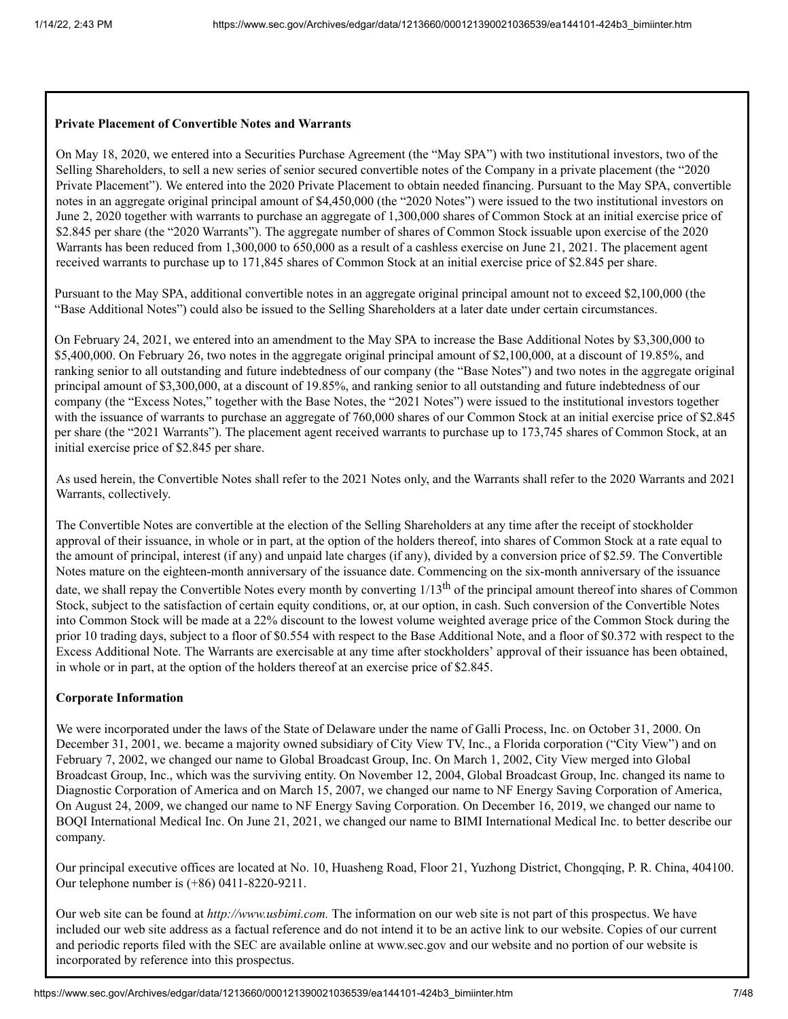## **Private Placement of Convertible Notes and Warrants**

On May 18, 2020, we entered into a Securities Purchase Agreement (the "May SPA") with two institutional investors, two of the Selling Shareholders, to sell a new series of senior secured convertible notes of the Company in a private placement (the "2020 Private Placement"). We entered into the 2020 Private Placement to obtain needed financing. Pursuant to the May SPA, convertible notes in an aggregate original principal amount of \$4,450,000 (the "2020 Notes") were issued to the two institutional investors on June 2, 2020 together with warrants to purchase an aggregate of 1,300,000 shares of Common Stock at an initial exercise price of \$2.845 per share (the "2020 Warrants"). The aggregate number of shares of Common Stock issuable upon exercise of the 2020 Warrants has been reduced from 1,300,000 to 650,000 as a result of a cashless exercise on June 21, 2021. The placement agent received warrants to purchase up to 171,845 shares of Common Stock at an initial exercise price of \$2.845 per share.

Pursuant to the May SPA, additional convertible notes in an aggregate original principal amount not to exceed \$2,100,000 (the "Base Additional Notes") could also be issued to the Selling Shareholders at a later date under certain circumstances.

On February 24, 2021, we entered into an amendment to the May SPA to increase the Base Additional Notes by \$3,300,000 to \$5,400,000. On February 26, two notes in the aggregate original principal amount of \$2,100,000, at a discount of 19.85%, and ranking senior to all outstanding and future indebtedness of our company (the "Base Notes") and two notes in the aggregate original principal amount of \$3,300,000, at a discount of 19.85%, and ranking senior to all outstanding and future indebtedness of our company (the "Excess Notes," together with the Base Notes, the "2021 Notes") were issued to the institutional investors together with the issuance of warrants to purchase an aggregate of 760,000 shares of our Common Stock at an initial exercise price of \$2.845 per share (the "2021 Warrants"). The placement agent received warrants to purchase up to 173,745 shares of Common Stock, at an initial exercise price of \$2.845 per share.

As used herein, the Convertible Notes shall refer to the 2021 Notes only, and the Warrants shall refer to the 2020 Warrants and 2021 Warrants, collectively.

The Convertible Notes are convertible at the election of the Selling Shareholders at any time after the receipt of stockholder approval of their issuance, in whole or in part, at the option of the holders thereof, into shares of Common Stock at a rate equal to the amount of principal, interest (if any) and unpaid late charges (if any), divided by a conversion price of \$2.59. The Convertible Notes mature on the eighteen-month anniversary of the issuance date. Commencing on the six-month anniversary of the issuance date, we shall repay the Convertible Notes every month by converting 1/13<sup>th</sup> of the principal amount thereof into shares of Common Stock, subject to the satisfaction of certain equity conditions, or, at our option, in cash. Such conversion of the Convertible Notes into Common Stock will be made at a 22% discount to the lowest volume weighted average price of the Common Stock during the prior 10 trading days, subject to a floor of \$0.554 with respect to the Base Additional Note, and a floor of \$0.372 with respect to the Excess Additional Note. The Warrants are exercisable at any time after stockholders' approval of their issuance has been obtained, in whole or in part, at the option of the holders thereof at an exercise price of \$2.845.

## **Corporate Information**

We were incorporated under the laws of the State of Delaware under the name of Galli Process, Inc. on October 31, 2000. On December 31, 2001, we. became a majority owned subsidiary of City View TV, Inc., a Florida corporation ("City View") and on February 7, 2002, we changed our name to Global Broadcast Group, Inc. On March 1, 2002, City View merged into Global Broadcast Group, Inc., which was the surviving entity. On November 12, 2004, Global Broadcast Group, Inc. changed its name to Diagnostic Corporation of America and on March 15, 2007, we changed our name to NF Energy Saving Corporation of America, On August 24, 2009, we changed our name to NF Energy Saving Corporation. On December 16, 2019, we changed our name to BOQI International Medical Inc. On June 21, 2021, we changed our name to BIMI International Medical Inc. to better describe our company.

Our principal executive offices are located at No. 10, Huasheng Road, Floor 21, Yuzhong District, Chongqing, P. R. China, 404100. Our telephone number is (+86) 0411-8220-9211.

Our web site can be found at *http://www.usbimi.com.* The information on our web site is not part of this prospectus. We have included our web site address as a factual reference and do not intend it to be an active link to our website. Copies of our current and periodic reports filed with the SEC are available online at www.sec.gov and our website and no portion of our website is incorporated by reference into this prospectus.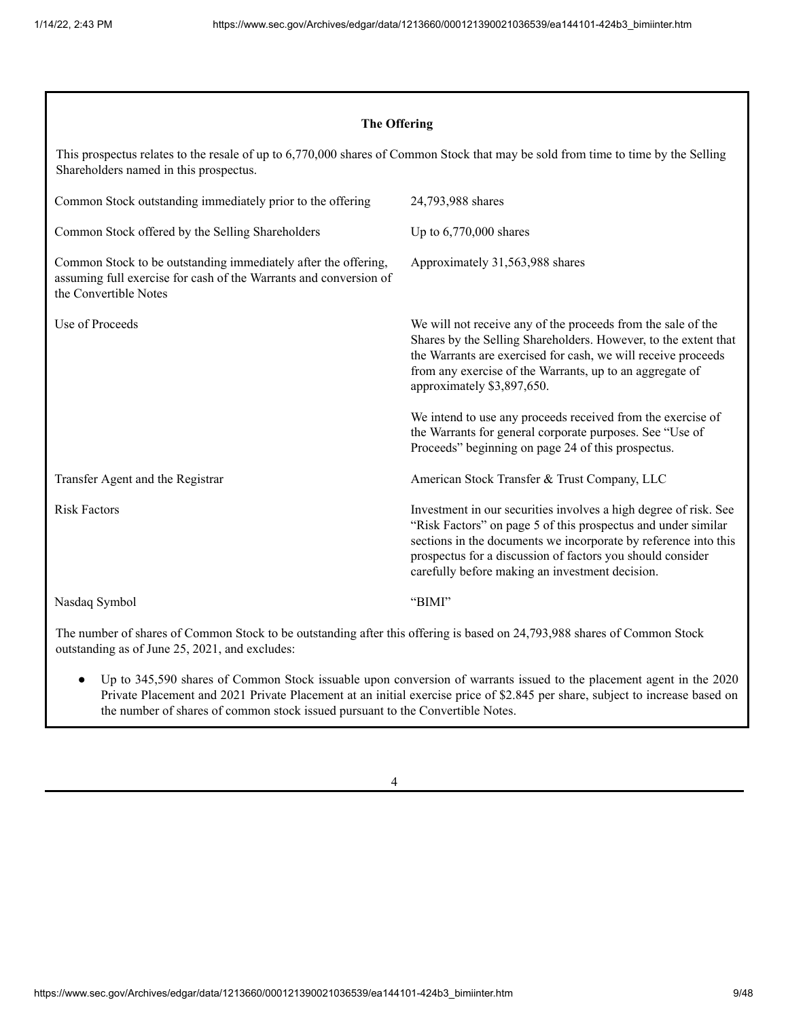| <b>The Offering</b>                                                                                                                                                         |                                                                                                                                                                                                                                                                                                                       |  |  |  |
|-----------------------------------------------------------------------------------------------------------------------------------------------------------------------------|-----------------------------------------------------------------------------------------------------------------------------------------------------------------------------------------------------------------------------------------------------------------------------------------------------------------------|--|--|--|
| This prospectus relates to the resale of up to 6,770,000 shares of Common Stock that may be sold from time to time by the Selling<br>Shareholders named in this prospectus. |                                                                                                                                                                                                                                                                                                                       |  |  |  |
| Common Stock outstanding immediately prior to the offering                                                                                                                  | 24,793,988 shares                                                                                                                                                                                                                                                                                                     |  |  |  |
| Common Stock offered by the Selling Shareholders                                                                                                                            | Up to $6,770,000$ shares                                                                                                                                                                                                                                                                                              |  |  |  |
| Common Stock to be outstanding immediately after the offering,<br>assuming full exercise for cash of the Warrants and conversion of<br>the Convertible Notes                | Approximately 31,563,988 shares                                                                                                                                                                                                                                                                                       |  |  |  |
| Use of Proceeds                                                                                                                                                             | We will not receive any of the proceeds from the sale of the<br>Shares by the Selling Shareholders. However, to the extent that<br>the Warrants are exercised for cash, we will receive proceeds<br>from any exercise of the Warrants, up to an aggregate of<br>approximately \$3,897,650.                            |  |  |  |
|                                                                                                                                                                             | We intend to use any proceeds received from the exercise of<br>the Warrants for general corporate purposes. See "Use of<br>Proceeds" beginning on page 24 of this prospectus.                                                                                                                                         |  |  |  |
| Transfer Agent and the Registrar                                                                                                                                            | American Stock Transfer & Trust Company, LLC                                                                                                                                                                                                                                                                          |  |  |  |
| <b>Risk Factors</b>                                                                                                                                                         | Investment in our securities involves a high degree of risk. See<br>"Risk Factors" on page 5 of this prospectus and under similar<br>sections in the documents we incorporate by reference into this<br>prospectus for a discussion of factors you should consider<br>carefully before making an investment decision. |  |  |  |
| Nasdaq Symbol                                                                                                                                                               | "BIMI"                                                                                                                                                                                                                                                                                                                |  |  |  |
| The number of shares of Common Stock to be outstanding after this offering is based on 24,793,988 shares of Common Stock<br>outstanding as of June 25, 2021, and excludes:  |                                                                                                                                                                                                                                                                                                                       |  |  |  |

● Up to 345,590 shares of Common Stock issuable upon conversion of warrants issued to the placement agent in the 2020 Private Placement and 2021 Private Placement at an initial exercise price of \$2.845 per share, subject to increase based on the number of shares of common stock issued pursuant to the Convertible Notes.

#### 4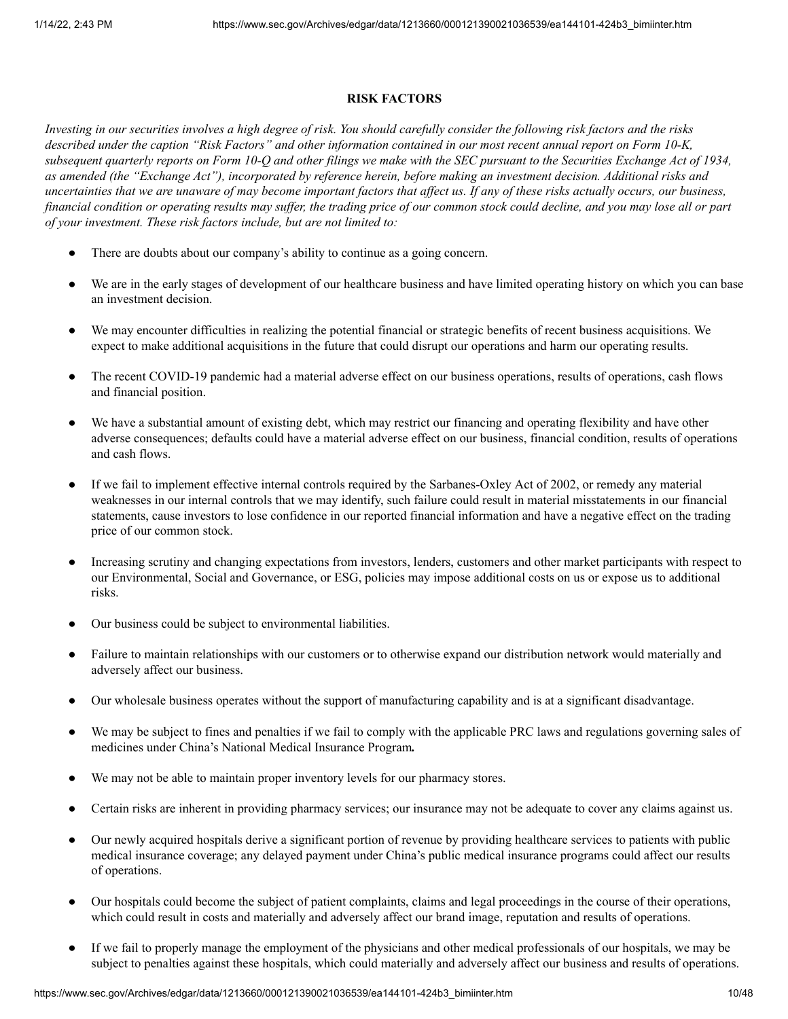## **RISK FACTORS**

<span id="page-9-0"></span>Investing in our securities involves a high degree of risk. You should carefully consider the following risk factors and the risks described under the caption "Risk Factors" and other information contained in our most recent annual report on Form 10-K, subsequent quarterly reports on Form 10-Q and other filings we make with the SEC pursuant to the Securities Exchange Act of 1934, as amended (the "Exchange Act"), incorporated by reference herein, before making an investment decision. Additional risks and uncertainties that we are unaware of may become important factors that affect us. If any of these risks actually occurs, our business, financial condition or operating results may suffer, the trading price of our common stock could decline, and you may lose all or part *of your investment. These risk factors include, but are not limited to:*

- There are doubts about our company's ability to continue as a going concern.
- We are in the early stages of development of our healthcare business and have limited operating history on which you can base an investment decision.
- We may encounter difficulties in realizing the potential financial or strategic benefits of recent business acquisitions. We expect to make additional acquisitions in the future that could disrupt our operations and harm our operating results.
- The recent COVID-19 pandemic had a material adverse effect on our business operations, results of operations, cash flows and financial position.
- We have a substantial amount of existing debt, which may restrict our financing and operating flexibility and have other adverse consequences; defaults could have a material adverse effect on our business, financial condition, results of operations and cash flows.
- If we fail to implement effective internal controls required by the Sarbanes-Oxley Act of 2002, or remedy any material weaknesses in our internal controls that we may identify, such failure could result in material misstatements in our financial statements, cause investors to lose confidence in our reported financial information and have a negative effect on the trading price of our common stock.
- Increasing scrutiny and changing expectations from investors, lenders, customers and other market participants with respect to our Environmental, Social and Governance, or ESG, policies may impose additional costs on us or expose us to additional risks.
- Our business could be subject to environmental liabilities.
- Failure to maintain relationships with our customers or to otherwise expand our distribution network would materially and adversely affect our business.
- Our wholesale business operates without the support of manufacturing capability and is at a significant disadvantage.
- We may be subject to fines and penalties if we fail to comply with the applicable PRC laws and regulations governing sales of medicines under China's National Medical Insurance Program*.*
- We may not be able to maintain proper inventory levels for our pharmacy stores.
- Certain risks are inherent in providing pharmacy services; our insurance may not be adequate to cover any claims against us.
- Our newly acquired hospitals derive a significant portion of revenue by providing healthcare services to patients with public medical insurance coverage; any delayed payment under China's public medical insurance programs could affect our results of operations.
- Our hospitals could become the subject of patient complaints, claims and legal proceedings in the course of their operations, which could result in costs and materially and adversely affect our brand image, reputation and results of operations.
- If we fail to properly manage the employment of the physicians and other medical professionals of our hospitals, we may be subject to penalties against these hospitals, which could materially and adversely affect our business and results of operations.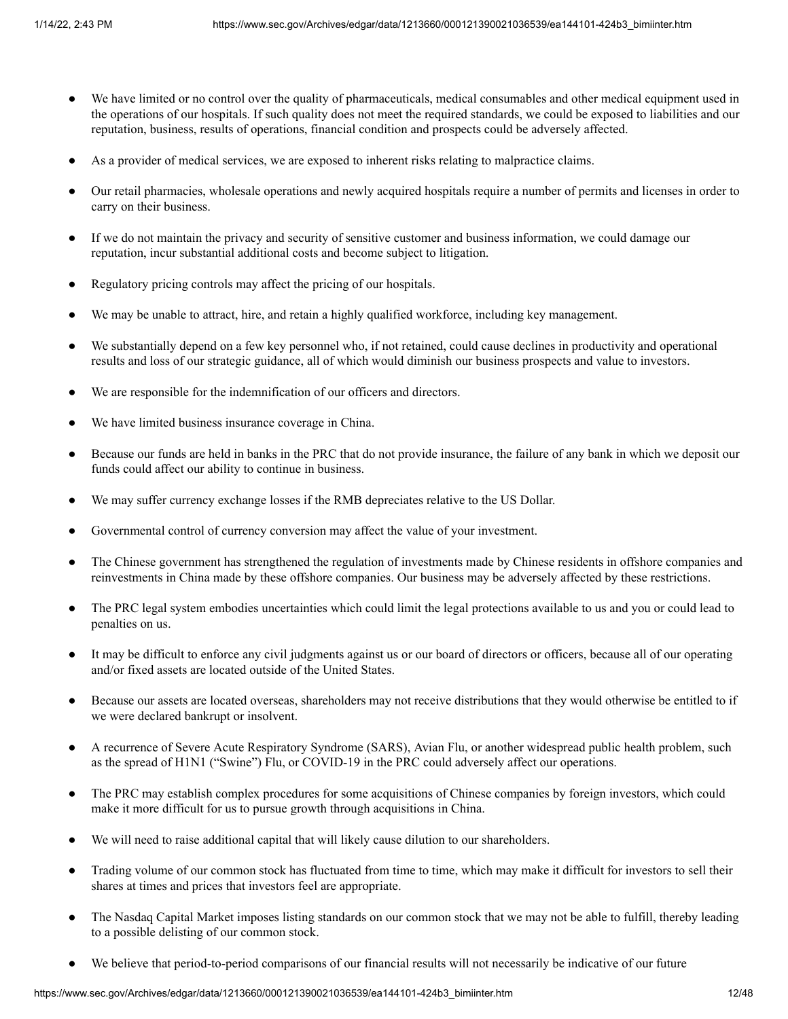- We have limited or no control over the quality of pharmaceuticals, medical consumables and other medical equipment used in the operations of our hospitals. If such quality does not meet the required standards, we could be exposed to liabilities and our reputation, business, results of operations, financial condition and prospects could be adversely affected.
- As a provider of medical services, we are exposed to inherent risks relating to malpractice claims.
- Our retail pharmacies, wholesale operations and newly acquired hospitals require a number of permits and licenses in order to carry on their business.
- If we do not maintain the privacy and security of sensitive customer and business information, we could damage our reputation, incur substantial additional costs and become subject to litigation.
- Regulatory pricing controls may affect the pricing of our hospitals.
- We may be unable to attract, hire, and retain a highly qualified workforce, including key management.
- We substantially depend on a few key personnel who, if not retained, could cause declines in productivity and operational results and loss of our strategic guidance, all of which would diminish our business prospects and value to investors.
- We are responsible for the indemnification of our officers and directors.
- We have limited business insurance coverage in China.
- Because our funds are held in banks in the PRC that do not provide insurance, the failure of any bank in which we deposit our funds could affect our ability to continue in business.
- We may suffer currency exchange losses if the RMB depreciates relative to the US Dollar.
- Governmental control of currency conversion may affect the value of your investment.
- The Chinese government has strengthened the regulation of investments made by Chinese residents in offshore companies and reinvestments in China made by these offshore companies. Our business may be adversely affected by these restrictions.
- The PRC legal system embodies uncertainties which could limit the legal protections available to us and you or could lead to penalties on us.
- It may be difficult to enforce any civil judgments against us or our board of directors or officers, because all of our operating and/or fixed assets are located outside of the United States.
- Because our assets are located overseas, shareholders may not receive distributions that they would otherwise be entitled to if we were declared bankrupt or insolvent.
- A recurrence of Severe Acute Respiratory Syndrome (SARS), Avian Flu, or another widespread public health problem, such as the spread of H1N1 ("Swine") Flu, or COVID-19 in the PRC could adversely affect our operations.
- The PRC may establish complex procedures for some acquisitions of Chinese companies by foreign investors, which could make it more difficult for us to pursue growth through acquisitions in China.
- We will need to raise additional capital that will likely cause dilution to our shareholders.
- Trading volume of our common stock has fluctuated from time to time, which may make it difficult for investors to sell their shares at times and prices that investors feel are appropriate.
- The Nasdaq Capital Market imposes listing standards on our common stock that we may not be able to fulfill, thereby leading to a possible delisting of our common stock.
- We believe that period-to-period comparisons of our financial results will not necessarily be indicative of our future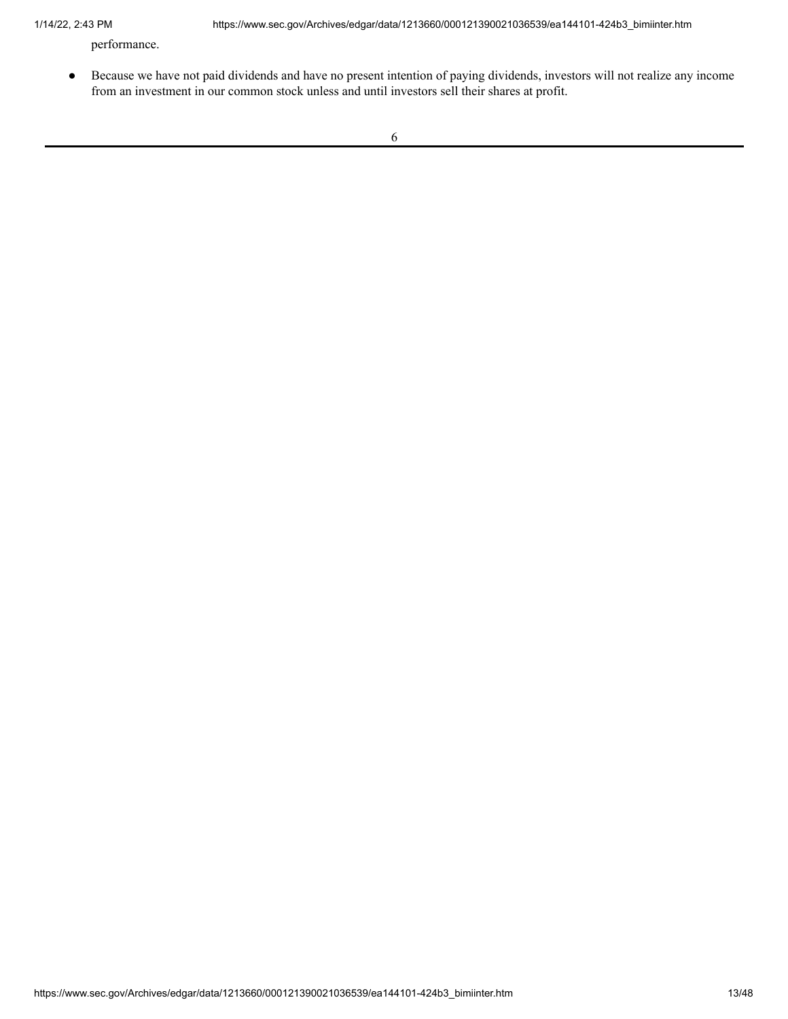performance.

● Because we have not paid dividends and have no present intention of paying dividends, investors will not realize any income from an investment in our common stock unless and until investors sell their shares at profit.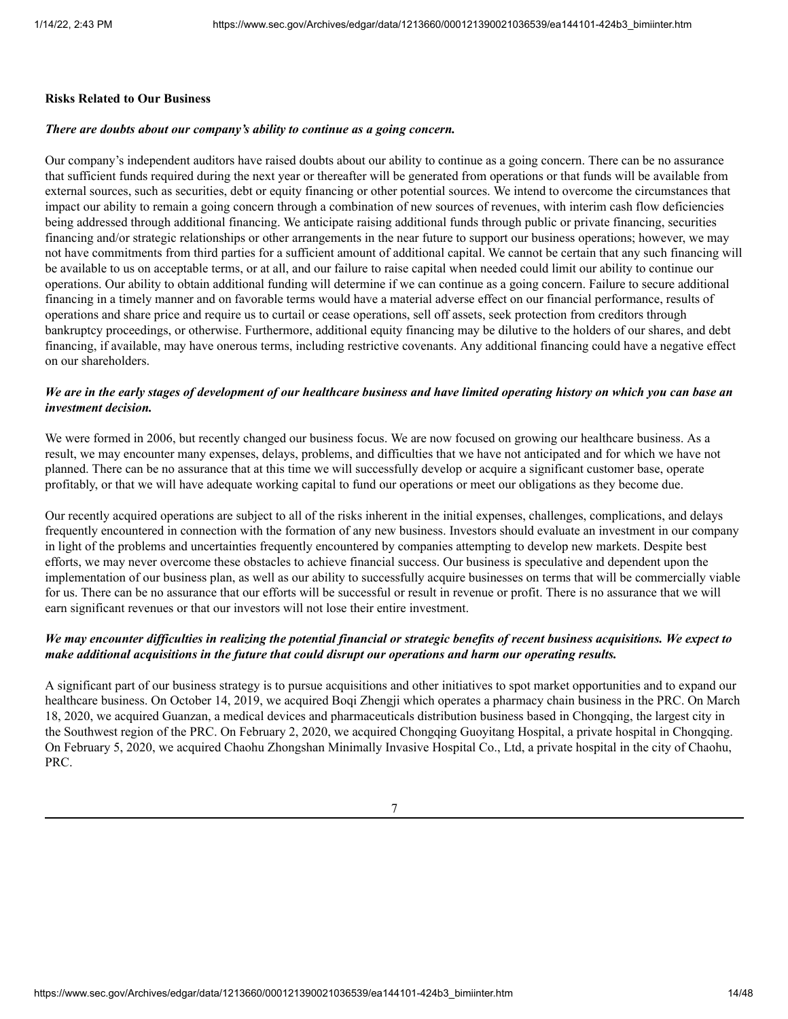### **Risks Related to Our Business**

#### *There are doubts about our company's ability to continue as a going concern.*

Our company's independent auditors have raised doubts about our ability to continue as a going concern. There can be no assurance that sufficient funds required during the next year or thereafter will be generated from operations or that funds will be available from external sources, such as securities, debt or equity financing or other potential sources. We intend to overcome the circumstances that impact our ability to remain a going concern through a combination of new sources of revenues, with interim cash flow deficiencies being addressed through additional financing. We anticipate raising additional funds through public or private financing, securities financing and/or strategic relationships or other arrangements in the near future to support our business operations; however, we may not have commitments from third parties for a sufficient amount of additional capital. We cannot be certain that any such financing will be available to us on acceptable terms, or at all, and our failure to raise capital when needed could limit our ability to continue our operations. Our ability to obtain additional funding will determine if we can continue as a going concern. Failure to secure additional financing in a timely manner and on favorable terms would have a material adverse effect on our financial performance, results of operations and share price and require us to curtail or cease operations, sell off assets, seek protection from creditors through bankruptcy proceedings, or otherwise. Furthermore, additional equity financing may be dilutive to the holders of our shares, and debt financing, if available, may have onerous terms, including restrictive covenants. Any additional financing could have a negative effect on our shareholders.

### We are in the early stages of development of our healthcare business and have limited operating history on which you can base an *investment decision.*

We were formed in 2006, but recently changed our business focus. We are now focused on growing our healthcare business. As a result, we may encounter many expenses, delays, problems, and difficulties that we have not anticipated and for which we have not planned. There can be no assurance that at this time we will successfully develop or acquire a significant customer base, operate profitably, or that we will have adequate working capital to fund our operations or meet our obligations as they become due.

Our recently acquired operations are subject to all of the risks inherent in the initial expenses, challenges, complications, and delays frequently encountered in connection with the formation of any new business. Investors should evaluate an investment in our company in light of the problems and uncertainties frequently encountered by companies attempting to develop new markets. Despite best efforts, we may never overcome these obstacles to achieve financial success. Our business is speculative and dependent upon the implementation of our business plan, as well as our ability to successfully acquire businesses on terms that will be commercially viable for us. There can be no assurance that our efforts will be successful or result in revenue or profit. There is no assurance that we will earn significant revenues or that our investors will not lose their entire investment.

## We may encounter difficulties in realizing the potential financial or strategic benefits of recent business acquisitions. We expect to *make additional acquisitions in the future that could disrupt our operations and harm our operating results.*

A significant part of our business strategy is to pursue acquisitions and other initiatives to spot market opportunities and to expand our healthcare business. On October 14, 2019, we acquired Boqi Zhengji which operates a pharmacy chain business in the PRC. On March 18, 2020, we acquired Guanzan, a medical devices and pharmaceuticals distribution business based in Chongqing, the largest city in the Southwest region of the PRC. On February 2, 2020, we acquired Chongqing Guoyitang Hospital, a private hospital in Chongqing. On February 5, 2020, we acquired Chaohu Zhongshan Minimally Invasive Hospital Co., Ltd, a private hospital in the city of Chaohu, PRC.

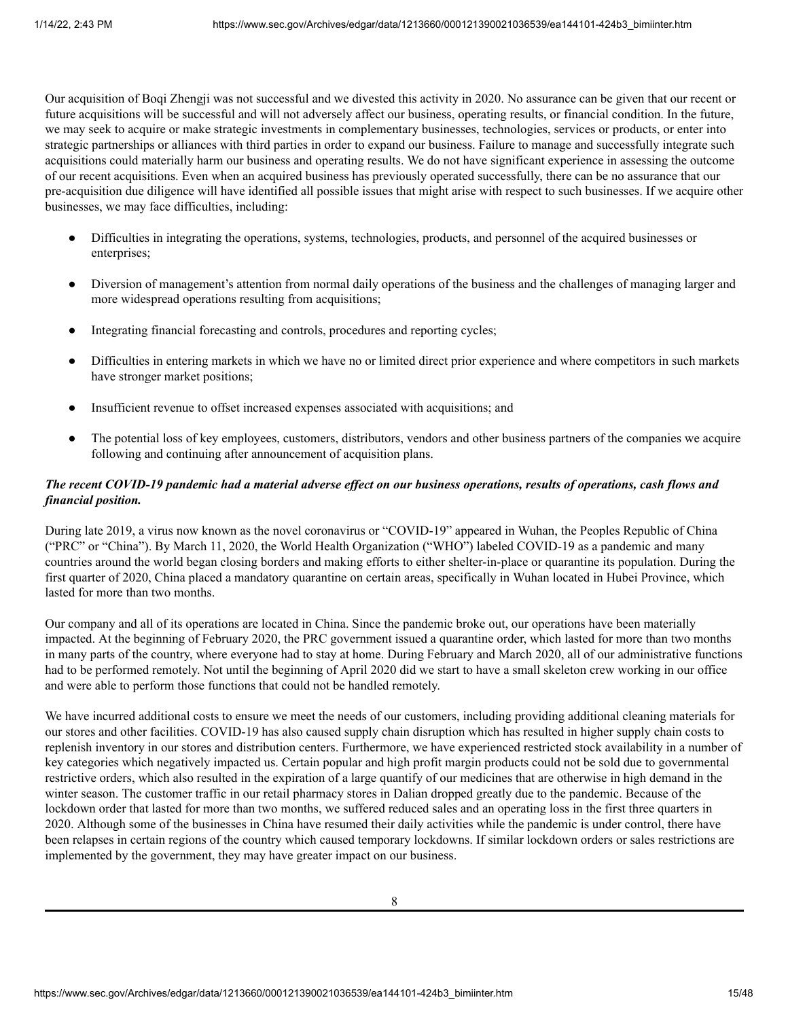Our acquisition of Boqi Zhengji was not successful and we divested this activity in 2020. No assurance can be given that our recent or future acquisitions will be successful and will not adversely affect our business, operating results, or financial condition. In the future, we may seek to acquire or make strategic investments in complementary businesses, technologies, services or products, or enter into strategic partnerships or alliances with third parties in order to expand our business. Failure to manage and successfully integrate such acquisitions could materially harm our business and operating results. We do not have significant experience in assessing the outcome of our recent acquisitions. Even when an acquired business has previously operated successfully, there can be no assurance that our pre-acquisition due diligence will have identified all possible issues that might arise with respect to such businesses. If we acquire other businesses, we may face difficulties, including:

- Difficulties in integrating the operations, systems, technologies, products, and personnel of the acquired businesses or enterprises;
- Diversion of management's attention from normal daily operations of the business and the challenges of managing larger and more widespread operations resulting from acquisitions;
- Integrating financial forecasting and controls, procedures and reporting cycles;
- Difficulties in entering markets in which we have no or limited direct prior experience and where competitors in such markets have stronger market positions;
- Insufficient revenue to offset increased expenses associated with acquisitions; and
- The potential loss of key employees, customers, distributors, vendors and other business partners of the companies we acquire following and continuing after announcement of acquisition plans.

## The recent COVID-19 pandemic had a material adverse effect on our business operations, results of operations, cash flows and *financial position.*

During late 2019, a virus now known as the novel coronavirus or "COVID-19" appeared in Wuhan, the Peoples Republic of China ("PRC" or "China"). By March 11, 2020, the World Health Organization ("WHO") labeled COVID-19 as a pandemic and many countries around the world began closing borders and making efforts to either shelter-in-place or quarantine its population. During the first quarter of 2020, China placed a mandatory quarantine on certain areas, specifically in Wuhan located in Hubei Province, which lasted for more than two months.

Our company and all of its operations are located in China. Since the pandemic broke out, our operations have been materially impacted. At the beginning of February 2020, the PRC government issued a quarantine order, which lasted for more than two months in many parts of the country, where everyone had to stay at home. During February and March 2020, all of our administrative functions had to be performed remotely. Not until the beginning of April 2020 did we start to have a small skeleton crew working in our office and were able to perform those functions that could not be handled remotely.

We have incurred additional costs to ensure we meet the needs of our customers, including providing additional cleaning materials for our stores and other facilities. COVID-19 has also caused supply chain disruption which has resulted in higher supply chain costs to replenish inventory in our stores and distribution centers. Furthermore, we have experienced restricted stock availability in a number of key categories which negatively impacted us. Certain popular and high profit margin products could not be sold due to governmental restrictive orders, which also resulted in the expiration of a large quantify of our medicines that are otherwise in high demand in the winter season. The customer traffic in our retail pharmacy stores in Dalian dropped greatly due to the pandemic. Because of the lockdown order that lasted for more than two months, we suffered reduced sales and an operating loss in the first three quarters in 2020. Although some of the businesses in China have resumed their daily activities while the pandemic is under control, there have been relapses in certain regions of the country which caused temporary lockdowns. If similar lockdown orders or sales restrictions are implemented by the government, they may have greater impact on our business.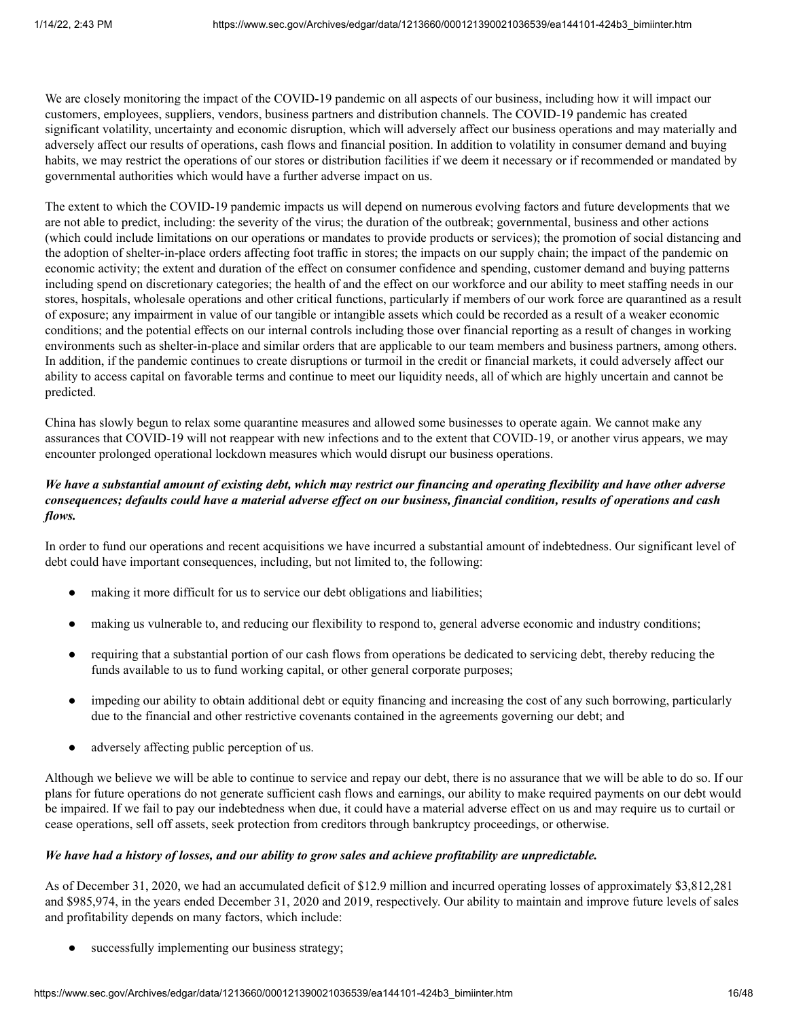We are closely monitoring the impact of the COVID-19 pandemic on all aspects of our business, including how it will impact our customers, employees, suppliers, vendors, business partners and distribution channels. The COVID-19 pandemic has created significant volatility, uncertainty and economic disruption, which will adversely affect our business operations and may materially and adversely affect our results of operations, cash flows and financial position. In addition to volatility in consumer demand and buying habits, we may restrict the operations of our stores or distribution facilities if we deem it necessary or if recommended or mandated by governmental authorities which would have a further adverse impact on us.

The extent to which the COVID-19 pandemic impacts us will depend on numerous evolving factors and future developments that we are not able to predict, including: the severity of the virus; the duration of the outbreak; governmental, business and other actions (which could include limitations on our operations or mandates to provide products or services); the promotion of social distancing and the adoption of shelter-in-place orders affecting foot traffic in stores; the impacts on our supply chain; the impact of the pandemic on economic activity; the extent and duration of the effect on consumer confidence and spending, customer demand and buying patterns including spend on discretionary categories; the health of and the effect on our workforce and our ability to meet staffing needs in our stores, hospitals, wholesale operations and other critical functions, particularly if members of our work force are quarantined as a result of exposure; any impairment in value of our tangible or intangible assets which could be recorded as a result of a weaker economic conditions; and the potential effects on our internal controls including those over financial reporting as a result of changes in working environments such as shelter-in-place and similar orders that are applicable to our team members and business partners, among others. In addition, if the pandemic continues to create disruptions or turmoil in the credit or financial markets, it could adversely affect our ability to access capital on favorable terms and continue to meet our liquidity needs, all of which are highly uncertain and cannot be predicted.

China has slowly begun to relax some quarantine measures and allowed some businesses to operate again. We cannot make any assurances that COVID-19 will not reappear with new infections and to the extent that COVID-19, or another virus appears, we may encounter prolonged operational lockdown measures which would disrupt our business operations.

## We have a substantial amount of existing debt, which may restrict our financing and operating flexibility and have other adverse consequences; defaults could have a material adverse effect on our business, financial condition, results of operations and cash *flows.*

In order to fund our operations and recent acquisitions we have incurred a substantial amount of indebtedness. Our significant level of debt could have important consequences, including, but not limited to, the following:

- making it more difficult for us to service our debt obligations and liabilities;
- making us vulnerable to, and reducing our flexibility to respond to, general adverse economic and industry conditions;
- requiring that a substantial portion of our cash flows from operations be dedicated to servicing debt, thereby reducing the funds available to us to fund working capital, or other general corporate purposes;
- impeding our ability to obtain additional debt or equity financing and increasing the cost of any such borrowing, particularly due to the financial and other restrictive covenants contained in the agreements governing our debt; and
- adversely affecting public perception of us.

Although we believe we will be able to continue to service and repay our debt, there is no assurance that we will be able to do so. If our plans for future operations do not generate sufficient cash flows and earnings, our ability to make required payments on our debt would be impaired. If we fail to pay our indebtedness when due, it could have a material adverse effect on us and may require us to curtail or cease operations, sell off assets, seek protection from creditors through bankruptcy proceedings, or otherwise.

## We have had a history of losses, and our ability to grow sales and achieve profitability are unpredictable.

As of December 31, 2020, we had an accumulated deficit of \$12.9 million and incurred operating losses of approximately \$3,812,281 and \$985,974, in the years ended December 31, 2020 and 2019, respectively. Our ability to maintain and improve future levels of sales and profitability depends on many factors, which include:

successfully implementing our business strategy;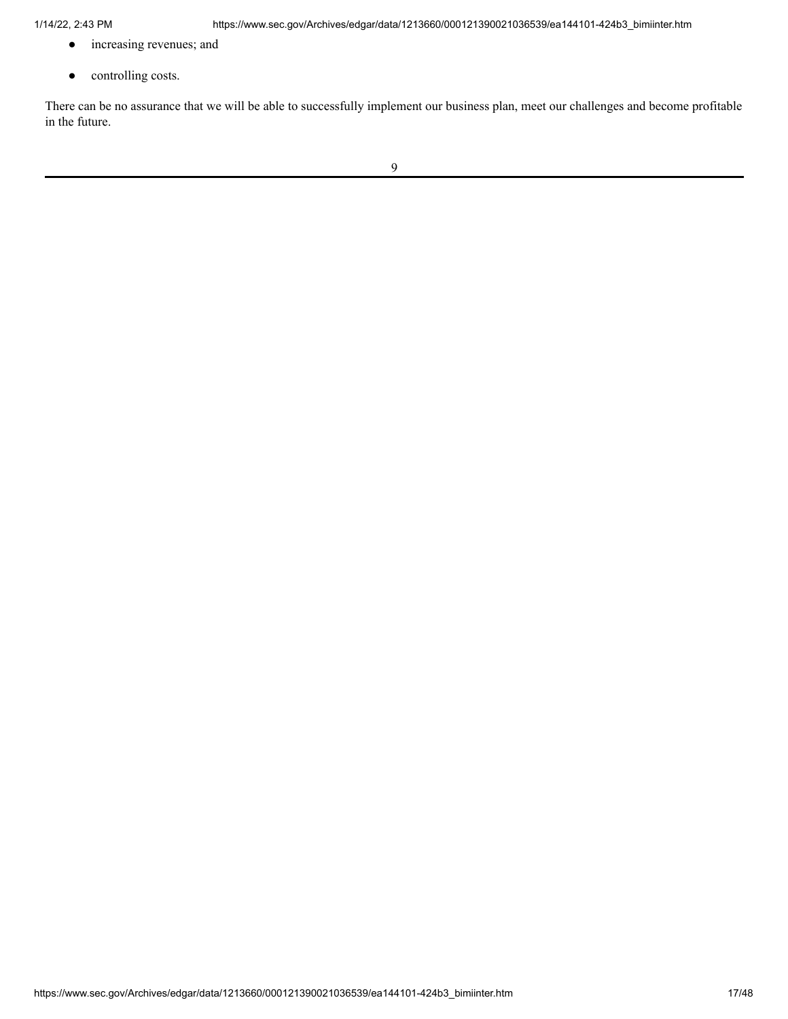- increasing revenues; and
- controlling costs.

There can be no assurance that we will be able to successfully implement our business plan, meet our challenges and become profitable in the future.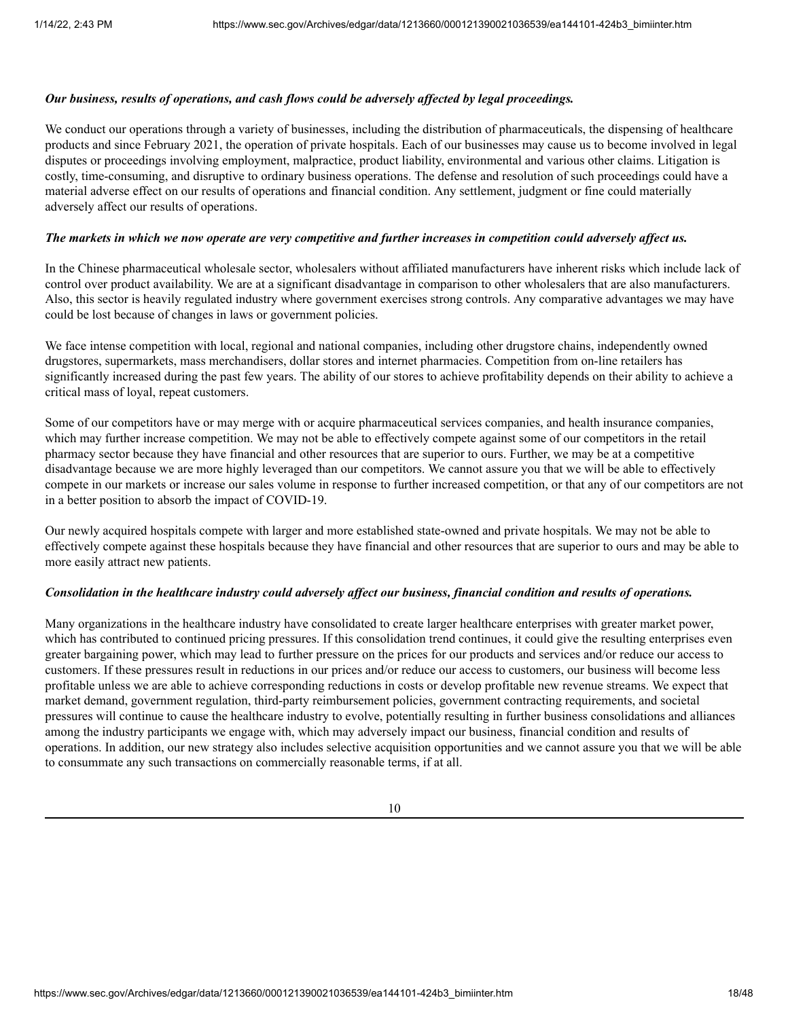## *Our business, results of operations, and cash flows could be adversely af ected by legal proceedings.*

We conduct our operations through a variety of businesses, including the distribution of pharmaceuticals, the dispensing of healthcare products and since February 2021, the operation of private hospitals. Each of our businesses may cause us to become involved in legal disputes or proceedings involving employment, malpractice, product liability, environmental and various other claims. Litigation is costly, time-consuming, and disruptive to ordinary business operations. The defense and resolution of such proceedings could have a material adverse effect on our results of operations and financial condition. Any settlement, judgment or fine could materially adversely affect our results of operations.

#### The markets in which we now operate are very competitive and further increases in competition could adversely affect us.

In the Chinese pharmaceutical wholesale sector, wholesalers without affiliated manufacturers have inherent risks which include lack of control over product availability. We are at a significant disadvantage in comparison to other wholesalers that are also manufacturers. Also, this sector is heavily regulated industry where government exercises strong controls. Any comparative advantages we may have could be lost because of changes in laws or government policies.

We face intense competition with local, regional and national companies, including other drugstore chains, independently owned drugstores, supermarkets, mass merchandisers, dollar stores and internet pharmacies. Competition from on-line retailers has significantly increased during the past few years. The ability of our stores to achieve profitability depends on their ability to achieve a critical mass of loyal, repeat customers.

Some of our competitors have or may merge with or acquire pharmaceutical services companies, and health insurance companies, which may further increase competition. We may not be able to effectively compete against some of our competitors in the retail pharmacy sector because they have financial and other resources that are superior to ours. Further, we may be at a competitive disadvantage because we are more highly leveraged than our competitors. We cannot assure you that we will be able to effectively compete in our markets or increase our sales volume in response to further increased competition, or that any of our competitors are not in a better position to absorb the impact of COVID-19.

Our newly acquired hospitals compete with larger and more established state-owned and private hospitals. We may not be able to effectively compete against these hospitals because they have financial and other resources that are superior to ours and may be able to more easily attract new patients.

#### Consolidation in the healthcare industry could adversely affect our business, financial condition and results of operations.

Many organizations in the healthcare industry have consolidated to create larger healthcare enterprises with greater market power, which has contributed to continued pricing pressures. If this consolidation trend continues, it could give the resulting enterprises even greater bargaining power, which may lead to further pressure on the prices for our products and services and/or reduce our access to customers. If these pressures result in reductions in our prices and/or reduce our access to customers, our business will become less profitable unless we are able to achieve corresponding reductions in costs or develop profitable new revenue streams. We expect that market demand, government regulation, third-party reimbursement policies, government contracting requirements, and societal pressures will continue to cause the healthcare industry to evolve, potentially resulting in further business consolidations and alliances among the industry participants we engage with, which may adversely impact our business, financial condition and results of operations. In addition, our new strategy also includes selective acquisition opportunities and we cannot assure you that we will be able to consummate any such transactions on commercially reasonable terms, if at all.

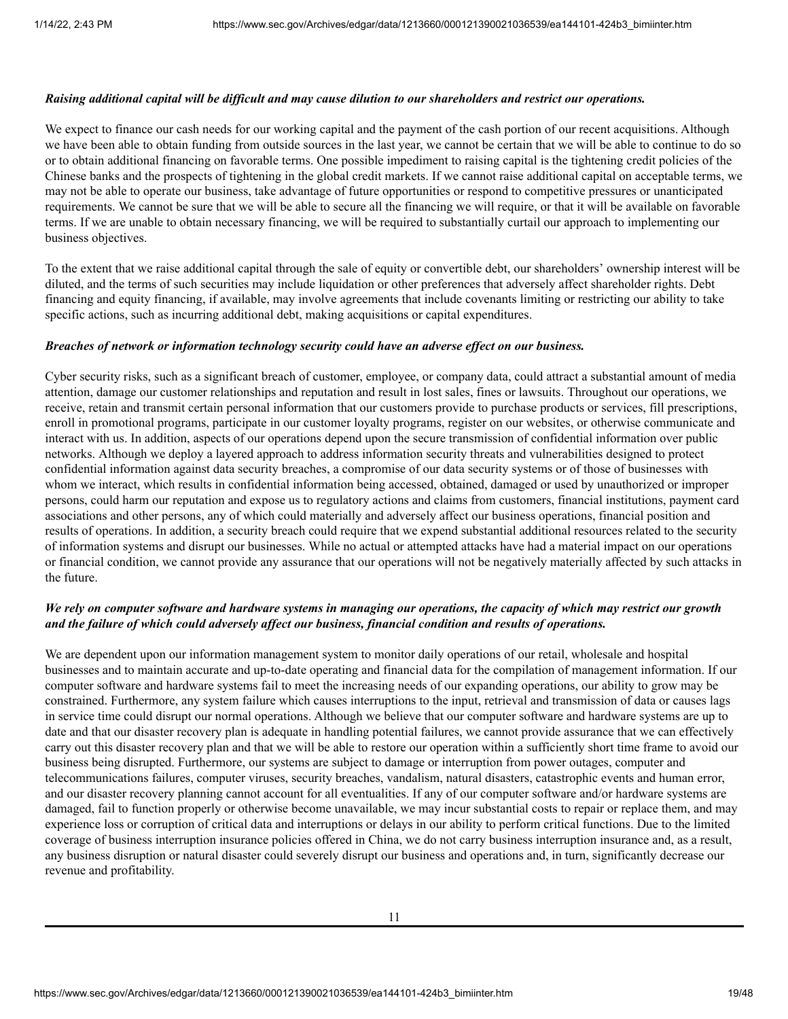## Raising additional capital will be difficult and may cause dilution to our shareholders and restrict our operations.

We expect to finance our cash needs for our working capital and the payment of the cash portion of our recent acquisitions. Although we have been able to obtain funding from outside sources in the last year, we cannot be certain that we will be able to continue to do so or to obtain additional financing on favorable terms. One possible impediment to raising capital is the tightening credit policies of the Chinese banks and the prospects of tightening in the global credit markets. If we cannot raise additional capital on acceptable terms, we may not be able to operate our business, take advantage of future opportunities or respond to competitive pressures or unanticipated requirements. We cannot be sure that we will be able to secure all the financing we will require, or that it will be available on favorable terms. If we are unable to obtain necessary financing, we will be required to substantially curtail our approach to implementing our business objectives.

To the extent that we raise additional capital through the sale of equity or convertible debt, our shareholders' ownership interest will be diluted, and the terms of such securities may include liquidation or other preferences that adversely affect shareholder rights. Debt financing and equity financing, if available, may involve agreements that include covenants limiting or restricting our ability to take specific actions, such as incurring additional debt, making acquisitions or capital expenditures.

#### *Breaches of network or information technology security could have an adverse ef ect on our business.*

Cyber security risks, such as a significant breach of customer, employee, or company data, could attract a substantial amount of media attention, damage our customer relationships and reputation and result in lost sales, fines or lawsuits. Throughout our operations, we receive, retain and transmit certain personal information that our customers provide to purchase products or services, fill prescriptions, enroll in promotional programs, participate in our customer loyalty programs, register on our websites, or otherwise communicate and interact with us. In addition, aspects of our operations depend upon the secure transmission of confidential information over public networks. Although we deploy a layered approach to address information security threats and vulnerabilities designed to protect confidential information against data security breaches, a compromise of our data security systems or of those of businesses with whom we interact, which results in confidential information being accessed, obtained, damaged or used by unauthorized or improper persons, could harm our reputation and expose us to regulatory actions and claims from customers, financial institutions, payment card associations and other persons, any of which could materially and adversely affect our business operations, financial position and results of operations. In addition, a security breach could require that we expend substantial additional resources related to the security of information systems and disrupt our businesses. While no actual or attempted attacks have had a material impact on our operations or financial condition, we cannot provide any assurance that our operations will not be negatively materially affected by such attacks in the future.

## We rely on computer software and hardware systems in managing our operations, the capacity of which may restrict our growth and the failure of which could adversely affect our business, financial condition and results of operations.

We are dependent upon our information management system to monitor daily operations of our retail, wholesale and hospital businesses and to maintain accurate and up-to-date operating and financial data for the compilation of management information. If our computer software and hardware systems fail to meet the increasing needs of our expanding operations, our ability to grow may be constrained. Furthermore, any system failure which causes interruptions to the input, retrieval and transmission of data or causes lags in service time could disrupt our normal operations. Although we believe that our computer software and hardware systems are up to date and that our disaster recovery plan is adequate in handling potential failures, we cannot provide assurance that we can effectively carry out this disaster recovery plan and that we will be able to restore our operation within a sufficiently short time frame to avoid our business being disrupted. Furthermore, our systems are subject to damage or interruption from power outages, computer and telecommunications failures, computer viruses, security breaches, vandalism, natural disasters, catastrophic events and human error, and our disaster recovery planning cannot account for all eventualities. If any of our computer software and/or hardware systems are damaged, fail to function properly or otherwise become unavailable, we may incur substantial costs to repair or replace them, and may experience loss or corruption of critical data and interruptions or delays in our ability to perform critical functions. Due to the limited coverage of business interruption insurance policies offered in China, we do not carry business interruption insurance and, as a result, any business disruption or natural disaster could severely disrupt our business and operations and, in turn, significantly decrease our revenue and profitability.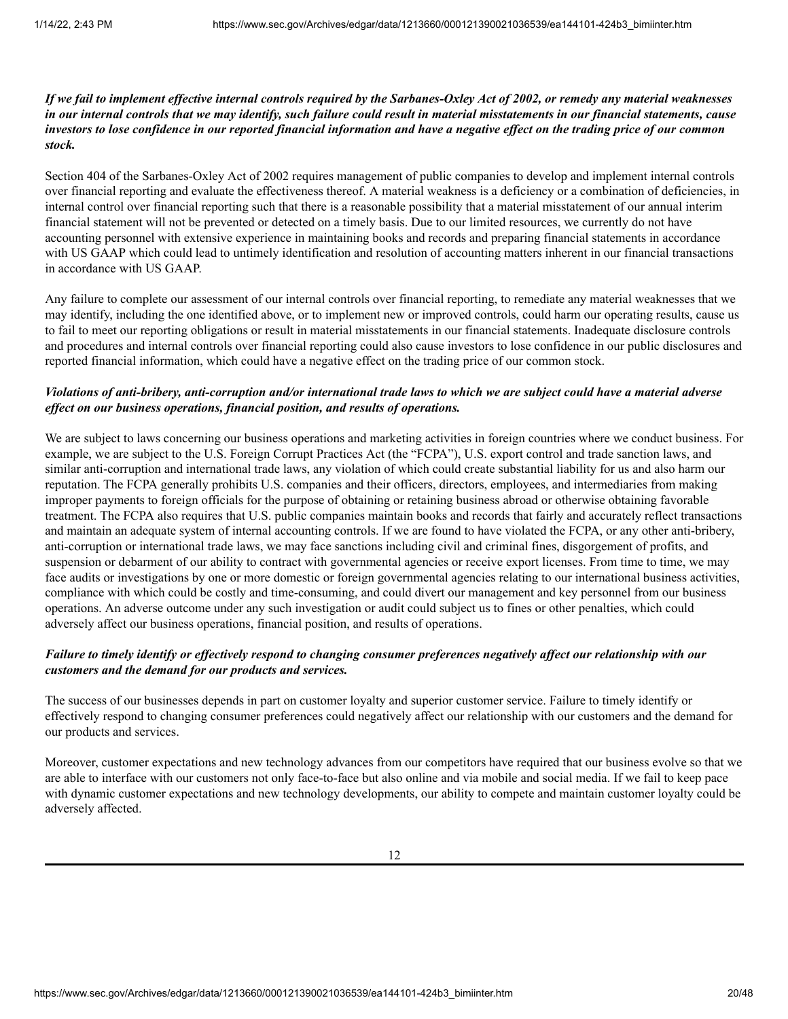## If we fail to implement effective internal controls required by the Sarbanes-Oxley Act of 2002, or remedy any material weaknesses in our internal controls that we may identify, such failure could result in material misstatements in our financial statements, cause investors to lose confidence in our reported financial information and have a negative effect on the trading price of our common *stock.*

Section 404 of the Sarbanes-Oxley Act of 2002 requires management of public companies to develop and implement internal controls over financial reporting and evaluate the effectiveness thereof. A material weakness is a deficiency or a combination of deficiencies, in internal control over financial reporting such that there is a reasonable possibility that a material misstatement of our annual interim financial statement will not be prevented or detected on a timely basis. Due to our limited resources, we currently do not have accounting personnel with extensive experience in maintaining books and records and preparing financial statements in accordance with US GAAP which could lead to untimely identification and resolution of accounting matters inherent in our financial transactions in accordance with US GAAP.

Any failure to complete our assessment of our internal controls over financial reporting, to remediate any material weaknesses that we may identify, including the one identified above, or to implement new or improved controls, could harm our operating results, cause us to fail to meet our reporting obligations or result in material misstatements in our financial statements. Inadequate disclosure controls and procedures and internal controls over financial reporting could also cause investors to lose confidence in our public disclosures and reported financial information, which could have a negative effect on the trading price of our common stock.

## Violations of anti-bribery, anti-corruption and/or international trade laws to which we are subject could have a material adverse *ef ect on our business operations, financial position, and results of operations.*

We are subject to laws concerning our business operations and marketing activities in foreign countries where we conduct business. For example, we are subject to the U.S. Foreign Corrupt Practices Act (the "FCPA"), U.S. export control and trade sanction laws, and similar anti-corruption and international trade laws, any violation of which could create substantial liability for us and also harm our reputation. The FCPA generally prohibits U.S. companies and their officers, directors, employees, and intermediaries from making improper payments to foreign officials for the purpose of obtaining or retaining business abroad or otherwise obtaining favorable treatment. The FCPA also requires that U.S. public companies maintain books and records that fairly and accurately reflect transactions and maintain an adequate system of internal accounting controls. If we are found to have violated the FCPA, or any other anti-bribery, anti-corruption or international trade laws, we may face sanctions including civil and criminal fines, disgorgement of profits, and suspension or debarment of our ability to contract with governmental agencies or receive export licenses. From time to time, we may face audits or investigations by one or more domestic or foreign governmental agencies relating to our international business activities, compliance with which could be costly and time-consuming, and could divert our management and key personnel from our business operations. An adverse outcome under any such investigation or audit could subject us to fines or other penalties, which could adversely affect our business operations, financial position, and results of operations.

## Failure to timely identify or effectively respond to changing consumer preferences negatively affect our relationship with our *customers and the demand for our products and services.*

The success of our businesses depends in part on customer loyalty and superior customer service. Failure to timely identify or effectively respond to changing consumer preferences could negatively affect our relationship with our customers and the demand for our products and services.

Moreover, customer expectations and new technology advances from our competitors have required that our business evolve so that we are able to interface with our customers not only face-to-face but also online and via mobile and social media. If we fail to keep pace with dynamic customer expectations and new technology developments, our ability to compete and maintain customer loyalty could be adversely affected.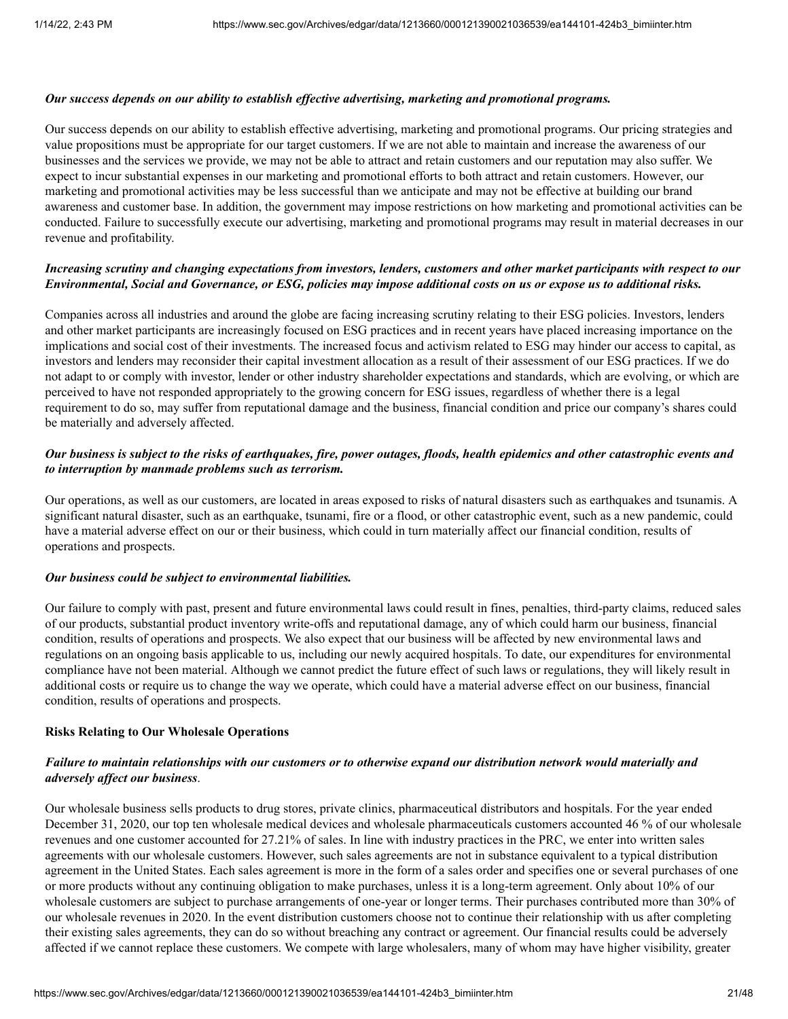#### *Our success depends on our ability to establish ef ective advertising, marketing and promotional programs.*

Our success depends on our ability to establish effective advertising, marketing and promotional programs. Our pricing strategies and value propositions must be appropriate for our target customers. If we are not able to maintain and increase the awareness of our businesses and the services we provide, we may not be able to attract and retain customers and our reputation may also suffer. We expect to incur substantial expenses in our marketing and promotional efforts to both attract and retain customers. However, our marketing and promotional activities may be less successful than we anticipate and may not be effective at building our brand awareness and customer base. In addition, the government may impose restrictions on how marketing and promotional activities can be conducted. Failure to successfully execute our advertising, marketing and promotional programs may result in material decreases in our revenue and profitability.

## Increasing scrutiny and changing expectations from investors, lenders, customers and other market participants with respect to our Environmental, Social and Governance, or ESG, policies may impose additional costs on us or expose us to additional risks.

Companies across all industries and around the globe are facing increasing scrutiny relating to their ESG policies. Investors, lenders and other market participants are increasingly focused on ESG practices and in recent years have placed increasing importance on the implications and social cost of their investments. The increased focus and activism related to ESG may hinder our access to capital, as investors and lenders may reconsider their capital investment allocation as a result of their assessment of our ESG practices. If we do not adapt to or comply with investor, lender or other industry shareholder expectations and standards, which are evolving, or which are perceived to have not responded appropriately to the growing concern for ESG issues, regardless of whether there is a legal requirement to do so, may suffer from reputational damage and the business, financial condition and price our company's shares could be materially and adversely affected.

## Our business is subject to the risks of earthquakes, fire, power outages, floods, health epidemics and other catastrophic events and *to interruption by manmade problems such as terrorism.*

Our operations, as well as our customers, are located in areas exposed to risks of natural disasters such as earthquakes and tsunamis. A significant natural disaster, such as an earthquake, tsunami, fire or a flood, or other catastrophic event, such as a new pandemic, could have a material adverse effect on our or their business, which could in turn materially affect our financial condition, results of operations and prospects.

#### *Our business could be subject to environmental liabilities.*

Our failure to comply with past, present and future environmental laws could result in fines, penalties, third-party claims, reduced sales of our products, substantial product inventory write-offs and reputational damage, any of which could harm our business, financial condition, results of operations and prospects. We also expect that our business will be affected by new environmental laws and regulations on an ongoing basis applicable to us, including our newly acquired hospitals. To date, our expenditures for environmental compliance have not been material. Although we cannot predict the future effect of such laws or regulations, they will likely result in additional costs or require us to change the way we operate, which could have a material adverse effect on our business, financial condition, results of operations and prospects.

## **Risks Relating to Our Wholesale Operations**

## Failure to maintain relationships with our customers or to otherwise expand our distribution network would materially and *adversely af ect our business*.

Our wholesale business sells products to drug stores, private clinics, pharmaceutical distributors and hospitals. For the year ended December 31, 2020, our top ten wholesale medical devices and wholesale pharmaceuticals customers accounted 46 % of our wholesale revenues and one customer accounted for 27.21% of sales. In line with industry practices in the PRC, we enter into written sales agreements with our wholesale customers. However, such sales agreements are not in substance equivalent to a typical distribution agreement in the United States. Each sales agreement is more in the form of a sales order and specifies one or several purchases of one or more products without any continuing obligation to make purchases, unless it is a long-term agreement. Only about 10% of our wholesale customers are subject to purchase arrangements of one-year or longer terms. Their purchases contributed more than 30% of our wholesale revenues in 2020. In the event distribution customers choose not to continue their relationship with us after completing their existing sales agreements, they can do so without breaching any contract or agreement. Our financial results could be adversely affected if we cannot replace these customers. We compete with large wholesalers, many of whom may have higher visibility, greater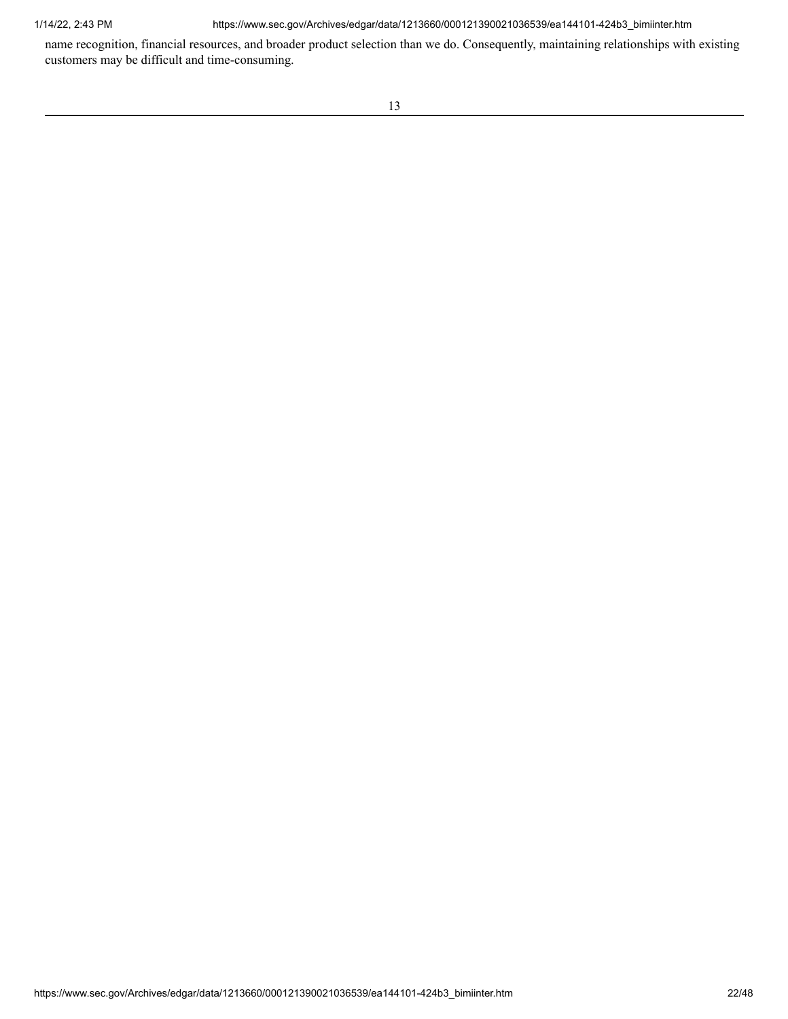1/14/22, 2:43 PM https://www.sec.gov/Archives/edgar/data/1213660/000121390021036539/ea144101-424b3\_bimiinter.htm

name recognition, financial resources, and broader product selection than we do. Consequently, maintaining relationships with existing customers may be difficult and time-consuming.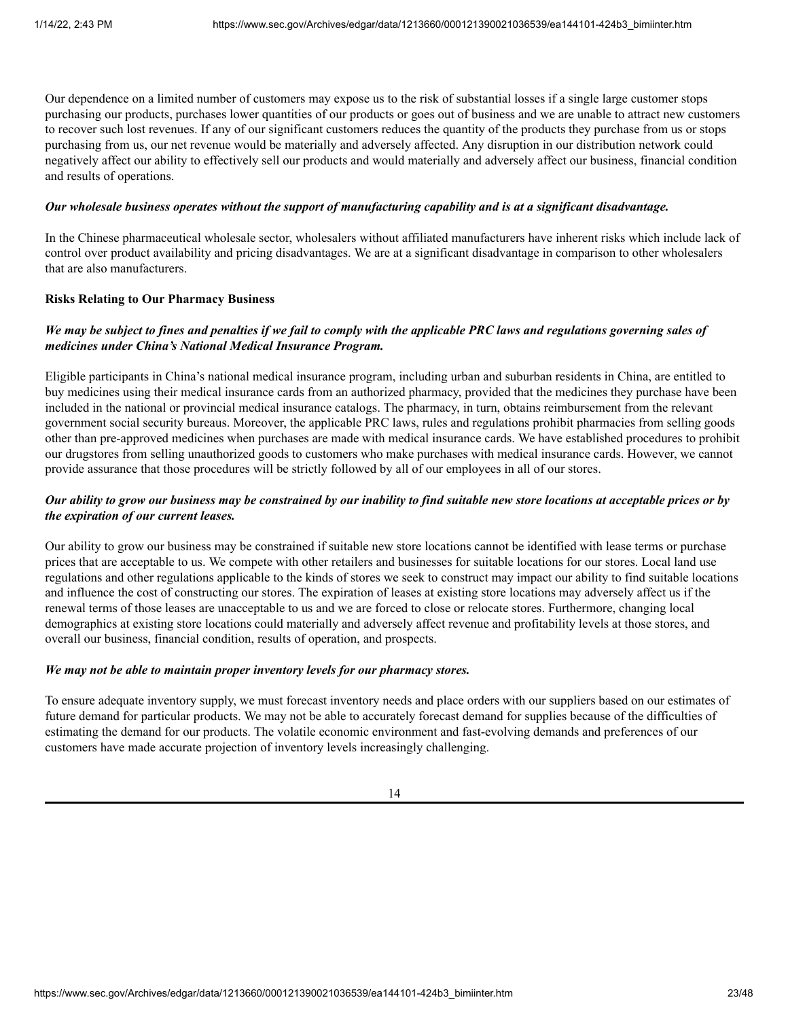Our dependence on a limited number of customers may expose us to the risk of substantial losses if a single large customer stops purchasing our products, purchases lower quantities of our products or goes out of business and we are unable to attract new customers to recover such lost revenues. If any of our significant customers reduces the quantity of the products they purchase from us or stops purchasing from us, our net revenue would be materially and adversely affected. Any disruption in our distribution network could negatively affect our ability to effectively sell our products and would materially and adversely affect our business, financial condition and results of operations.

#### Our wholesale business operates without the support of manufacturing capability and is at a significant disadvantage.

In the Chinese pharmaceutical wholesale sector, wholesalers without affiliated manufacturers have inherent risks which include lack of control over product availability and pricing disadvantages. We are at a significant disadvantage in comparison to other wholesalers that are also manufacturers.

## **Risks Relating to Our Pharmacy Business**

## We may be subject to fines and penalties if we fail to comply with the applicable PRC laws and regulations governing sales of *medicines under China's National Medical Insurance Program.*

Eligible participants in China's national medical insurance program, including urban and suburban residents in China, are entitled to buy medicines using their medical insurance cards from an authorized pharmacy, provided that the medicines they purchase have been included in the national or provincial medical insurance catalogs. The pharmacy, in turn, obtains reimbursement from the relevant government social security bureaus. Moreover, the applicable PRC laws, rules and regulations prohibit pharmacies from selling goods other than pre-approved medicines when purchases are made with medical insurance cards. We have established procedures to prohibit our drugstores from selling unauthorized goods to customers who make purchases with medical insurance cards. However, we cannot provide assurance that those procedures will be strictly followed by all of our employees in all of our stores.

## Our ability to grow our business may be constrained by our inability to find suitable new store locations at acceptable prices or by *the expiration of our current leases.*

Our ability to grow our business may be constrained if suitable new store locations cannot be identified with lease terms or purchase prices that are acceptable to us. We compete with other retailers and businesses for suitable locations for our stores. Local land use regulations and other regulations applicable to the kinds of stores we seek to construct may impact our ability to find suitable locations and influence the cost of constructing our stores. The expiration of leases at existing store locations may adversely affect us if the renewal terms of those leases are unacceptable to us and we are forced to close or relocate stores. Furthermore, changing local demographics at existing store locations could materially and adversely affect revenue and profitability levels at those stores, and overall our business, financial condition, results of operation, and prospects.

#### *We may not be able to maintain proper inventory levels for our pharmacy stores.*

To ensure adequate inventory supply, we must forecast inventory needs and place orders with our suppliers based on our estimates of future demand for particular products. We may not be able to accurately forecast demand for supplies because of the difficulties of estimating the demand for our products. The volatile economic environment and fast-evolving demands and preferences of our customers have made accurate projection of inventory levels increasingly challenging.

14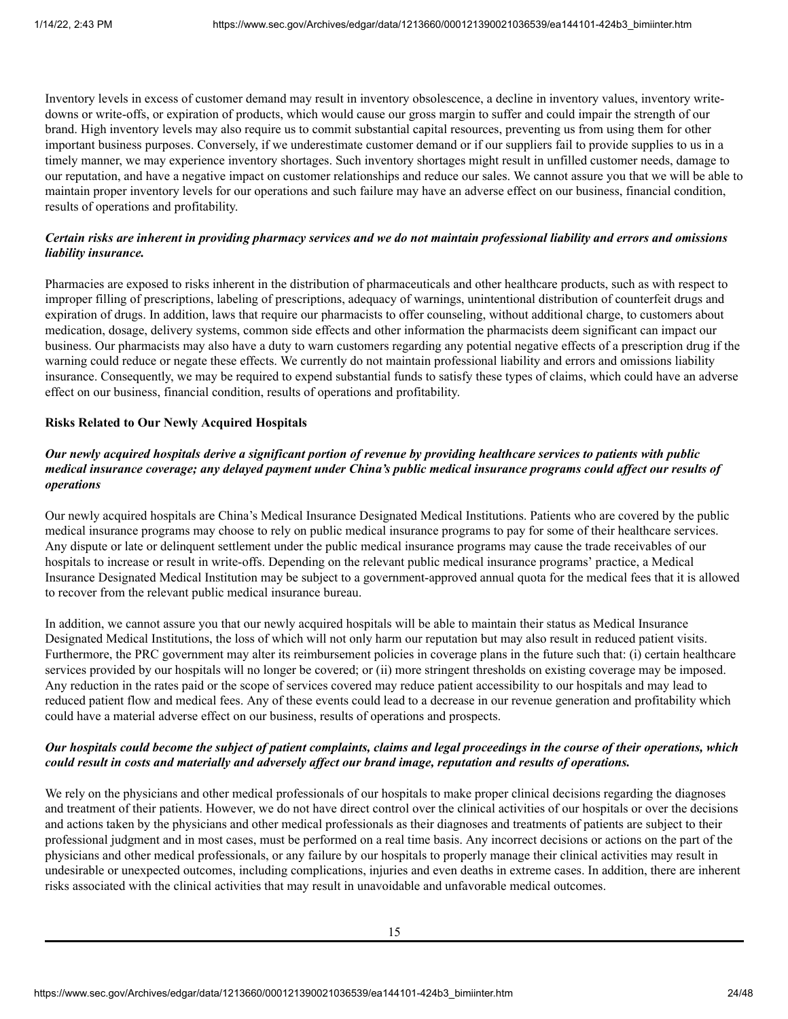Inventory levels in excess of customer demand may result in inventory obsolescence, a decline in inventory values, inventory writedowns or write-offs, or expiration of products, which would cause our gross margin to suffer and could impair the strength of our brand. High inventory levels may also require us to commit substantial capital resources, preventing us from using them for other important business purposes. Conversely, if we underestimate customer demand or if our suppliers fail to provide supplies to us in a timely manner, we may experience inventory shortages. Such inventory shortages might result in unfilled customer needs, damage to our reputation, and have a negative impact on customer relationships and reduce our sales. We cannot assure you that we will be able to maintain proper inventory levels for our operations and such failure may have an adverse effect on our business, financial condition, results of operations and profitability.

## Certain risks are inherent in providing pharmacy services and we do not maintain professional liability and errors and omissions *liability insurance.*

Pharmacies are exposed to risks inherent in the distribution of pharmaceuticals and other healthcare products, such as with respect to improper filling of prescriptions, labeling of prescriptions, adequacy of warnings, unintentional distribution of counterfeit drugs and expiration of drugs. In addition, laws that require our pharmacists to offer counseling, without additional charge, to customers about medication, dosage, delivery systems, common side effects and other information the pharmacists deem significant can impact our business. Our pharmacists may also have a duty to warn customers regarding any potential negative effects of a prescription drug if the warning could reduce or negate these effects. We currently do not maintain professional liability and errors and omissions liability insurance. Consequently, we may be required to expend substantial funds to satisfy these types of claims, which could have an adverse effect on our business, financial condition, results of operations and profitability.

## **Risks Related to Our Newly Acquired Hospitals**

## Our newly acquired hospitals derive a significant portion of revenue by providing healthcare services to patients with public medical insurance coverage; any delayed payment under China's public medical insurance programs could affect our results of *operations*

Our newly acquired hospitals are China's Medical Insurance Designated Medical Institutions. Patients who are covered by the public medical insurance programs may choose to rely on public medical insurance programs to pay for some of their healthcare services. Any dispute or late or delinquent settlement under the public medical insurance programs may cause the trade receivables of our hospitals to increase or result in write-offs. Depending on the relevant public medical insurance programs' practice, a Medical Insurance Designated Medical Institution may be subject to a government-approved annual quota for the medical fees that it is allowed to recover from the relevant public medical insurance bureau.

In addition, we cannot assure you that our newly acquired hospitals will be able to maintain their status as Medical Insurance Designated Medical Institutions, the loss of which will not only harm our reputation but may also result in reduced patient visits. Furthermore, the PRC government may alter its reimbursement policies in coverage plans in the future such that: (i) certain healthcare services provided by our hospitals will no longer be covered; or (ii) more stringent thresholds on existing coverage may be imposed. Any reduction in the rates paid or the scope of services covered may reduce patient accessibility to our hospitals and may lead to reduced patient flow and medical fees. Any of these events could lead to a decrease in our revenue generation and profitability which could have a material adverse effect on our business, results of operations and prospects.

## Our hospitals could become the subject of patient complaints, claims and legal proceedings in the course of their operations, which could result in costs and materially and adversely affect our brand image, reputation and results of operations.

We rely on the physicians and other medical professionals of our hospitals to make proper clinical decisions regarding the diagnoses and treatment of their patients. However, we do not have direct control over the clinical activities of our hospitals or over the decisions and actions taken by the physicians and other medical professionals as their diagnoses and treatments of patients are subject to their professional judgment and in most cases, must be performed on a real time basis. Any incorrect decisions or actions on the part of the physicians and other medical professionals, or any failure by our hospitals to properly manage their clinical activities may result in undesirable or unexpected outcomes, including complications, injuries and even deaths in extreme cases. In addition, there are inherent risks associated with the clinical activities that may result in unavoidable and unfavorable medical outcomes.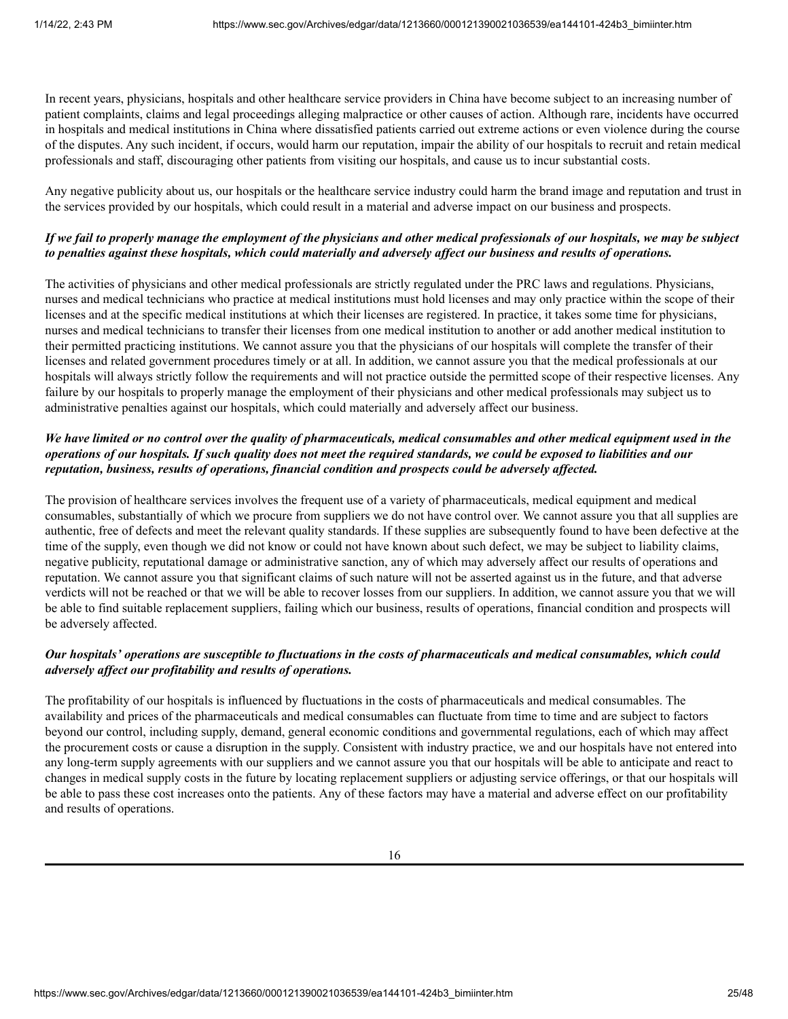In recent years, physicians, hospitals and other healthcare service providers in China have become subject to an increasing number of patient complaints, claims and legal proceedings alleging malpractice or other causes of action. Although rare, incidents have occurred in hospitals and medical institutions in China where dissatisfied patients carried out extreme actions or even violence during the course of the disputes. Any such incident, if occurs, would harm our reputation, impair the ability of our hospitals to recruit and retain medical professionals and staff, discouraging other patients from visiting our hospitals, and cause us to incur substantial costs.

Any negative publicity about us, our hospitals or the healthcare service industry could harm the brand image and reputation and trust in the services provided by our hospitals, which could result in a material and adverse impact on our business and prospects.

## If we fail to properly manage the employment of the physicians and other medical professionals of our hospitals, we may be subject to penalties against these hospitals, which could materially and adversely affect our business and results of operations.

The activities of physicians and other medical professionals are strictly regulated under the PRC laws and regulations. Physicians, nurses and medical technicians who practice at medical institutions must hold licenses and may only practice within the scope of their licenses and at the specific medical institutions at which their licenses are registered. In practice, it takes some time for physicians, nurses and medical technicians to transfer their licenses from one medical institution to another or add another medical institution to their permitted practicing institutions. We cannot assure you that the physicians of our hospitals will complete the transfer of their licenses and related government procedures timely or at all. In addition, we cannot assure you that the medical professionals at our hospitals will always strictly follow the requirements and will not practice outside the permitted scope of their respective licenses. Any failure by our hospitals to properly manage the employment of their physicians and other medical professionals may subject us to administrative penalties against our hospitals, which could materially and adversely affect our business.

## We have limited or no control over the quality of pharmaceuticals, medical consumables and other medical equipment used in the operations of our hospitals. If such quality does not meet the required standards, we could be exposed to liabilities and our *reputation, business, results of operations, financial condition and prospects could be adversely af ected.*

The provision of healthcare services involves the frequent use of a variety of pharmaceuticals, medical equipment and medical consumables, substantially of which we procure from suppliers we do not have control over. We cannot assure you that all supplies are authentic, free of defects and meet the relevant quality standards. If these supplies are subsequently found to have been defective at the time of the supply, even though we did not know or could not have known about such defect, we may be subject to liability claims, negative publicity, reputational damage or administrative sanction, any of which may adversely affect our results of operations and reputation. We cannot assure you that significant claims of such nature will not be asserted against us in the future, and that adverse verdicts will not be reached or that we will be able to recover losses from our suppliers. In addition, we cannot assure you that we will be able to find suitable replacement suppliers, failing which our business, results of operations, financial condition and prospects will be adversely affected.

## Our hospitals' operations are susceptible to fluctuations in the costs of pharmaceuticals and medical consumables, which could *adversely af ect our profitability and results of operations.*

The profitability of our hospitals is influenced by fluctuations in the costs of pharmaceuticals and medical consumables. The availability and prices of the pharmaceuticals and medical consumables can fluctuate from time to time and are subject to factors beyond our control, including supply, demand, general economic conditions and governmental regulations, each of which may affect the procurement costs or cause a disruption in the supply. Consistent with industry practice, we and our hospitals have not entered into any long-term supply agreements with our suppliers and we cannot assure you that our hospitals will be able to anticipate and react to changes in medical supply costs in the future by locating replacement suppliers or adjusting service offerings, or that our hospitals will be able to pass these cost increases onto the patients. Any of these factors may have a material and adverse effect on our profitability and results of operations.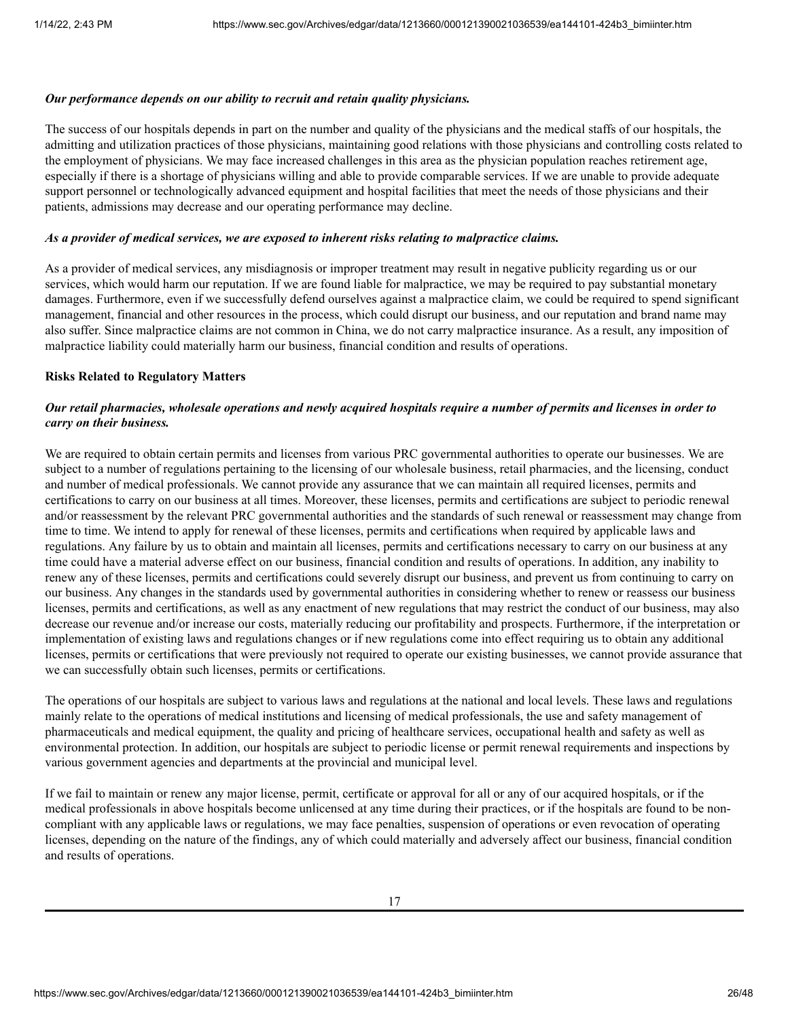#### *Our performance depends on our ability to recruit and retain quality physicians.*

The success of our hospitals depends in part on the number and quality of the physicians and the medical staffs of our hospitals, the admitting and utilization practices of those physicians, maintaining good relations with those physicians and controlling costs related to the employment of physicians. We may face increased challenges in this area as the physician population reaches retirement age, especially if there is a shortage of physicians willing and able to provide comparable services. If we are unable to provide adequate support personnel or technologically advanced equipment and hospital facilities that meet the needs of those physicians and their patients, admissions may decrease and our operating performance may decline.

#### *As a provider of medical services, we are exposed to inherent risks relating to malpractice claims.*

As a provider of medical services, any misdiagnosis or improper treatment may result in negative publicity regarding us or our services, which would harm our reputation. If we are found liable for malpractice, we may be required to pay substantial monetary damages. Furthermore, even if we successfully defend ourselves against a malpractice claim, we could be required to spend significant management, financial and other resources in the process, which could disrupt our business, and our reputation and brand name may also suffer. Since malpractice claims are not common in China, we do not carry malpractice insurance. As a result, any imposition of malpractice liability could materially harm our business, financial condition and results of operations.

#### **Risks Related to Regulatory Matters**

## Our retail pharmacies, wholesale operations and newly acquired hospitals require a number of permits and licenses in order to *carry on their business.*

We are required to obtain certain permits and licenses from various PRC governmental authorities to operate our businesses. We are subject to a number of regulations pertaining to the licensing of our wholesale business, retail pharmacies, and the licensing, conduct and number of medical professionals. We cannot provide any assurance that we can maintain all required licenses, permits and certifications to carry on our business at all times. Moreover, these licenses, permits and certifications are subject to periodic renewal and/or reassessment by the relevant PRC governmental authorities and the standards of such renewal or reassessment may change from time to time. We intend to apply for renewal of these licenses, permits and certifications when required by applicable laws and regulations. Any failure by us to obtain and maintain all licenses, permits and certifications necessary to carry on our business at any time could have a material adverse effect on our business, financial condition and results of operations. In addition, any inability to renew any of these licenses, permits and certifications could severely disrupt our business, and prevent us from continuing to carry on our business. Any changes in the standards used by governmental authorities in considering whether to renew or reassess our business licenses, permits and certifications, as well as any enactment of new regulations that may restrict the conduct of our business, may also decrease our revenue and/or increase our costs, materially reducing our profitability and prospects. Furthermore, if the interpretation or implementation of existing laws and regulations changes or if new regulations come into effect requiring us to obtain any additional licenses, permits or certifications that were previously not required to operate our existing businesses, we cannot provide assurance that we can successfully obtain such licenses, permits or certifications.

The operations of our hospitals are subject to various laws and regulations at the national and local levels. These laws and regulations mainly relate to the operations of medical institutions and licensing of medical professionals, the use and safety management of pharmaceuticals and medical equipment, the quality and pricing of healthcare services, occupational health and safety as well as environmental protection. In addition, our hospitals are subject to periodic license or permit renewal requirements and inspections by various government agencies and departments at the provincial and municipal level.

If we fail to maintain or renew any major license, permit, certificate or approval for all or any of our acquired hospitals, or if the medical professionals in above hospitals become unlicensed at any time during their practices, or if the hospitals are found to be noncompliant with any applicable laws or regulations, we may face penalties, suspension of operations or even revocation of operating licenses, depending on the nature of the findings, any of which could materially and adversely affect our business, financial condition and results of operations.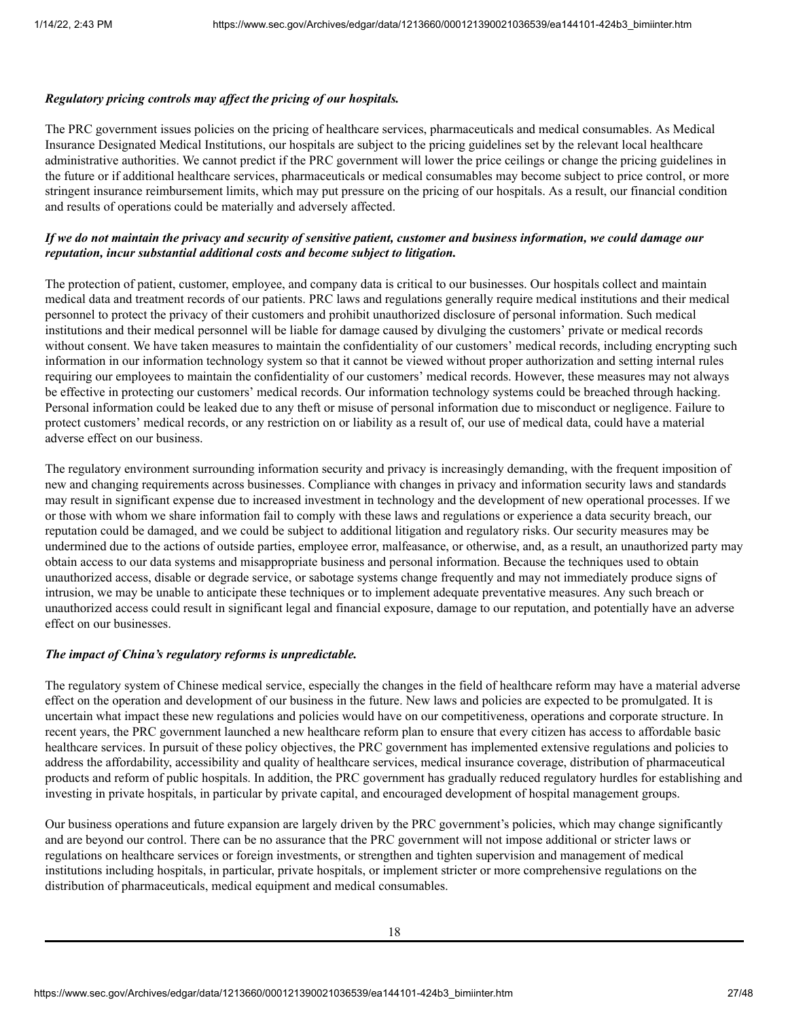### *Regulatory pricing controls may af ect the pricing of our hospitals.*

The PRC government issues policies on the pricing of healthcare services, pharmaceuticals and medical consumables. As Medical Insurance Designated Medical Institutions, our hospitals are subject to the pricing guidelines set by the relevant local healthcare administrative authorities. We cannot predict if the PRC government will lower the price ceilings or change the pricing guidelines in the future or if additional healthcare services, pharmaceuticals or medical consumables may become subject to price control, or more stringent insurance reimbursement limits, which may put pressure on the pricing of our hospitals. As a result, our financial condition and results of operations could be materially and adversely affected.

## If we do not maintain the privacy and security of sensitive patient, customer and business information, we could damage our *reputation, incur substantial additional costs and become subject to litigation.*

The protection of patient, customer, employee, and company data is critical to our businesses. Our hospitals collect and maintain medical data and treatment records of our patients. PRC laws and regulations generally require medical institutions and their medical personnel to protect the privacy of their customers and prohibit unauthorized disclosure of personal information. Such medical institutions and their medical personnel will be liable for damage caused by divulging the customers' private or medical records without consent. We have taken measures to maintain the confidentiality of our customers' medical records, including encrypting such information in our information technology system so that it cannot be viewed without proper authorization and setting internal rules requiring our employees to maintain the confidentiality of our customers' medical records. However, these measures may not always be effective in protecting our customers' medical records. Our information technology systems could be breached through hacking. Personal information could be leaked due to any theft or misuse of personal information due to misconduct or negligence. Failure to protect customers' medical records, or any restriction on or liability as a result of, our use of medical data, could have a material adverse effect on our business.

The regulatory environment surrounding information security and privacy is increasingly demanding, with the frequent imposition of new and changing requirements across businesses. Compliance with changes in privacy and information security laws and standards may result in significant expense due to increased investment in technology and the development of new operational processes. If we or those with whom we share information fail to comply with these laws and regulations or experience a data security breach, our reputation could be damaged, and we could be subject to additional litigation and regulatory risks. Our security measures may be undermined due to the actions of outside parties, employee error, malfeasance, or otherwise, and, as a result, an unauthorized party may obtain access to our data systems and misappropriate business and personal information. Because the techniques used to obtain unauthorized access, disable or degrade service, or sabotage systems change frequently and may not immediately produce signs of intrusion, we may be unable to anticipate these techniques or to implement adequate preventative measures. Any such breach or unauthorized access could result in significant legal and financial exposure, damage to our reputation, and potentially have an adverse effect on our businesses.

## *The impact of China's regulatory reforms is unpredictable.*

The regulatory system of Chinese medical service, especially the changes in the field of healthcare reform may have a material adverse effect on the operation and development of our business in the future. New laws and policies are expected to be promulgated. It is uncertain what impact these new regulations and policies would have on our competitiveness, operations and corporate structure. In recent years, the PRC government launched a new healthcare reform plan to ensure that every citizen has access to affordable basic healthcare services. In pursuit of these policy objectives, the PRC government has implemented extensive regulations and policies to address the affordability, accessibility and quality of healthcare services, medical insurance coverage, distribution of pharmaceutical products and reform of public hospitals. In addition, the PRC government has gradually reduced regulatory hurdles for establishing and investing in private hospitals, in particular by private capital, and encouraged development of hospital management groups.

Our business operations and future expansion are largely driven by the PRC government's policies, which may change significantly and are beyond our control. There can be no assurance that the PRC government will not impose additional or stricter laws or regulations on healthcare services or foreign investments, or strengthen and tighten supervision and management of medical institutions including hospitals, in particular, private hospitals, or implement stricter or more comprehensive regulations on the distribution of pharmaceuticals, medical equipment and medical consumables.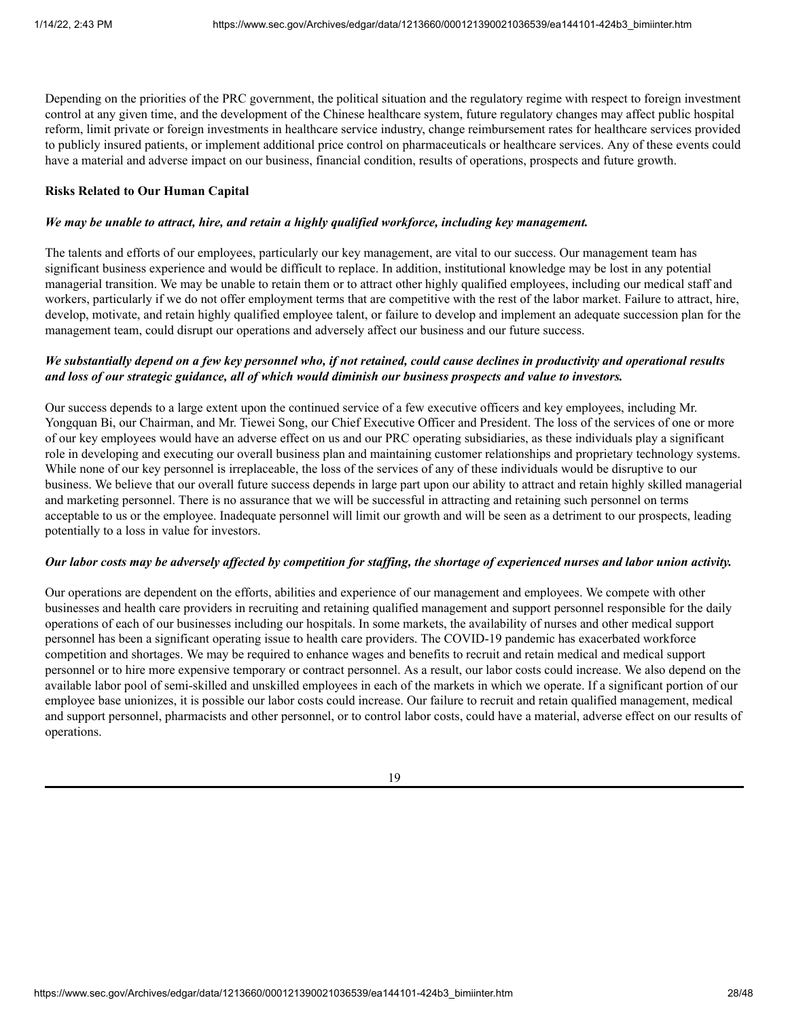Depending on the priorities of the PRC government, the political situation and the regulatory regime with respect to foreign investment control at any given time, and the development of the Chinese healthcare system, future regulatory changes may affect public hospital reform, limit private or foreign investments in healthcare service industry, change reimbursement rates for healthcare services provided to publicly insured patients, or implement additional price control on pharmaceuticals or healthcare services. Any of these events could have a material and adverse impact on our business, financial condition, results of operations, prospects and future growth.

## **Risks Related to Our Human Capital**

#### *We may be unable to attract, hire, and retain a highly qualified workforce, including key management.*

The talents and efforts of our employees, particularly our key management, are vital to our success. Our management team has significant business experience and would be difficult to replace. In addition, institutional knowledge may be lost in any potential managerial transition. We may be unable to retain them or to attract other highly qualified employees, including our medical staff and workers, particularly if we do not offer employment terms that are competitive with the rest of the labor market. Failure to attract, hire, develop, motivate, and retain highly qualified employee talent, or failure to develop and implement an adequate succession plan for the management team, could disrupt our operations and adversely affect our business and our future success.

## We substantially depend on a few key personnel who, if not retained, could cause declines in productivity and operational results and loss of our strategic guidance, all of which would diminish our business prospects and value to investors.

Our success depends to a large extent upon the continued service of a few executive officers and key employees, including Mr. Yongquan Bi, our Chairman, and Mr. Tiewei Song, our Chief Executive Officer and President. The loss of the services of one or more of our key employees would have an adverse effect on us and our PRC operating subsidiaries, as these individuals play a significant role in developing and executing our overall business plan and maintaining customer relationships and proprietary technology systems. While none of our key personnel is irreplaceable, the loss of the services of any of these individuals would be disruptive to our business. We believe that our overall future success depends in large part upon our ability to attract and retain highly skilled managerial and marketing personnel. There is no assurance that we will be successful in attracting and retaining such personnel on terms acceptable to us or the employee. Inadequate personnel will limit our growth and will be seen as a detriment to our prospects, leading potentially to a loss in value for investors.

## Our labor costs may be adversely affected by competition for staffing, the shortage of experienced nurses and labor union activity.

Our operations are dependent on the efforts, abilities and experience of our management and employees. We compete with other businesses and health care providers in recruiting and retaining qualified management and support personnel responsible for the daily operations of each of our businesses including our hospitals. In some markets, the availability of nurses and other medical support personnel has been a significant operating issue to health care providers. The COVID-19 pandemic has exacerbated workforce competition and shortages. We may be required to enhance wages and benefits to recruit and retain medical and medical support personnel or to hire more expensive temporary or contract personnel. As a result, our labor costs could increase. We also depend on the available labor pool of semi-skilled and unskilled employees in each of the markets in which we operate. If a significant portion of our employee base unionizes, it is possible our labor costs could increase. Our failure to recruit and retain qualified management, medical and support personnel, pharmacists and other personnel, or to control labor costs, could have a material, adverse effect on our results of operations.

19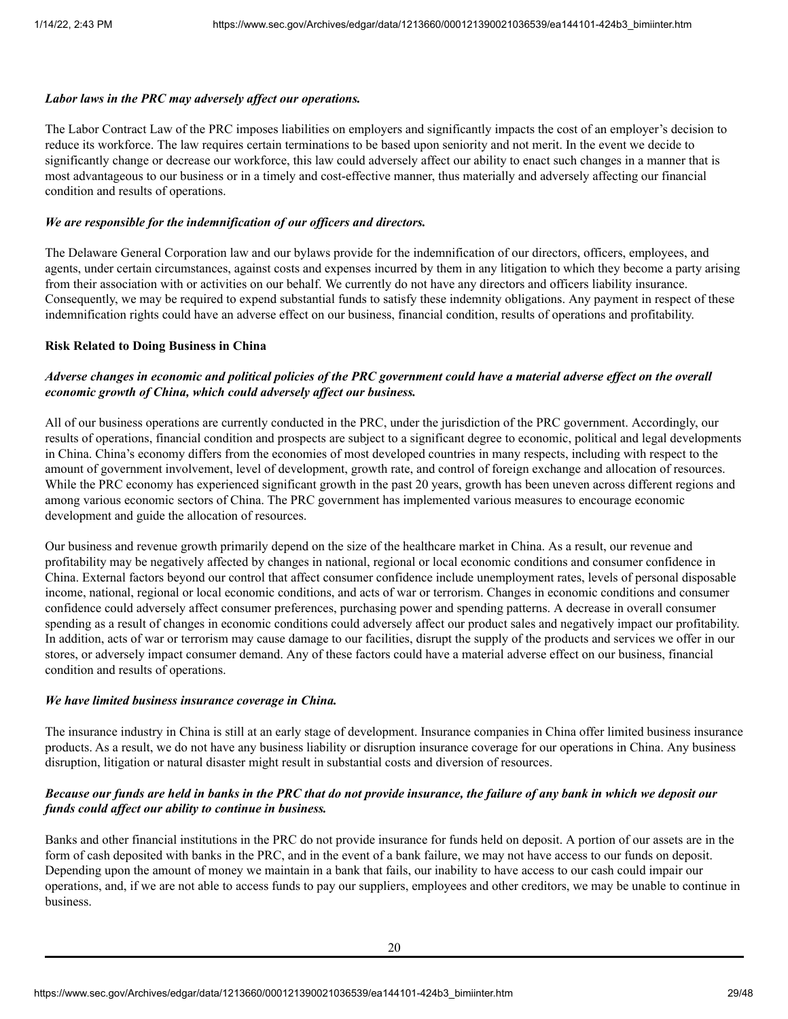#### *Labor laws in the PRC may adversely af ect our operations.*

The Labor Contract Law of the PRC imposes liabilities on employers and significantly impacts the cost of an employer's decision to reduce its workforce. The law requires certain terminations to be based upon seniority and not merit. In the event we decide to significantly change or decrease our workforce, this law could adversely affect our ability to enact such changes in a manner that is most advantageous to our business or in a timely and cost-effective manner, thus materially and adversely affecting our financial condition and results of operations.

### *We are responsible for the indemnification of our of icers and directors.*

The Delaware General Corporation law and our bylaws provide for the indemnification of our directors, officers, employees, and agents, under certain circumstances, against costs and expenses incurred by them in any litigation to which they become a party arising from their association with or activities on our behalf. We currently do not have any directors and officers liability insurance. Consequently, we may be required to expend substantial funds to satisfy these indemnity obligations. Any payment in respect of these indemnification rights could have an adverse effect on our business, financial condition, results of operations and profitability.

### **Risk Related to Doing Business in China**

## Adverse changes in economic and political policies of the PRC government could have a material adverse effect on the overall *economic growth of China, which could adversely af ect our business.*

All of our business operations are currently conducted in the PRC, under the jurisdiction of the PRC government. Accordingly, our results of operations, financial condition and prospects are subject to a significant degree to economic, political and legal developments in China. China's economy differs from the economies of most developed countries in many respects, including with respect to the amount of government involvement, level of development, growth rate, and control of foreign exchange and allocation of resources. While the PRC economy has experienced significant growth in the past 20 years, growth has been uneven across different regions and among various economic sectors of China. The PRC government has implemented various measures to encourage economic development and guide the allocation of resources.

Our business and revenue growth primarily depend on the size of the healthcare market in China. As a result, our revenue and profitability may be negatively affected by changes in national, regional or local economic conditions and consumer confidence in China. External factors beyond our control that affect consumer confidence include unemployment rates, levels of personal disposable income, national, regional or local economic conditions, and acts of war or terrorism. Changes in economic conditions and consumer confidence could adversely affect consumer preferences, purchasing power and spending patterns. A decrease in overall consumer spending as a result of changes in economic conditions could adversely affect our product sales and negatively impact our profitability. In addition, acts of war or terrorism may cause damage to our facilities, disrupt the supply of the products and services we offer in our stores, or adversely impact consumer demand. Any of these factors could have a material adverse effect on our business, financial condition and results of operations.

#### *We have limited business insurance coverage in China.*

The insurance industry in China is still at an early stage of development. Insurance companies in China offer limited business insurance products. As a result, we do not have any business liability or disruption insurance coverage for our operations in China. Any business disruption, litigation or natural disaster might result in substantial costs and diversion of resources.

## Because our funds are held in banks in the PRC that do not provide insurance, the failure of any bank in which we deposit our *funds could af ect our ability to continue in business.*

Banks and other financial institutions in the PRC do not provide insurance for funds held on deposit. A portion of our assets are in the form of cash deposited with banks in the PRC, and in the event of a bank failure, we may not have access to our funds on deposit. Depending upon the amount of money we maintain in a bank that fails, our inability to have access to our cash could impair our operations, and, if we are not able to access funds to pay our suppliers, employees and other creditors, we may be unable to continue in business.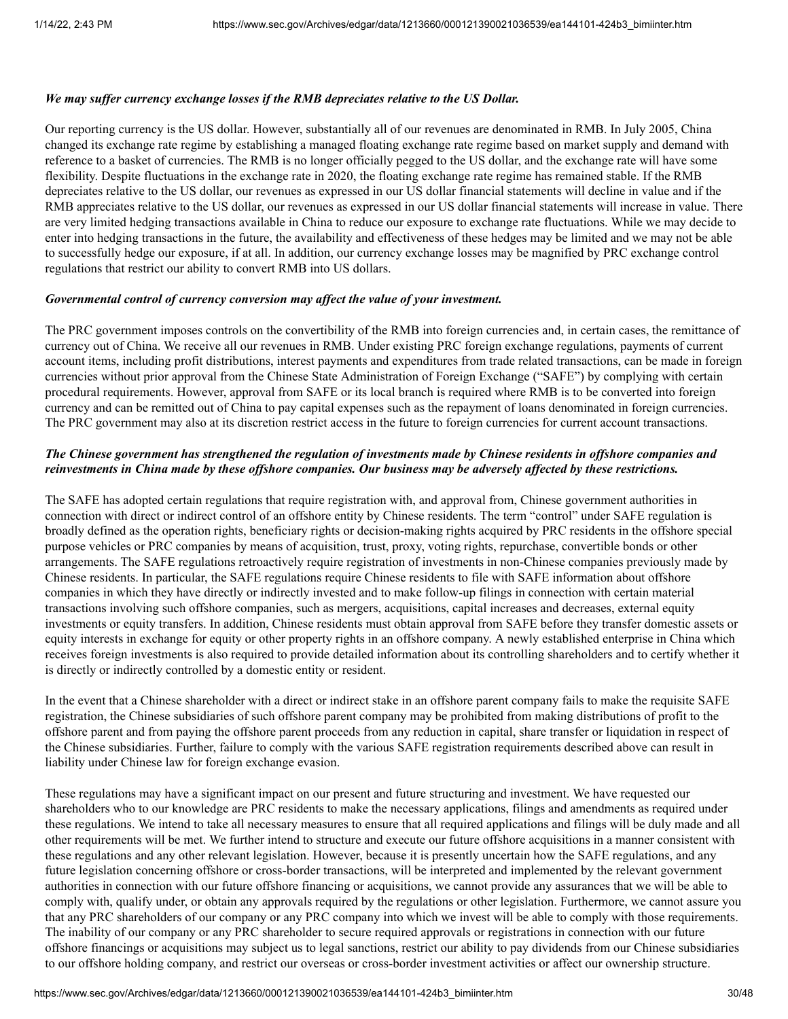#### *We may suf er currency exchange losses if the RMB depreciates relative to the US Dollar.*

Our reporting currency is the US dollar. However, substantially all of our revenues are denominated in RMB. In July 2005, China changed its exchange rate regime by establishing a managed floating exchange rate regime based on market supply and demand with reference to a basket of currencies. The RMB is no longer officially pegged to the US dollar, and the exchange rate will have some flexibility. Despite fluctuations in the exchange rate in 2020, the floating exchange rate regime has remained stable. If the RMB depreciates relative to the US dollar, our revenues as expressed in our US dollar financial statements will decline in value and if the RMB appreciates relative to the US dollar, our revenues as expressed in our US dollar financial statements will increase in value. There are very limited hedging transactions available in China to reduce our exposure to exchange rate fluctuations. While we may decide to enter into hedging transactions in the future, the availability and effectiveness of these hedges may be limited and we may not be able to successfully hedge our exposure, if at all. In addition, our currency exchange losses may be magnified by PRC exchange control regulations that restrict our ability to convert RMB into US dollars.

#### *Governmental control of currency conversion may af ect the value of your investment.*

The PRC government imposes controls on the convertibility of the RMB into foreign currencies and, in certain cases, the remittance of currency out of China. We receive all our revenues in RMB. Under existing PRC foreign exchange regulations, payments of current account items, including profit distributions, interest payments and expenditures from trade related transactions, can be made in foreign currencies without prior approval from the Chinese State Administration of Foreign Exchange ("SAFE") by complying with certain procedural requirements. However, approval from SAFE or its local branch is required where RMB is to be converted into foreign currency and can be remitted out of China to pay capital expenses such as the repayment of loans denominated in foreign currencies. The PRC government may also at its discretion restrict access in the future to foreign currencies for current account transactions.

## The Chinese government has strengthened the regulation of investments made by Chinese residents in offshore companies and reinvestments in China made by these offshore companies. Our business may be adversely affected by these restrictions.

The SAFE has adopted certain regulations that require registration with, and approval from, Chinese government authorities in connection with direct or indirect control of an offshore entity by Chinese residents. The term "control" under SAFE regulation is broadly defined as the operation rights, beneficiary rights or decision-making rights acquired by PRC residents in the offshore special purpose vehicles or PRC companies by means of acquisition, trust, proxy, voting rights, repurchase, convertible bonds or other arrangements. The SAFE regulations retroactively require registration of investments in non-Chinese companies previously made by Chinese residents. In particular, the SAFE regulations require Chinese residents to file with SAFE information about offshore companies in which they have directly or indirectly invested and to make follow-up filings in connection with certain material transactions involving such offshore companies, such as mergers, acquisitions, capital increases and decreases, external equity investments or equity transfers. In addition, Chinese residents must obtain approval from SAFE before they transfer domestic assets or equity interests in exchange for equity or other property rights in an offshore company. A newly established enterprise in China which receives foreign investments is also required to provide detailed information about its controlling shareholders and to certify whether it is directly or indirectly controlled by a domestic entity or resident.

In the event that a Chinese shareholder with a direct or indirect stake in an offshore parent company fails to make the requisite SAFE registration, the Chinese subsidiaries of such offshore parent company may be prohibited from making distributions of profit to the offshore parent and from paying the offshore parent proceeds from any reduction in capital, share transfer or liquidation in respect of the Chinese subsidiaries. Further, failure to comply with the various SAFE registration requirements described above can result in liability under Chinese law for foreign exchange evasion.

These regulations may have a significant impact on our present and future structuring and investment. We have requested our shareholders who to our knowledge are PRC residents to make the necessary applications, filings and amendments as required under these regulations. We intend to take all necessary measures to ensure that all required applications and filings will be duly made and all other requirements will be met. We further intend to structure and execute our future offshore acquisitions in a manner consistent with these regulations and any other relevant legislation. However, because it is presently uncertain how the SAFE regulations, and any future legislation concerning offshore or cross-border transactions, will be interpreted and implemented by the relevant government authorities in connection with our future offshore financing or acquisitions, we cannot provide any assurances that we will be able to comply with, qualify under, or obtain any approvals required by the regulations or other legislation. Furthermore, we cannot assure you that any PRC shareholders of our company or any PRC company into which we invest will be able to comply with those requirements. The inability of our company or any PRC shareholder to secure required approvals or registrations in connection with our future offshore financings or acquisitions may subject us to legal sanctions, restrict our ability to pay dividends from our Chinese subsidiaries to our offshore holding company, and restrict our overseas or cross-border investment activities or affect our ownership structure.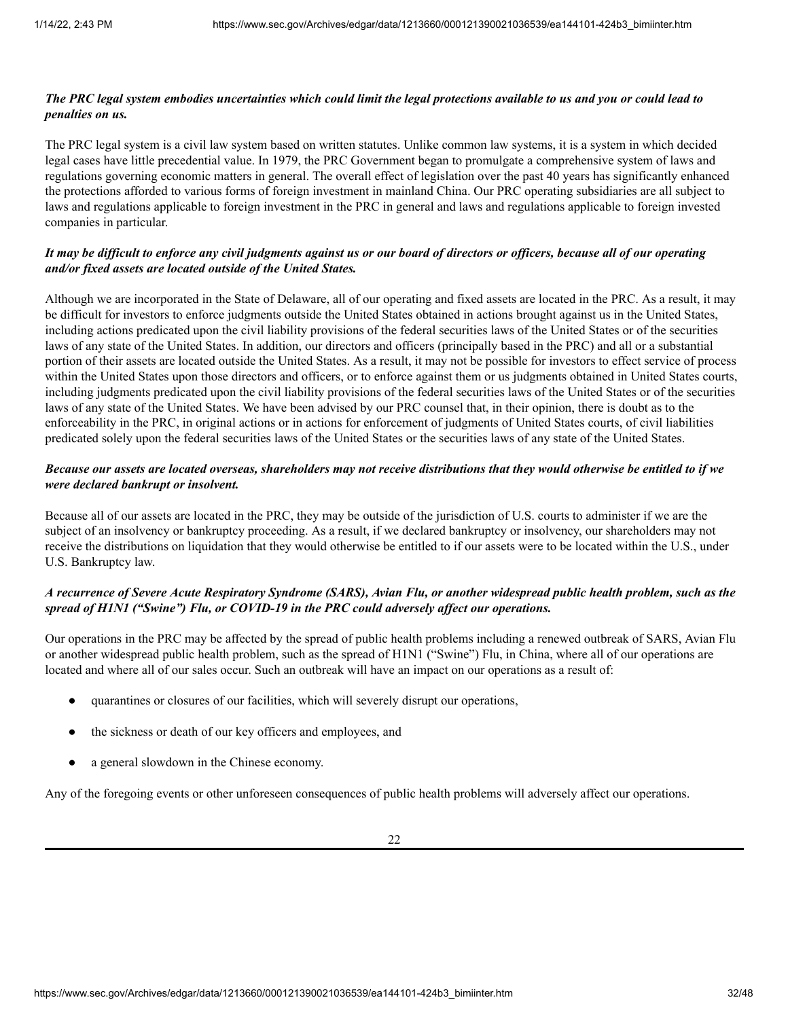## The PRC legal system embodies uncertainties which could limit the legal protections available to us and you or could lead to *penalties on us.*

The PRC legal system is a civil law system based on written statutes. Unlike common law systems, it is a system in which decided legal cases have little precedential value. In 1979, the PRC Government began to promulgate a comprehensive system of laws and regulations governing economic matters in general. The overall effect of legislation over the past 40 years has significantly enhanced the protections afforded to various forms of foreign investment in mainland China. Our PRC operating subsidiaries are all subject to laws and regulations applicable to foreign investment in the PRC in general and laws and regulations applicable to foreign invested companies in particular.

## It may be difficult to enforce any civil judgments against us or our board of directors or officers, because all of our operating *and/or fixed assets are located outside of the United States.*

Although we are incorporated in the State of Delaware, all of our operating and fixed assets are located in the PRC. As a result, it may be difficult for investors to enforce judgments outside the United States obtained in actions brought against us in the United States, including actions predicated upon the civil liability provisions of the federal securities laws of the United States or of the securities laws of any state of the United States. In addition, our directors and officers (principally based in the PRC) and all or a substantial portion of their assets are located outside the United States. As a result, it may not be possible for investors to effect service of process within the United States upon those directors and officers, or to enforce against them or us judgments obtained in United States courts, including judgments predicated upon the civil liability provisions of the federal securities laws of the United States or of the securities laws of any state of the United States. We have been advised by our PRC counsel that, in their opinion, there is doubt as to the enforceability in the PRC, in original actions or in actions for enforcement of judgments of United States courts, of civil liabilities predicated solely upon the federal securities laws of the United States or the securities laws of any state of the United States.

## Because our assets are located overseas, shareholders may not receive distributions that they would otherwise be entitled to if we *were declared bankrupt or insolvent.*

Because all of our assets are located in the PRC, they may be outside of the jurisdiction of U.S. courts to administer if we are the subject of an insolvency or bankruptcy proceeding. As a result, if we declared bankruptcy or insolvency, our shareholders may not receive the distributions on liquidation that they would otherwise be entitled to if our assets were to be located within the U.S., under U.S. Bankruptcy law.

## A recurrence of Severe Acute Respiratory Syndrome (SARS), Avian Flu, or another widespread public health problem, such as the *spread of H1N1 ("Swine") Flu, or COVID-19 in the PRC could adversely af ect our operations.*

Our operations in the PRC may be affected by the spread of public health problems including a renewed outbreak of SARS, Avian Flu or another widespread public health problem, such as the spread of H1N1 ("Swine") Flu, in China, where all of our operations are located and where all of our sales occur. Such an outbreak will have an impact on our operations as a result of:

- quarantines or closures of our facilities, which will severely disrupt our operations,
- the sickness or death of our key officers and employees, and
- a general slowdown in the Chinese economy.

Any of the foregoing events or other unforeseen consequences of public health problems will adversely affect our operations.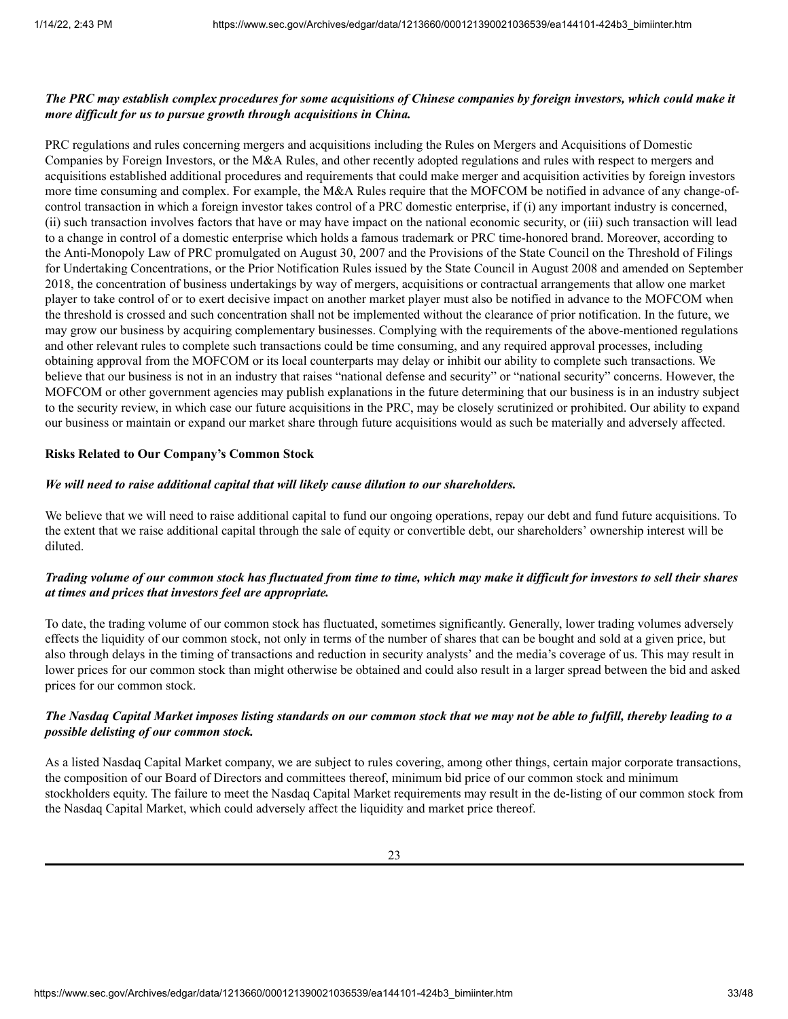## The PRC may establish complex procedures for some acquisitions of Chinese companies by foreign investors, which could make it *more dif icult for us to pursue growth through acquisitions in China.*

PRC regulations and rules concerning mergers and acquisitions including the Rules on Mergers and Acquisitions of Domestic Companies by Foreign Investors, or the M&A Rules, and other recently adopted regulations and rules with respect to mergers and acquisitions established additional procedures and requirements that could make merger and acquisition activities by foreign investors more time consuming and complex. For example, the M&A Rules require that the MOFCOM be notified in advance of any change-ofcontrol transaction in which a foreign investor takes control of a PRC domestic enterprise, if (i) any important industry is concerned, (ii) such transaction involves factors that have or may have impact on the national economic security, or (iii) such transaction will lead to a change in control of a domestic enterprise which holds a famous trademark or PRC time-honored brand. Moreover, according to the Anti-Monopoly Law of PRC promulgated on August 30, 2007 and the Provisions of the State Council on the Threshold of Filings for Undertaking Concentrations, or the Prior Notification Rules issued by the State Council in August 2008 and amended on September 2018, the concentration of business undertakings by way of mergers, acquisitions or contractual arrangements that allow one market player to take control of or to exert decisive impact on another market player must also be notified in advance to the MOFCOM when the threshold is crossed and such concentration shall not be implemented without the clearance of prior notification. In the future, we may grow our business by acquiring complementary businesses. Complying with the requirements of the above-mentioned regulations and other relevant rules to complete such transactions could be time consuming, and any required approval processes, including obtaining approval from the MOFCOM or its local counterparts may delay or inhibit our ability to complete such transactions. We believe that our business is not in an industry that raises "national defense and security" or "national security" concerns. However, the MOFCOM or other government agencies may publish explanations in the future determining that our business is in an industry subject to the security review, in which case our future acquisitions in the PRC, may be closely scrutinized or prohibited. Our ability to expand our business or maintain or expand our market share through future acquisitions would as such be materially and adversely affected.

### **Risks Related to Our Company's Common Stock**

### *We will need to raise additional capital that will likely cause dilution to our shareholders.*

We believe that we will need to raise additional capital to fund our ongoing operations, repay our debt and fund future acquisitions. To the extent that we raise additional capital through the sale of equity or convertible debt, our shareholders' ownership interest will be diluted.

## Trading volume of our common stock has fluctuated from time to time, which may make it difficult for investors to sell their shares *at times and prices that investors feel are appropriate.*

To date, the trading volume of our common stock has fluctuated, sometimes significantly. Generally, lower trading volumes adversely effects the liquidity of our common stock, not only in terms of the number of shares that can be bought and sold at a given price, but also through delays in the timing of transactions and reduction in security analysts' and the media's coverage of us. This may result in lower prices for our common stock than might otherwise be obtained and could also result in a larger spread between the bid and asked prices for our common stock.

## The Nasdaq Capital Market imposes listing standards on our common stock that we may not be able to fulfill, thereby leading to a *possible delisting of our common stock.*

As a listed Nasdaq Capital Market company, we are subject to rules covering, among other things, certain major corporate transactions, the composition of our Board of Directors and committees thereof, minimum bid price of our common stock and minimum stockholders equity. The failure to meet the Nasdaq Capital Market requirements may result in the de-listing of our common stock from the Nasdaq Capital Market, which could adversely affect the liquidity and market price thereof.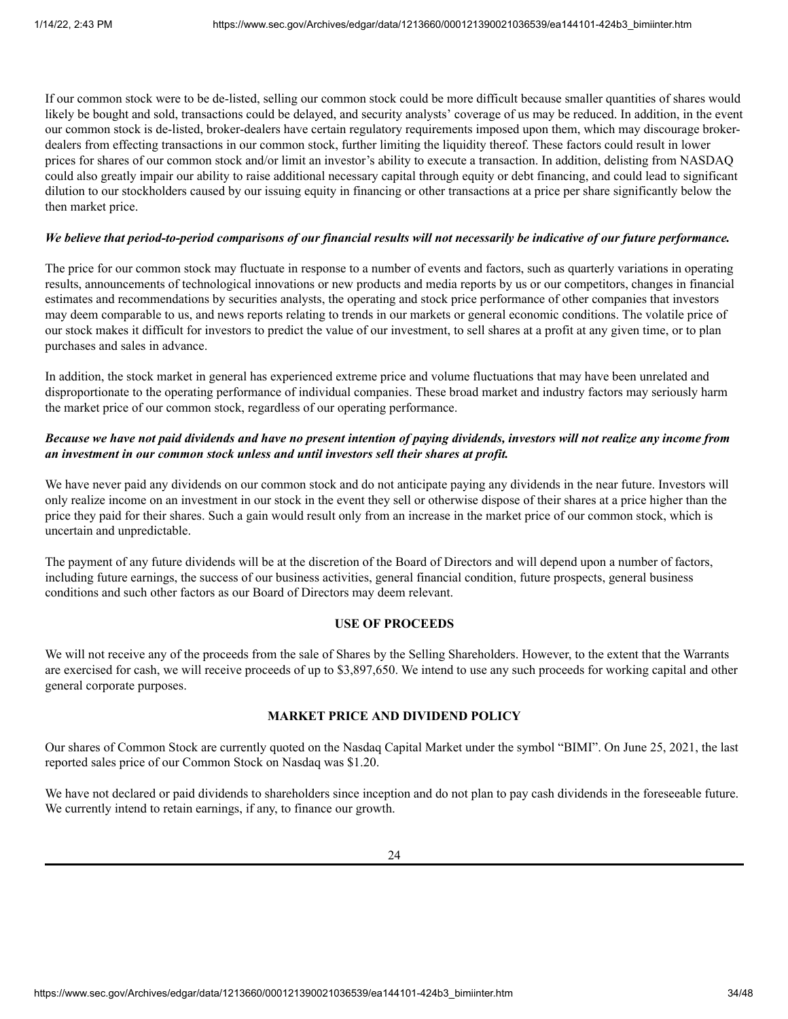If our common stock were to be de-listed, selling our common stock could be more difficult because smaller quantities of shares would likely be bought and sold, transactions could be delayed, and security analysts' coverage of us may be reduced. In addition, in the event our common stock is de-listed, broker-dealers have certain regulatory requirements imposed upon them, which may discourage brokerdealers from effecting transactions in our common stock, further limiting the liquidity thereof. These factors could result in lower prices for shares of our common stock and/or limit an investor's ability to execute a transaction. In addition, delisting from NASDAQ could also greatly impair our ability to raise additional necessary capital through equity or debt financing, and could lead to significant dilution to our stockholders caused by our issuing equity in financing or other transactions at a price per share significantly below the then market price.

#### We believe that period-to-period comparisons of our financial results will not necessarily be indicative of our future performance.

The price for our common stock may fluctuate in response to a number of events and factors, such as quarterly variations in operating results, announcements of technological innovations or new products and media reports by us or our competitors, changes in financial estimates and recommendations by securities analysts, the operating and stock price performance of other companies that investors may deem comparable to us, and news reports relating to trends in our markets or general economic conditions. The volatile price of our stock makes it difficult for investors to predict the value of our investment, to sell shares at a profit at any given time, or to plan purchases and sales in advance.

In addition, the stock market in general has experienced extreme price and volume fluctuations that may have been unrelated and disproportionate to the operating performance of individual companies. These broad market and industry factors may seriously harm the market price of our common stock, regardless of our operating performance.

## Because we have not paid dividends and have no present intention of paying dividends, investors will not realize any income from *an investment in our common stock unless and until investors sell their shares at profit.*

We have never paid any dividends on our common stock and do not anticipate paying any dividends in the near future. Investors will only realize income on an investment in our stock in the event they sell or otherwise dispose of their shares at a price higher than the price they paid for their shares. Such a gain would result only from an increase in the market price of our common stock, which is uncertain and unpredictable.

The payment of any future dividends will be at the discretion of the Board of Directors and will depend upon a number of factors, including future earnings, the success of our business activities, general financial condition, future prospects, general business conditions and such other factors as our Board of Directors may deem relevant.

## **USE OF PROCEEDS**

<span id="page-33-0"></span>We will not receive any of the proceeds from the sale of Shares by the Selling Shareholders. However, to the extent that the Warrants are exercised for cash, we will receive proceeds of up to \$3,897,650. We intend to use any such proceeds for working capital and other general corporate purposes.

## **MARKET PRICE AND DIVIDEND POLICY**

<span id="page-33-1"></span>Our shares of Common Stock are currently quoted on the Nasdaq Capital Market under the symbol "BIMI". On June 25, 2021, the last reported sales price of our Common Stock on Nasdaq was \$1.20.

We have not declared or paid dividends to shareholders since inception and do not plan to pay cash dividends in the foreseeable future. We currently intend to retain earnings, if any, to finance our growth.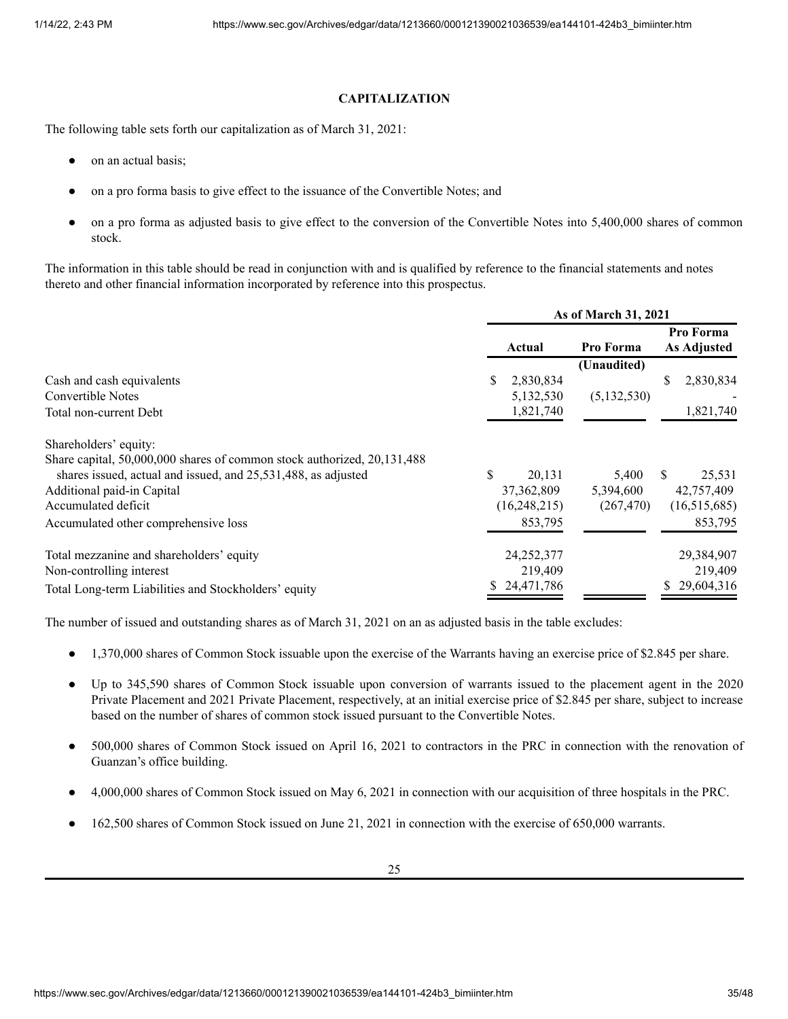## **CAPITALIZATION**

<span id="page-34-0"></span>The following table sets forth our capitalization as of March 31, 2021:

- on an actual basis;
- on a pro forma basis to give effect to the issuance of the Convertible Notes; and
- on a pro forma as adjusted basis to give effect to the conversion of the Convertible Notes into 5,400,000 shares of common stock.

The information in this table should be read in conjunction with and is qualified by reference to the financial statements and notes thereto and other financial information incorporated by reference into this prospectus.

|                                                                         | As of March 31, 2021 |             |                          |
|-------------------------------------------------------------------------|----------------------|-------------|--------------------------|
|                                                                         | Actual               | Pro Forma   | Pro Forma<br>As Adjusted |
|                                                                         |                      | (Unaudited) |                          |
| Cash and cash equivalents                                               | \$<br>2,830,834      |             | 2,830,834<br>\$          |
| Convertible Notes                                                       | 5,132,530            | (5,132,530) |                          |
| Total non-current Debt                                                  | 1,821,740            |             | 1,821,740                |
| Shareholders' equity:                                                   |                      |             |                          |
| Share capital, 50,000,000 shares of common stock authorized, 20,131,488 |                      |             |                          |
| shares issued, actual and issued, and 25,531,488, as adjusted           | \$<br>20,131         | 5,400       | 25,531<br>-S             |
| Additional paid-in Capital                                              | 37, 362, 809         | 5,394,600   | 42,757,409               |
| Accumulated deficit                                                     | (16, 248, 215)       | (267, 470)  | (16,515,685)             |
| Accumulated other comprehensive loss                                    | 853,795              |             | 853,795                  |
| Total mezzanine and shareholders' equity                                | 24,252,377           |             | 29,384,907               |
| Non-controlling interest                                                | 219,409              |             | 219,409                  |
| Total Long-term Liabilities and Stockholders' equity                    | 24,471,786           |             | 29,604,316               |

The number of issued and outstanding shares as of March 31, 2021 on an as adjusted basis in the table excludes:

- 1,370,000 shares of Common Stock issuable upon the exercise of the Warrants having an exercise price of \$2.845 per share.
- Up to 345,590 shares of Common Stock issuable upon conversion of warrants issued to the placement agent in the 2020 Private Placement and 2021 Private Placement, respectively, at an initial exercise price of \$2.845 per share, subject to increase based on the number of shares of common stock issued pursuant to the Convertible Notes.
- 500,000 shares of Common Stock issued on April 16, 2021 to contractors in the PRC in connection with the renovation of Guanzan's office building.
- 4,000,000 shares of Common Stock issued on May 6, 2021 in connection with our acquisition of three hospitals in the PRC.
- 162,500 shares of Common Stock issued on June 21, 2021 in connection with the exercise of 650,000 warrants.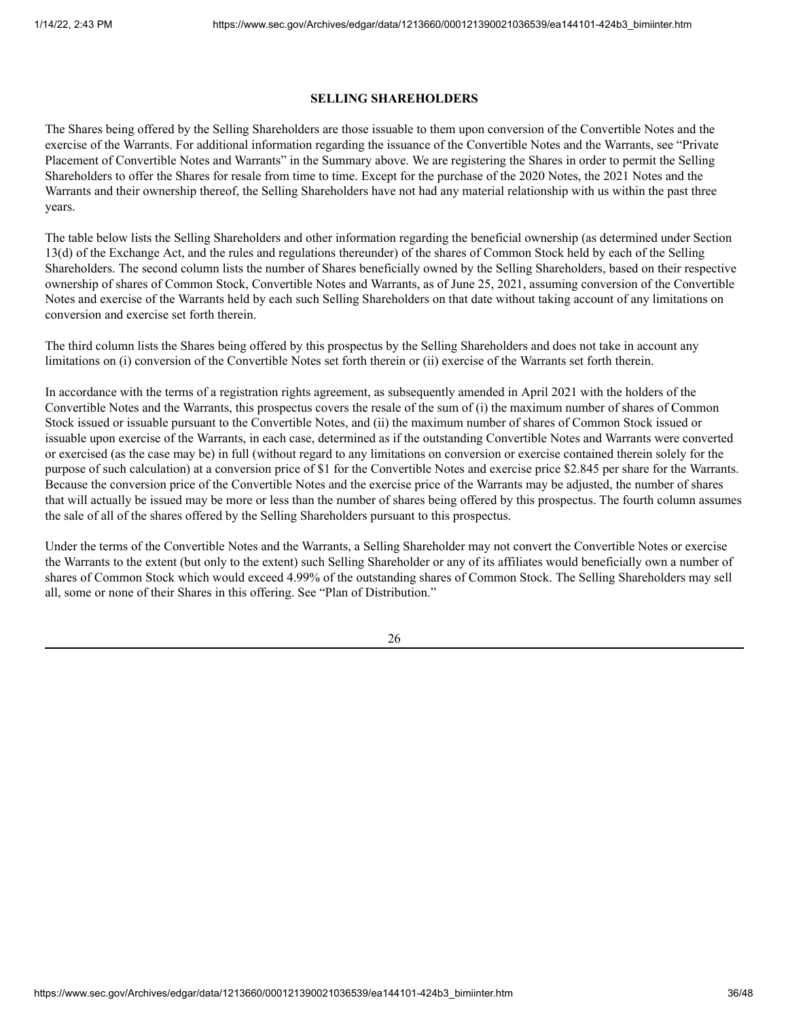## **SELLING SHAREHOLDERS**

<span id="page-35-0"></span>The Shares being offered by the Selling Shareholders are those issuable to them upon conversion of the Convertible Notes and the exercise of the Warrants. For additional information regarding the issuance of the Convertible Notes and the Warrants, see "Private Placement of Convertible Notes and Warrants" in the Summary above. We are registering the Shares in order to permit the Selling Shareholders to offer the Shares for resale from time to time. Except for the purchase of the 2020 Notes, the 2021 Notes and the Warrants and their ownership thereof, the Selling Shareholders have not had any material relationship with us within the past three years.

The table below lists the Selling Shareholders and other information regarding the beneficial ownership (as determined under Section 13(d) of the Exchange Act, and the rules and regulations thereunder) of the shares of Common Stock held by each of the Selling Shareholders. The second column lists the number of Shares beneficially owned by the Selling Shareholders, based on their respective ownership of shares of Common Stock, Convertible Notes and Warrants, as of June 25, 2021, assuming conversion of the Convertible Notes and exercise of the Warrants held by each such Selling Shareholders on that date without taking account of any limitations on conversion and exercise set forth therein.

The third column lists the Shares being offered by this prospectus by the Selling Shareholders and does not take in account any limitations on (i) conversion of the Convertible Notes set forth therein or (ii) exercise of the Warrants set forth therein.

In accordance with the terms of a registration rights agreement, as subsequently amended in April 2021 with the holders of the Convertible Notes and the Warrants, this prospectus covers the resale of the sum of (i) the maximum number of shares of Common Stock issued or issuable pursuant to the Convertible Notes, and (ii) the maximum number of shares of Common Stock issued or issuable upon exercise of the Warrants, in each case, determined as if the outstanding Convertible Notes and Warrants were converted or exercised (as the case may be) in full (without regard to any limitations on conversion or exercise contained therein solely for the purpose of such calculation) at a conversion price of \$1 for the Convertible Notes and exercise price \$2.845 per share for the Warrants. Because the conversion price of the Convertible Notes and the exercise price of the Warrants may be adjusted, the number of shares that will actually be issued may be more or less than the number of shares being offered by this prospectus. The fourth column assumes the sale of all of the shares offered by the Selling Shareholders pursuant to this prospectus.

Under the terms of the Convertible Notes and the Warrants, a Selling Shareholder may not convert the Convertible Notes or exercise the Warrants to the extent (but only to the extent) such Selling Shareholder or any of its affiliates would beneficially own a number of shares of Common Stock which would exceed 4.99% of the outstanding shares of Common Stock. The Selling Shareholders may sell all, some or none of their Shares in this offering. See "Plan of Distribution."

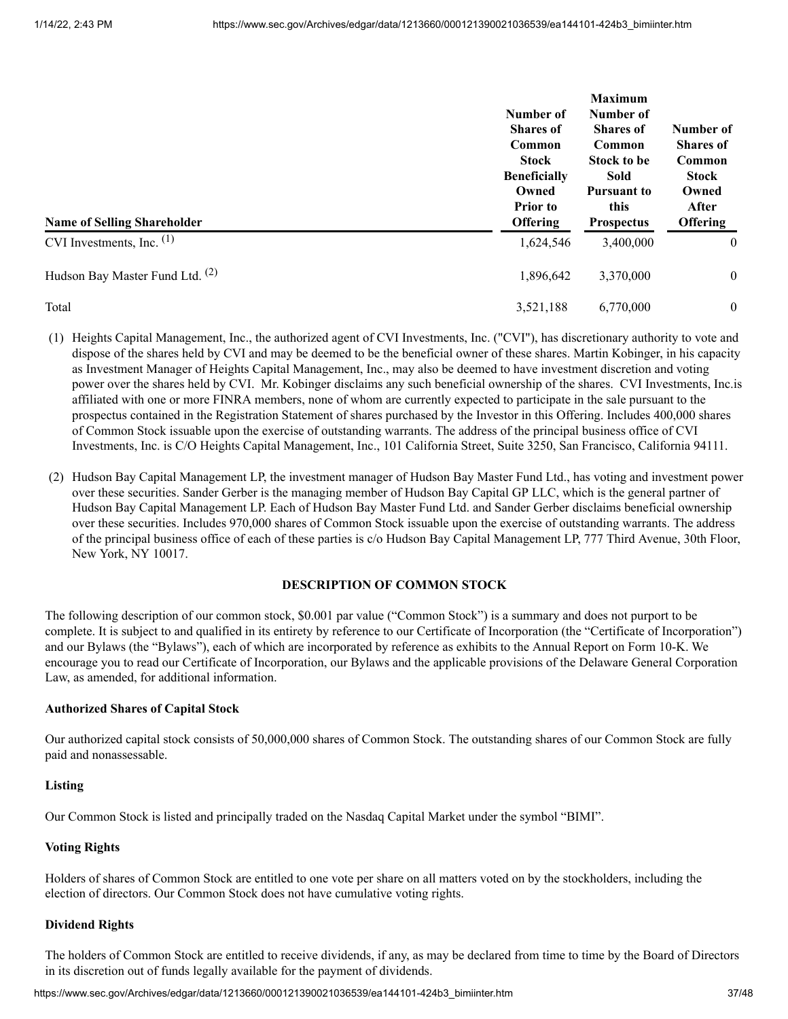| <b>Name of Selling Shareholder</b> | Number of<br><b>Shares of</b><br>Common<br><b>Stock</b><br><b>Beneficially</b><br>Owned<br><b>Prior</b> to<br><b>Offering</b> | <b>Maximum</b><br>Number of<br><b>Shares of</b><br>Common<br>Stock to be<br>Sold<br><b>Pursuant to</b><br>this<br><b>Prospectus</b> | Number of<br><b>Shares of</b><br>Common<br><b>Stock</b><br>Owned<br>After<br>Offering |
|------------------------------------|-------------------------------------------------------------------------------------------------------------------------------|-------------------------------------------------------------------------------------------------------------------------------------|---------------------------------------------------------------------------------------|
| CVI Investments, Inc. $(1)$        | 1,624,546                                                                                                                     | 3,400,000                                                                                                                           | $\mathbf{0}$                                                                          |
| Hudson Bay Master Fund Ltd. (2)    | 1,896,642                                                                                                                     | 3,370,000                                                                                                                           | $\mathbf{0}$                                                                          |
| Total                              | 3,521,188                                                                                                                     | 6,770,000                                                                                                                           | $\mathbf{0}$                                                                          |

- (1) Heights Capital Management, Inc., the authorized agent of CVI Investments, Inc. ("CVI"), has discretionary authority to vote and dispose of the shares held by CVI and may be deemed to be the beneficial owner of these shares. Martin Kobinger, in his capacity as Investment Manager of Heights Capital Management, Inc., may also be deemed to have investment discretion and voting power over the shares held by CVI. Mr. Kobinger disclaims any such beneficial ownership of the shares. CVI Investments, Inc.is affiliated with one or more FINRA members, none of whom are currently expected to participate in the sale pursuant to the prospectus contained in the Registration Statement of shares purchased by the Investor in this Offering. Includes 400,000 shares of Common Stock issuable upon the exercise of outstanding warrants. The address of the principal business office of CVI Investments, Inc. is C/O Heights Capital Management, Inc., 101 California Street, Suite 3250, San Francisco, California 94111.
- (2) Hudson Bay Capital Management LP, the investment manager of Hudson Bay Master Fund Ltd., has voting and investment power over these securities. Sander Gerber is the managing member of Hudson Bay Capital GP LLC, which is the general partner of Hudson Bay Capital Management LP. Each of Hudson Bay Master Fund Ltd. and Sander Gerber disclaims beneficial ownership over these securities. Includes 970,000 shares of Common Stock issuable upon the exercise of outstanding warrants. The address of the principal business office of each of these parties is c/o Hudson Bay Capital Management LP, 777 Third Avenue, 30th Floor, New York, NY 10017.

## **DESCRIPTION OF COMMON STOCK**

<span id="page-36-0"></span>The following description of our common stock, \$0.001 par value ("Common Stock") is a summary and does not purport to be complete. It is subject to and qualified in its entirety by reference to our Certificate of Incorporation (the "Certificate of Incorporation") and our Bylaws (the "Bylaws"), each of which are incorporated by reference as exhibits to the Annual Report on Form 10-K. We encourage you to read our Certificate of Incorporation, our Bylaws and the applicable provisions of the Delaware General Corporation Law, as amended, for additional information.

#### **Authorized Shares of Capital Stock**

Our authorized capital stock consists of 50,000,000 shares of Common Stock. The outstanding shares of our Common Stock are fully paid and nonassessable.

#### **Listing**

Our Common Stock is listed and principally traded on the Nasdaq Capital Market under the symbol "BIMI".

#### **Voting Rights**

Holders of shares of Common Stock are entitled to one vote per share on all matters voted on by the stockholders, including the election of directors. Our Common Stock does not have cumulative voting rights.

#### **Dividend Rights**

The holders of Common Stock are entitled to receive dividends, if any, as may be declared from time to time by the Board of Directors in its discretion out of funds legally available for the payment of dividends.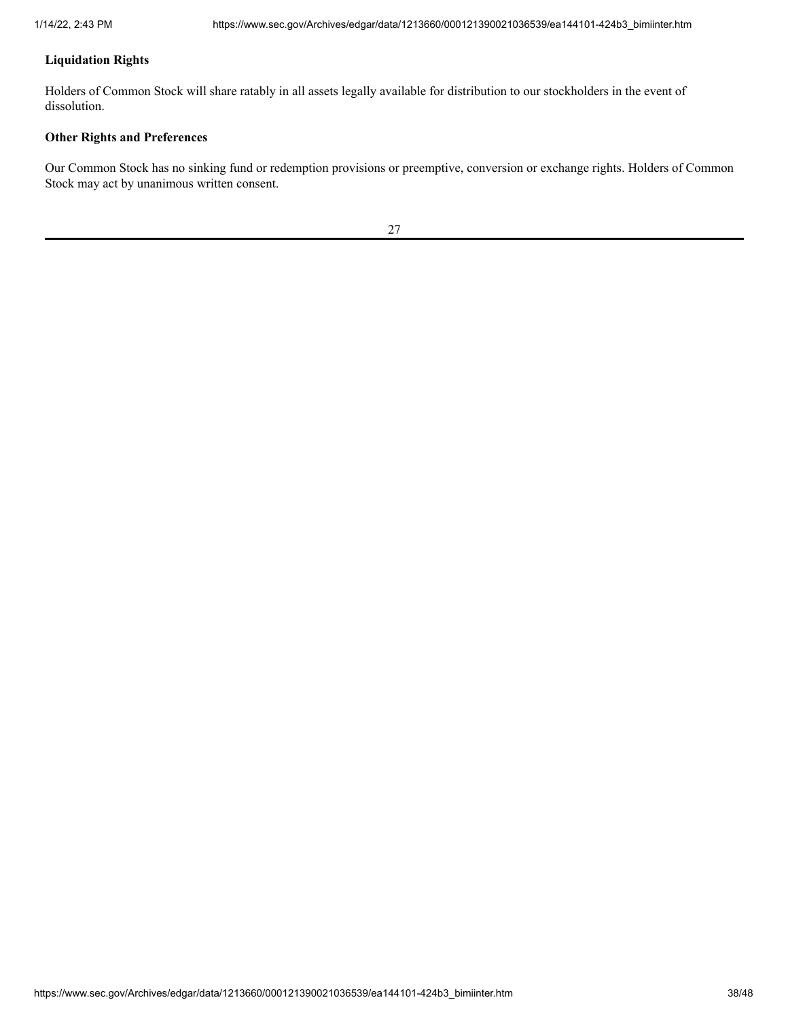## **Liquidation Rights**

Holders of Common Stock will share ratably in all assets legally available for distribution to our stockholders in the event of dissolution.

## **Other Rights and Preferences**

Our Common Stock has no sinking fund or redemption provisions or preemptive, conversion or exchange rights. Holders of Common Stock may act by unanimous written consent.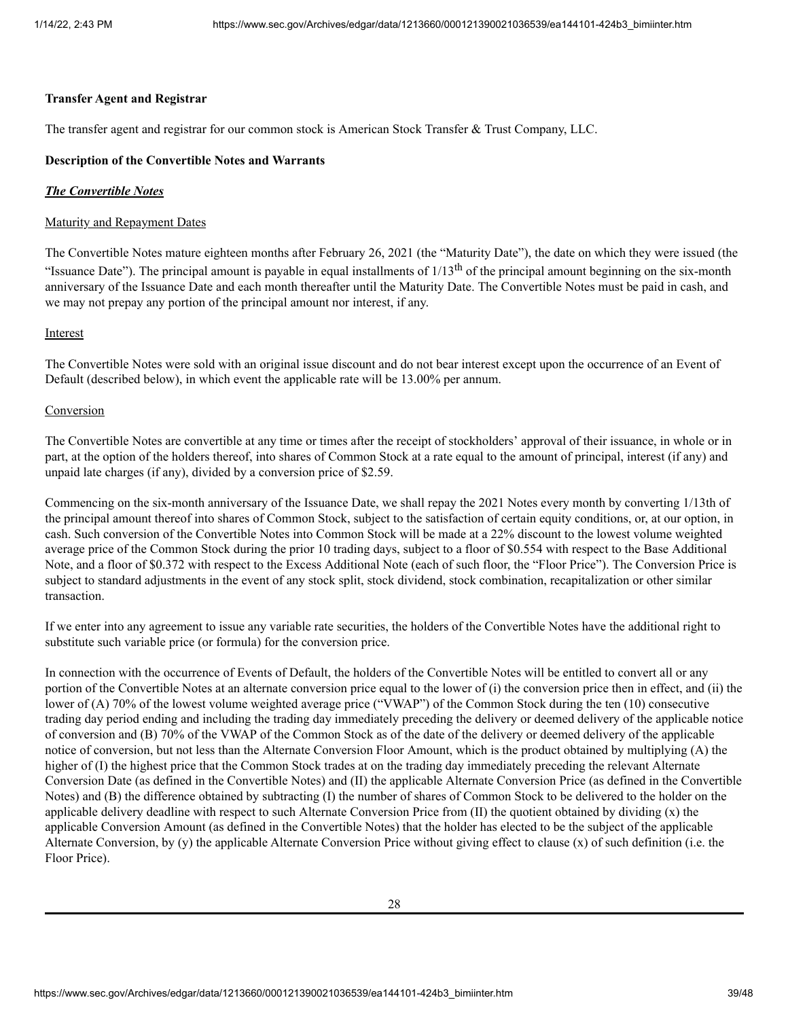#### **Transfer Agent and Registrar**

The transfer agent and registrar for our common stock is American Stock Transfer & Trust Company, LLC.

#### **Description of the Convertible Notes and Warrants**

#### *The Convertible Notes*

#### Maturity and Repayment Dates

The Convertible Notes mature eighteen months after February 26, 2021 (the "Maturity Date"), the date on which they were issued (the "Issuance Date"). The principal amount is payable in equal installments of 1/13<sup>th</sup> of the principal amount beginning on the six-month anniversary of the Issuance Date and each month thereafter until the Maturity Date. The Convertible Notes must be paid in cash, and we may not prepay any portion of the principal amount nor interest, if any.

#### Interest

The Convertible Notes were sold with an original issue discount and do not bear interest except upon the occurrence of an Event of Default (described below), in which event the applicable rate will be 13.00% per annum.

#### **Conversion**

The Convertible Notes are convertible at any time or times after the receipt of stockholders' approval of their issuance, in whole or in part, at the option of the holders thereof, into shares of Common Stock at a rate equal to the amount of principal, interest (if any) and unpaid late charges (if any), divided by a conversion price of \$2.59.

Commencing on the six-month anniversary of the Issuance Date, we shall repay the 2021 Notes every month by converting 1/13th of the principal amount thereof into shares of Common Stock, subject to the satisfaction of certain equity conditions, or, at our option, in cash. Such conversion of the Convertible Notes into Common Stock will be made at a 22% discount to the lowest volume weighted average price of the Common Stock during the prior 10 trading days, subject to a floor of \$0.554 with respect to the Base Additional Note, and a floor of \$0.372 with respect to the Excess Additional Note (each of such floor, the "Floor Price"). The Conversion Price is subject to standard adjustments in the event of any stock split, stock dividend, stock combination, recapitalization or other similar transaction.

If we enter into any agreement to issue any variable rate securities, the holders of the Convertible Notes have the additional right to substitute such variable price (or formula) for the conversion price.

In connection with the occurrence of Events of Default, the holders of the Convertible Notes will be entitled to convert all or any portion of the Convertible Notes at an alternate conversion price equal to the lower of (i) the conversion price then in effect, and (ii) the lower of (A) 70% of the lowest volume weighted average price ("VWAP") of the Common Stock during the ten (10) consecutive trading day period ending and including the trading day immediately preceding the delivery or deemed delivery of the applicable notice of conversion and (B) 70% of the VWAP of the Common Stock as of the date of the delivery or deemed delivery of the applicable notice of conversion, but not less than the Alternate Conversion Floor Amount, which is the product obtained by multiplying (A) the higher of (I) the highest price that the Common Stock trades at on the trading day immediately preceding the relevant Alternate Conversion Date (as defined in the Convertible Notes) and (II) the applicable Alternate Conversion Price (as defined in the Convertible Notes) and (B) the difference obtained by subtracting (I) the number of shares of Common Stock to be delivered to the holder on the applicable delivery deadline with respect to such Alternate Conversion Price from (II) the quotient obtained by dividing (x) the applicable Conversion Amount (as defined in the Convertible Notes) that the holder has elected to be the subject of the applicable Alternate Conversion, by (y) the applicable Alternate Conversion Price without giving effect to clause (x) of such definition (i.e. the Floor Price).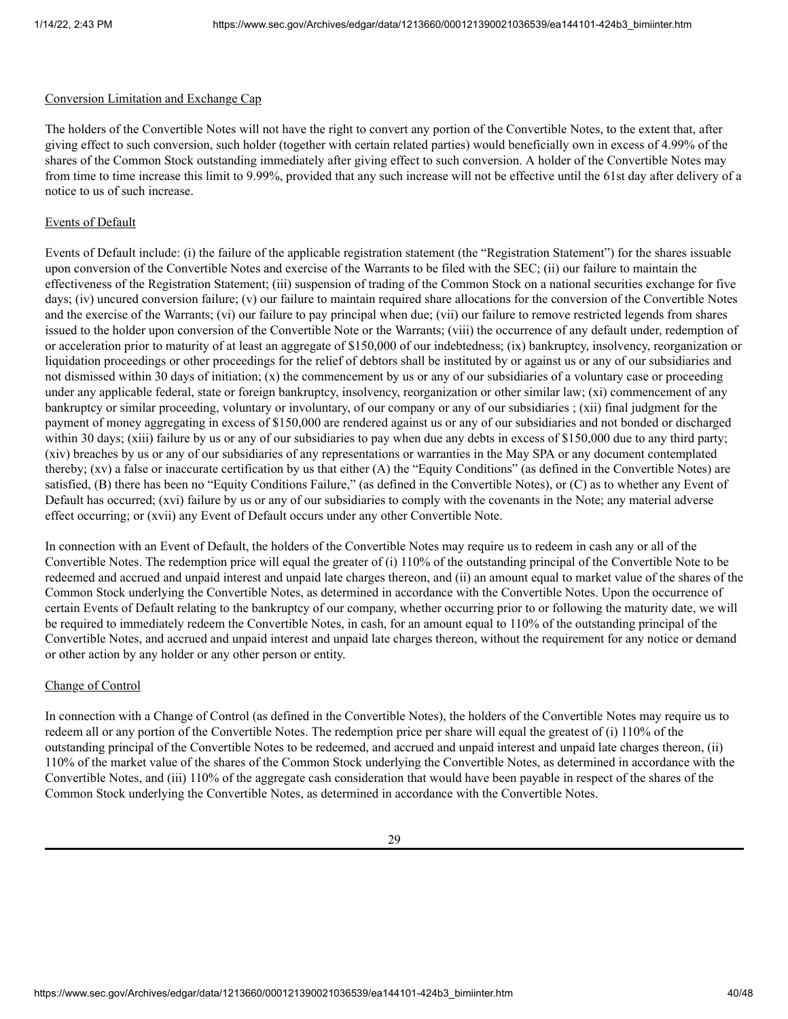## Conversion Limitation and Exchange Cap

The holders of the Convertible Notes will not have the right to convert any portion of the Convertible Notes, to the extent that, after giving effect to such conversion, such holder (together with certain related parties) would beneficially own in excess of 4.99% of the shares of the Common Stock outstanding immediately after giving effect to such conversion. A holder of the Convertible Notes may from time to time increase this limit to 9.99%, provided that any such increase will not be effective until the 61st day after delivery of a notice to us of such increase.

## Events of Default

Events of Default include: (i) the failure of the applicable registration statement (the "Registration Statement") for the shares issuable upon conversion of the Convertible Notes and exercise of the Warrants to be filed with the SEC; (ii) our failure to maintain the effectiveness of the Registration Statement; (iii) suspension of trading of the Common Stock on a national securities exchange for five days; (iv) uncured conversion failure; (v) our failure to maintain required share allocations for the conversion of the Convertible Notes and the exercise of the Warrants; (vi) our failure to pay principal when due; (vii) our failure to remove restricted legends from shares issued to the holder upon conversion of the Convertible Note or the Warrants; (viii) the occurrence of any default under, redemption of or acceleration prior to maturity of at least an aggregate of \$150,000 of our indebtedness; (ix) bankruptcy, insolvency, reorganization or liquidation proceedings or other proceedings for the relief of debtors shall be instituted by or against us or any of our subsidiaries and not dismissed within 30 days of initiation; (x) the commencement by us or any of our subsidiaries of a voluntary case or proceeding under any applicable federal, state or foreign bankruptcy, insolvency, reorganization or other similar law; (xi) commencement of any bankruptcy or similar proceeding, voluntary or involuntary, of our company or any of our subsidiaries ; (xii) final judgment for the payment of money aggregating in excess of \$150,000 are rendered against us or any of our subsidiaries and not bonded or discharged within 30 days; (xiii) failure by us or any of our subsidiaries to pay when due any debts in excess of \$150,000 due to any third party; (xiv) breaches by us or any of our subsidiaries of any representations or warranties in the May SPA or any document contemplated thereby; (xv) a false or inaccurate certification by us that either (A) the "Equity Conditions" (as defined in the Convertible Notes) are satisfied, (B) there has been no "Equity Conditions Failure," (as defined in the Convertible Notes), or (C) as to whether any Event of Default has occurred; (xvi) failure by us or any of our subsidiaries to comply with the covenants in the Note; any material adverse effect occurring; or (xvii) any Event of Default occurs under any other Convertible Note.

In connection with an Event of Default, the holders of the Convertible Notes may require us to redeem in cash any or all of the Convertible Notes. The redemption price will equal the greater of (i) 110% of the outstanding principal of the Convertible Note to be redeemed and accrued and unpaid interest and unpaid late charges thereon, and (ii) an amount equal to market value of the shares of the Common Stock underlying the Convertible Notes, as determined in accordance with the Convertible Notes. Upon the occurrence of certain Events of Default relating to the bankruptcy of our company, whether occurring prior to or following the maturity date, we will be required to immediately redeem the Convertible Notes, in cash, for an amount equal to 110% of the outstanding principal of the Convertible Notes, and accrued and unpaid interest and unpaid late charges thereon, without the requirement for any notice or demand or other action by any holder or any other person or entity.

#### Change of Control

In connection with a Change of Control (as defined in the Convertible Notes), the holders of the Convertible Notes may require us to redeem all or any portion of the Convertible Notes. The redemption price per share will equal the greatest of (i) 110% of the outstanding principal of the Convertible Notes to be redeemed, and accrued and unpaid interest and unpaid late charges thereon, (ii) 110% of the market value of the shares of the Common Stock underlying the Convertible Notes, as determined in accordance with the Convertible Notes, and (iii) 110% of the aggregate cash consideration that would have been payable in respect of the shares of the Common Stock underlying the Convertible Notes, as determined in accordance with the Convertible Notes.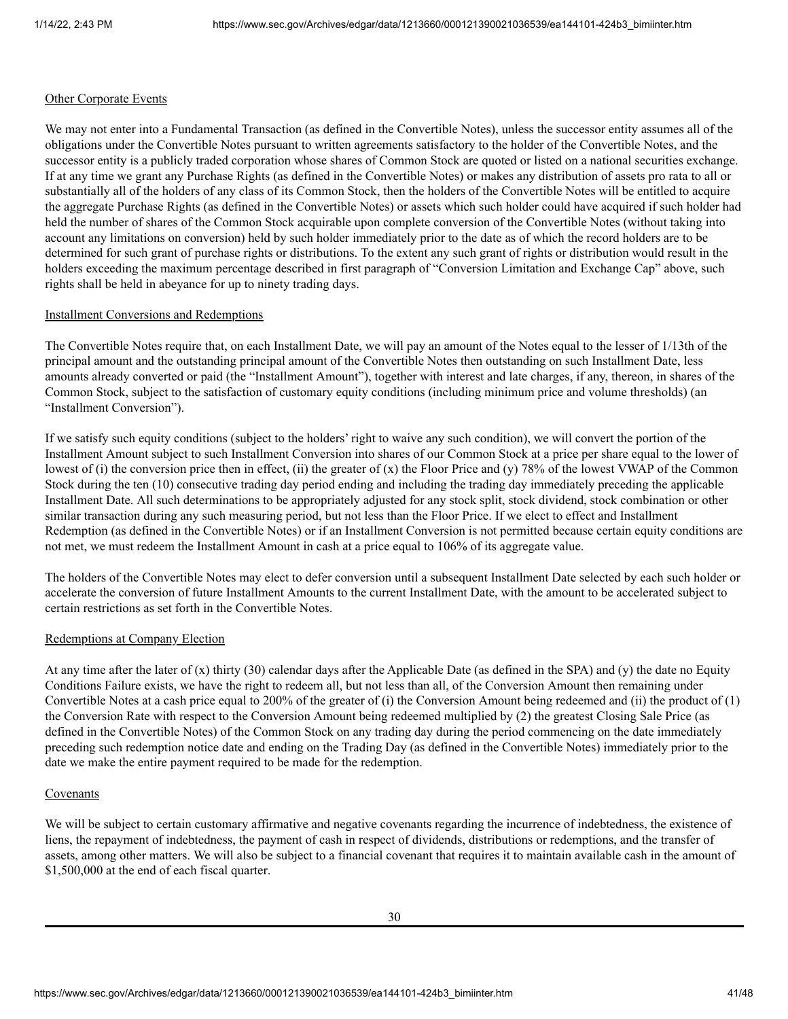### Other Corporate Events

We may not enter into a Fundamental Transaction (as defined in the Convertible Notes), unless the successor entity assumes all of the obligations under the Convertible Notes pursuant to written agreements satisfactory to the holder of the Convertible Notes, and the successor entity is a publicly traded corporation whose shares of Common Stock are quoted or listed on a national securities exchange. If at any time we grant any Purchase Rights (as defined in the Convertible Notes) or makes any distribution of assets pro rata to all or substantially all of the holders of any class of its Common Stock, then the holders of the Convertible Notes will be entitled to acquire the aggregate Purchase Rights (as defined in the Convertible Notes) or assets which such holder could have acquired if such holder had held the number of shares of the Common Stock acquirable upon complete conversion of the Convertible Notes (without taking into account any limitations on conversion) held by such holder immediately prior to the date as of which the record holders are to be determined for such grant of purchase rights or distributions. To the extent any such grant of rights or distribution would result in the holders exceeding the maximum percentage described in first paragraph of "Conversion Limitation and Exchange Cap" above, such rights shall be held in abeyance for up to ninety trading days.

### Installment Conversions and Redemptions

The Convertible Notes require that, on each Installment Date, we will pay an amount of the Notes equal to the lesser of 1/13th of the principal amount and the outstanding principal amount of the Convertible Notes then outstanding on such Installment Date, less amounts already converted or paid (the "Installment Amount"), together with interest and late charges, if any, thereon, in shares of the Common Stock, subject to the satisfaction of customary equity conditions (including minimum price and volume thresholds) (an "Installment Conversion").

If we satisfy such equity conditions (subject to the holders' right to waive any such condition), we will convert the portion of the Installment Amount subject to such Installment Conversion into shares of our Common Stock at a price per share equal to the lower of lowest of (i) the conversion price then in effect, (ii) the greater of (x) the Floor Price and (y) 78% of the lowest VWAP of the Common Stock during the ten (10) consecutive trading day period ending and including the trading day immediately preceding the applicable Installment Date. All such determinations to be appropriately adjusted for any stock split, stock dividend, stock combination or other similar transaction during any such measuring period, but not less than the Floor Price. If we elect to effect and Installment Redemption (as defined in the Convertible Notes) or if an Installment Conversion is not permitted because certain equity conditions are not met, we must redeem the Installment Amount in cash at a price equal to 106% of its aggregate value.

The holders of the Convertible Notes may elect to defer conversion until a subsequent Installment Date selected by each such holder or accelerate the conversion of future Installment Amounts to the current Installment Date, with the amount to be accelerated subject to certain restrictions as set forth in the Convertible Notes.

#### Redemptions at Company Election

At any time after the later of (x) thirty (30) calendar days after the Applicable Date (as defined in the SPA) and (y) the date no Equity Conditions Failure exists, we have the right to redeem all, but not less than all, of the Conversion Amount then remaining under Convertible Notes at a cash price equal to 200% of the greater of (i) the Conversion Amount being redeemed and (ii) the product of (1) the Conversion Rate with respect to the Conversion Amount being redeemed multiplied by (2) the greatest Closing Sale Price (as defined in the Convertible Notes) of the Common Stock on any trading day during the period commencing on the date immediately preceding such redemption notice date and ending on the Trading Day (as defined in the Convertible Notes) immediately prior to the date we make the entire payment required to be made for the redemption.

#### **Covenants**

We will be subject to certain customary affirmative and negative covenants regarding the incurrence of indebtedness, the existence of liens, the repayment of indebtedness, the payment of cash in respect of dividends, distributions or redemptions, and the transfer of assets, among other matters. We will also be subject to a financial covenant that requires it to maintain available cash in the amount of \$1,500,000 at the end of each fiscal quarter.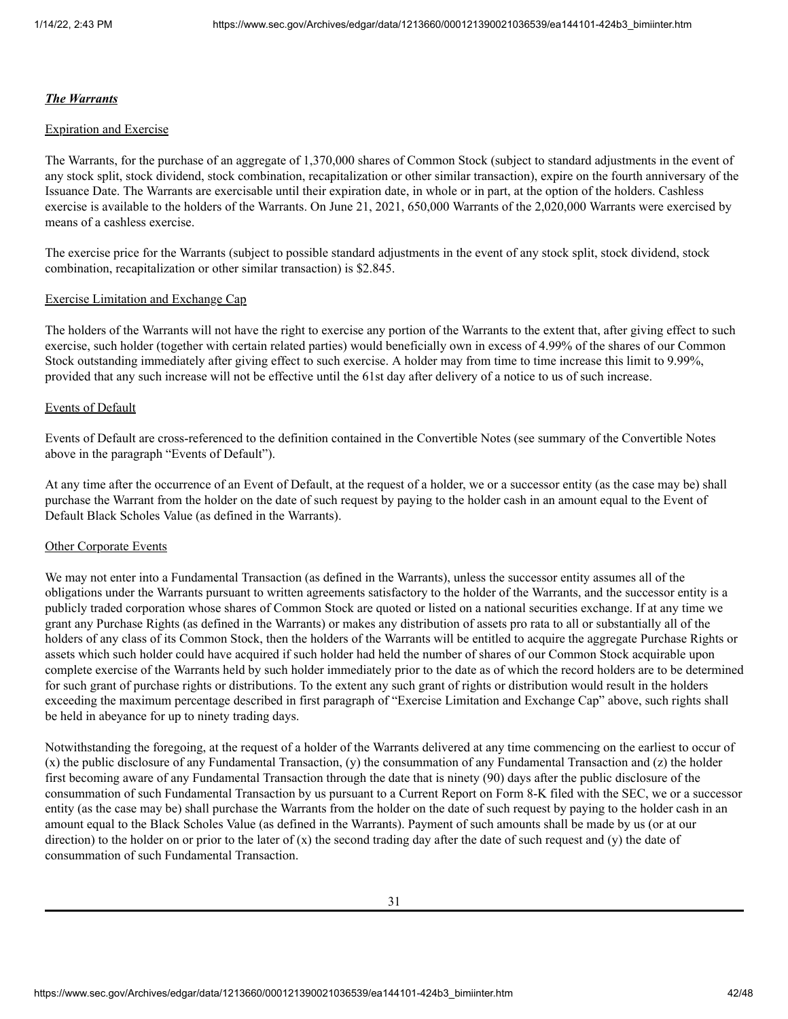## *The Warrants*

#### Expiration and Exercise

The Warrants, for the purchase of an aggregate of 1,370,000 shares of Common Stock (subject to standard adjustments in the event of any stock split, stock dividend, stock combination, recapitalization or other similar transaction), expire on the fourth anniversary of the Issuance Date. The Warrants are exercisable until their expiration date, in whole or in part, at the option of the holders. Cashless exercise is available to the holders of the Warrants. On June 21, 2021, 650,000 Warrants of the 2,020,000 Warrants were exercised by means of a cashless exercise.

The exercise price for the Warrants (subject to possible standard adjustments in the event of any stock split, stock dividend, stock combination, recapitalization or other similar transaction) is \$2.845.

#### Exercise Limitation and Exchange Cap

The holders of the Warrants will not have the right to exercise any portion of the Warrants to the extent that, after giving effect to such exercise, such holder (together with certain related parties) would beneficially own in excess of 4.99% of the shares of our Common Stock outstanding immediately after giving effect to such exercise. A holder may from time to time increase this limit to 9.99%, provided that any such increase will not be effective until the 61st day after delivery of a notice to us of such increase.

### Events of Default

Events of Default are cross-referenced to the definition contained in the Convertible Notes (see summary of the Convertible Notes above in the paragraph "Events of Default").

At any time after the occurrence of an Event of Default, at the request of a holder, we or a successor entity (as the case may be) shall purchase the Warrant from the holder on the date of such request by paying to the holder cash in an amount equal to the Event of Default Black Scholes Value (as defined in the Warrants).

#### Other Corporate Events

We may not enter into a Fundamental Transaction (as defined in the Warrants), unless the successor entity assumes all of the obligations under the Warrants pursuant to written agreements satisfactory to the holder of the Warrants, and the successor entity is a publicly traded corporation whose shares of Common Stock are quoted or listed on a national securities exchange. If at any time we grant any Purchase Rights (as defined in the Warrants) or makes any distribution of assets pro rata to all or substantially all of the holders of any class of its Common Stock, then the holders of the Warrants will be entitled to acquire the aggregate Purchase Rights or assets which such holder could have acquired if such holder had held the number of shares of our Common Stock acquirable upon complete exercise of the Warrants held by such holder immediately prior to the date as of which the record holders are to be determined for such grant of purchase rights or distributions. To the extent any such grant of rights or distribution would result in the holders exceeding the maximum percentage described in first paragraph of "Exercise Limitation and Exchange Cap" above, such rights shall be held in abeyance for up to ninety trading days.

Notwithstanding the foregoing, at the request of a holder of the Warrants delivered at any time commencing on the earliest to occur of (x) the public disclosure of any Fundamental Transaction, (y) the consummation of any Fundamental Transaction and (z) the holder first becoming aware of any Fundamental Transaction through the date that is ninety (90) days after the public disclosure of the consummation of such Fundamental Transaction by us pursuant to a Current Report on Form 8-K filed with the SEC, we or a successor entity (as the case may be) shall purchase the Warrants from the holder on the date of such request by paying to the holder cash in an amount equal to the Black Scholes Value (as defined in the Warrants). Payment of such amounts shall be made by us (or at our direction) to the holder on or prior to the later of  $(x)$  the second trading day after the date of such request and  $(y)$  the date of consummation of such Fundamental Transaction.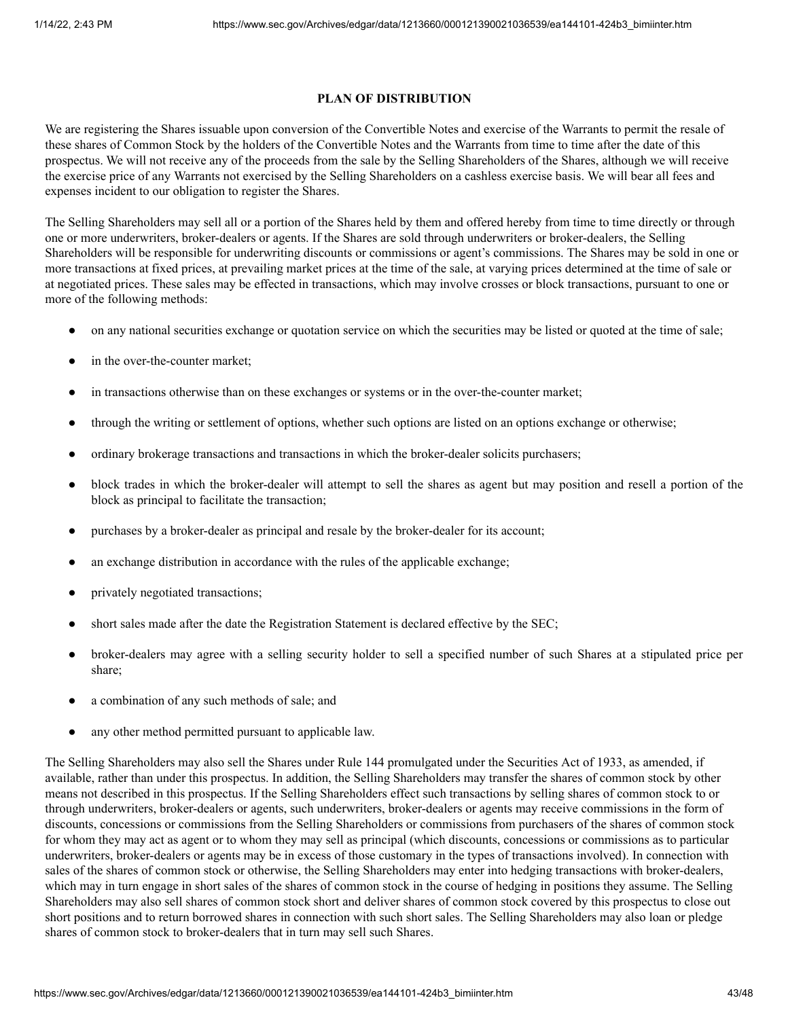## **PLAN OF DISTRIBUTION**

<span id="page-42-0"></span>We are registering the Shares issuable upon conversion of the Convertible Notes and exercise of the Warrants to permit the resale of these shares of Common Stock by the holders of the Convertible Notes and the Warrants from time to time after the date of this prospectus. We will not receive any of the proceeds from the sale by the Selling Shareholders of the Shares, although we will receive the exercise price of any Warrants not exercised by the Selling Shareholders on a cashless exercise basis. We will bear all fees and expenses incident to our obligation to register the Shares.

The Selling Shareholders may sell all or a portion of the Shares held by them and offered hereby from time to time directly or through one or more underwriters, broker-dealers or agents. If the Shares are sold through underwriters or broker-dealers, the Selling Shareholders will be responsible for underwriting discounts or commissions or agent's commissions. The Shares may be sold in one or more transactions at fixed prices, at prevailing market prices at the time of the sale, at varying prices determined at the time of sale or at negotiated prices. These sales may be effected in transactions, which may involve crosses or block transactions, pursuant to one or more of the following methods:

- on any national securities exchange or quotation service on which the securities may be listed or quoted at the time of sale;
- in the over-the-counter market;
- in transactions otherwise than on these exchanges or systems or in the over-the-counter market;
- through the writing or settlement of options, whether such options are listed on an options exchange or otherwise;
- ordinary brokerage transactions and transactions in which the broker-dealer solicits purchasers;
- block trades in which the broker-dealer will attempt to sell the shares as agent but may position and resell a portion of the block as principal to facilitate the transaction;
- purchases by a broker-dealer as principal and resale by the broker-dealer for its account;
- an exchange distribution in accordance with the rules of the applicable exchange;
- privately negotiated transactions;
- short sales made after the date the Registration Statement is declared effective by the SEC;
- broker-dealers may agree with a selling security holder to sell a specified number of such Shares at a stipulated price per share;
- a combination of any such methods of sale; and
- any other method permitted pursuant to applicable law.

The Selling Shareholders may also sell the Shares under Rule 144 promulgated under the Securities Act of 1933, as amended, if available, rather than under this prospectus. In addition, the Selling Shareholders may transfer the shares of common stock by other means not described in this prospectus. If the Selling Shareholders effect such transactions by selling shares of common stock to or through underwriters, broker-dealers or agents, such underwriters, broker-dealers or agents may receive commissions in the form of discounts, concessions or commissions from the Selling Shareholders or commissions from purchasers of the shares of common stock for whom they may act as agent or to whom they may sell as principal (which discounts, concessions or commissions as to particular underwriters, broker-dealers or agents may be in excess of those customary in the types of transactions involved). In connection with sales of the shares of common stock or otherwise, the Selling Shareholders may enter into hedging transactions with broker-dealers, which may in turn engage in short sales of the shares of common stock in the course of hedging in positions they assume. The Selling Shareholders may also sell shares of common stock short and deliver shares of common stock covered by this prospectus to close out short positions and to return borrowed shares in connection with such short sales. The Selling Shareholders may also loan or pledge shares of common stock to broker-dealers that in turn may sell such Shares.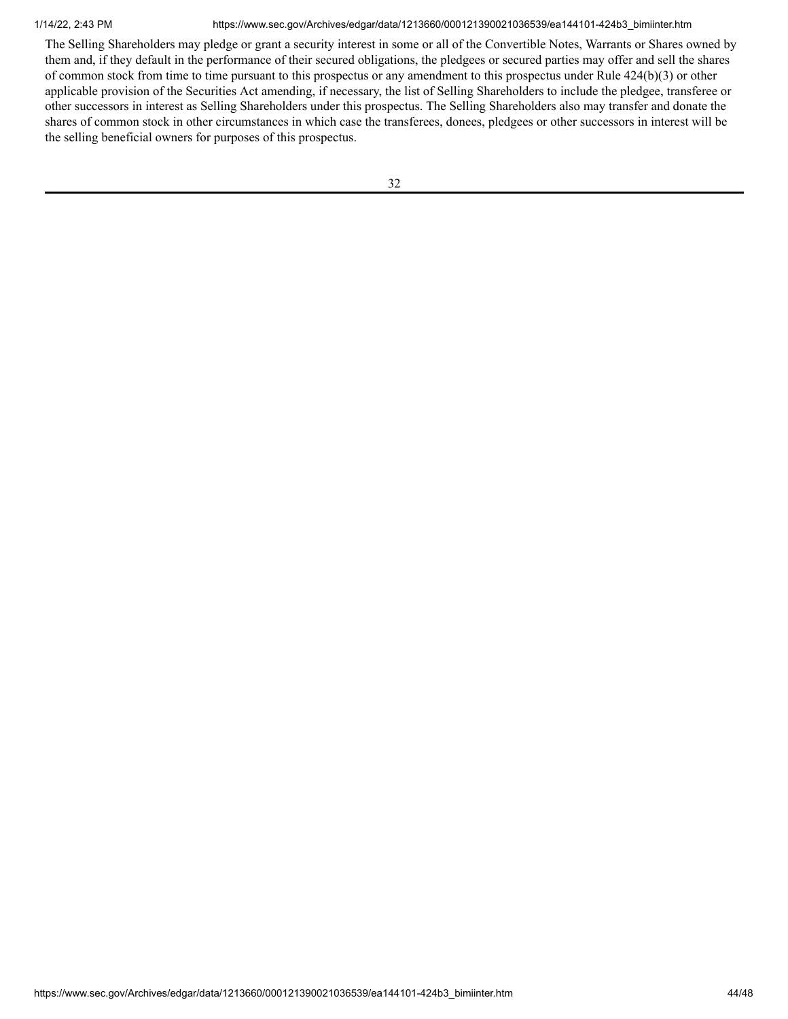#### 1/14/22, 2:43 PM https://www.sec.gov/Archives/edgar/data/1213660/000121390021036539/ea144101-424b3\_bimiinter.htm

The Selling Shareholders may pledge or grant a security interest in some or all of the Convertible Notes, Warrants or Shares owned by them and, if they default in the performance of their secured obligations, the pledgees or secured parties may offer and sell the shares of common stock from time to time pursuant to this prospectus or any amendment to this prospectus under Rule 424(b)(3) or other applicable provision of the Securities Act amending, if necessary, the list of Selling Shareholders to include the pledgee, transferee or other successors in interest as Selling Shareholders under this prospectus. The Selling Shareholders also may transfer and donate the shares of common stock in other circumstances in which case the transferees, donees, pledgees or other successors in interest will be the selling beneficial owners for purposes of this prospectus.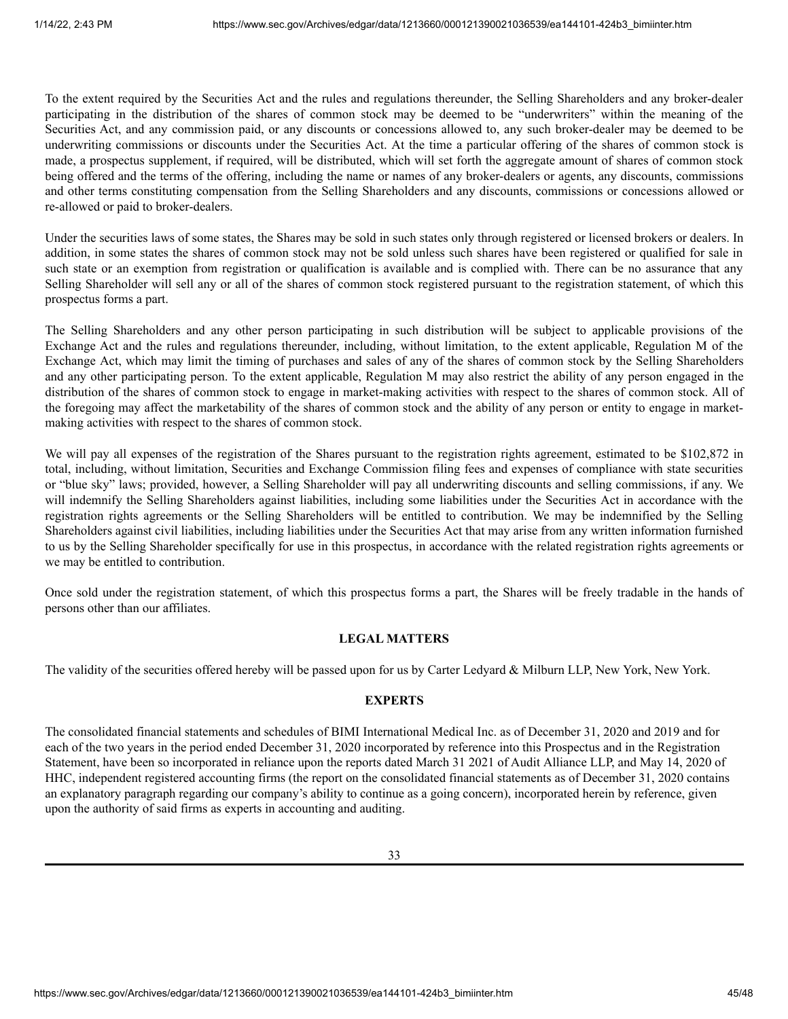To the extent required by the Securities Act and the rules and regulations thereunder, the Selling Shareholders and any broker-dealer participating in the distribution of the shares of common stock may be deemed to be "underwriters" within the meaning of the Securities Act, and any commission paid, or any discounts or concessions allowed to, any such broker-dealer may be deemed to be underwriting commissions or discounts under the Securities Act. At the time a particular offering of the shares of common stock is made, a prospectus supplement, if required, will be distributed, which will set forth the aggregate amount of shares of common stock being offered and the terms of the offering, including the name or names of any broker-dealers or agents, any discounts, commissions and other terms constituting compensation from the Selling Shareholders and any discounts, commissions or concessions allowed or re-allowed or paid to broker-dealers.

Under the securities laws of some states, the Shares may be sold in such states only through registered or licensed brokers or dealers. In addition, in some states the shares of common stock may not be sold unless such shares have been registered or qualified for sale in such state or an exemption from registration or qualification is available and is complied with. There can be no assurance that any Selling Shareholder will sell any or all of the shares of common stock registered pursuant to the registration statement, of which this prospectus forms a part.

The Selling Shareholders and any other person participating in such distribution will be subject to applicable provisions of the Exchange Act and the rules and regulations thereunder, including, without limitation, to the extent applicable, Regulation M of the Exchange Act, which may limit the timing of purchases and sales of any of the shares of common stock by the Selling Shareholders and any other participating person. To the extent applicable, Regulation M may also restrict the ability of any person engaged in the distribution of the shares of common stock to engage in market-making activities with respect to the shares of common stock. All of the foregoing may affect the marketability of the shares of common stock and the ability of any person or entity to engage in marketmaking activities with respect to the shares of common stock.

We will pay all expenses of the registration of the Shares pursuant to the registration rights agreement, estimated to be \$102,872 in total, including, without limitation, Securities and Exchange Commission filing fees and expenses of compliance with state securities or "blue sky" laws; provided, however, a Selling Shareholder will pay all underwriting discounts and selling commissions, if any. We will indemnify the Selling Shareholders against liabilities, including some liabilities under the Securities Act in accordance with the registration rights agreements or the Selling Shareholders will be entitled to contribution. We may be indemnified by the Selling Shareholders against civil liabilities, including liabilities under the Securities Act that may arise from any written information furnished to us by the Selling Shareholder specifically for use in this prospectus, in accordance with the related registration rights agreements or we may be entitled to contribution.

Once sold under the registration statement, of which this prospectus forms a part, the Shares will be freely tradable in the hands of persons other than our affiliates.

## **LEGAL MATTERS**

<span id="page-44-1"></span><span id="page-44-0"></span>The validity of the securities offered hereby will be passed upon for us by Carter Ledyard & Milburn LLP, New York, New York.

## **EXPERTS**

The consolidated financial statements and schedules of BIMI International Medical Inc. as of December 31, 2020 and 2019 and for each of the two years in the period ended December 31, 2020 incorporated by reference into this Prospectus and in the Registration Statement, have been so incorporated in reliance upon the reports dated March 31 2021 of Audit Alliance LLP, and May 14, 2020 of HHC, independent registered accounting firms (the report on the consolidated financial statements as of December 31, 2020 contains an explanatory paragraph regarding our company's ability to continue as a going concern), incorporated herein by reference, given upon the authority of said firms as experts in accounting and auditing.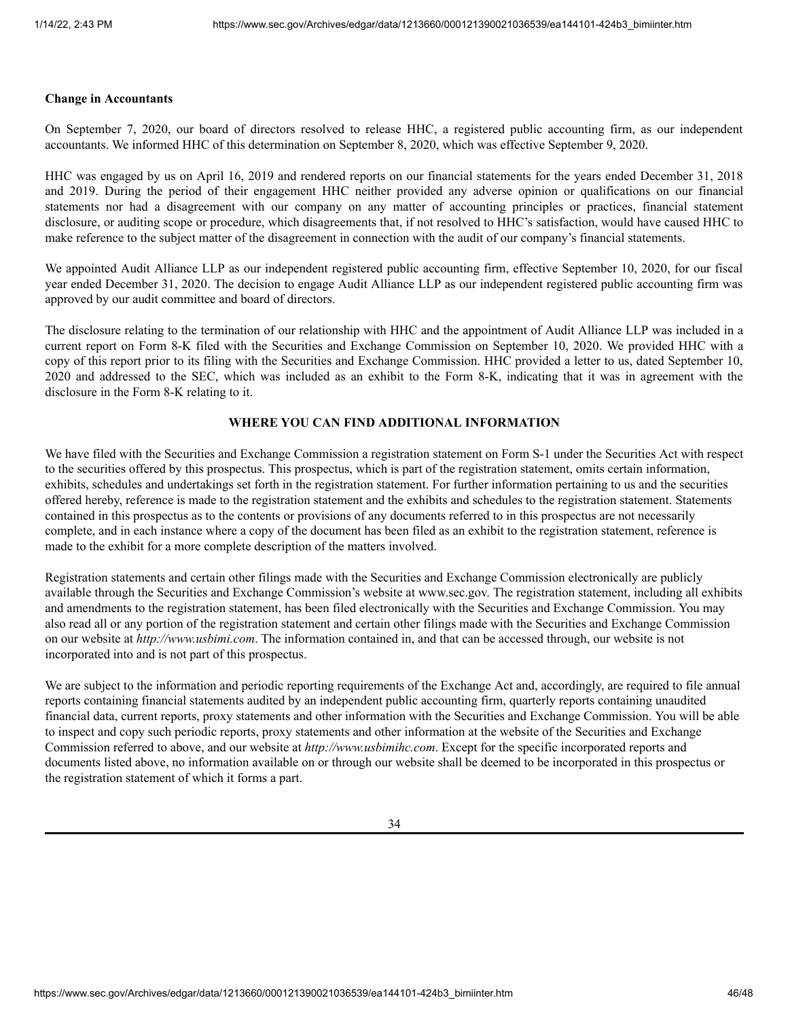#### **Change in Accountants**

On September 7, 2020, our board of directors resolved to release HHC, a registered public accounting firm, as our independent accountants. We informed HHC of this determination on September 8, 2020, which was effective September 9, 2020.

HHC was engaged by us on April 16, 2019 and rendered reports on our financial statements for the years ended December 31, 2018 and 2019. During the period of their engagement HHC neither provided any adverse opinion or qualifications on our financial statements nor had a disagreement with our company on any matter of accounting principles or practices, financial statement disclosure, or auditing scope or procedure, which disagreements that, if not resolved to HHC's satisfaction, would have caused HHC to make reference to the subject matter of the disagreement in connection with the audit of our company's financial statements.

We appointed Audit Alliance LLP as our independent registered public accounting firm, effective September 10, 2020, for our fiscal year ended December 31, 2020. The decision to engage Audit Alliance LLP as our independent registered public accounting firm was approved by our audit committee and board of directors.

The disclosure relating to the termination of our relationship with HHC and the appointment of Audit Alliance LLP was included in a current report on Form 8-K filed with the Securities and Exchange Commission on September 10, 2020. We provided HHC with a copy of this report prior to its filing with the Securities and Exchange Commission. HHC provided a letter to us, dated September 10, 2020 and addressed to the SEC, which was included as an exhibit to the Form 8-K, indicating that it was in agreement with the disclosure in the Form 8-K relating to it.

## **WHERE YOU CAN FIND ADDITIONAL INFORMATION**

<span id="page-45-0"></span>We have filed with the Securities and Exchange Commission a registration statement on Form S-1 under the Securities Act with respect to the securities offered by this prospectus. This prospectus, which is part of the registration statement, omits certain information, exhibits, schedules and undertakings set forth in the registration statement. For further information pertaining to us and the securities offered hereby, reference is made to the registration statement and the exhibits and schedules to the registration statement. Statements contained in this prospectus as to the contents or provisions of any documents referred to in this prospectus are not necessarily complete, and in each instance where a copy of the document has been filed as an exhibit to the registration statement, reference is made to the exhibit for a more complete description of the matters involved.

Registration statements and certain other filings made with the Securities and Exchange Commission electronically are publicly available through the Securities and Exchange Commission's website at www.sec.gov. The registration statement, including all exhibits and amendments to the registration statement, has been filed electronically with the Securities and Exchange Commission. You may also read all or any portion of the registration statement and certain other filings made with the Securities and Exchange Commission on our website at *http://www.usbimi.com*. The information contained in, and that can be accessed through, our website is not incorporated into and is not part of this prospectus.

We are subject to the information and periodic reporting requirements of the Exchange Act and, accordingly, are required to file annual reports containing financial statements audited by an independent public accounting firm, quarterly reports containing unaudited financial data, current reports, proxy statements and other information with the Securities and Exchange Commission. You will be able to inspect and copy such periodic reports, proxy statements and other information at the website of the Securities and Exchange Commission referred to above, and our website at *http://www.usbimihc.com*. Except for the specific incorporated reports and documents listed above, no information available on or through our website shall be deemed to be incorporated in this prospectus or the registration statement of which it forms a part.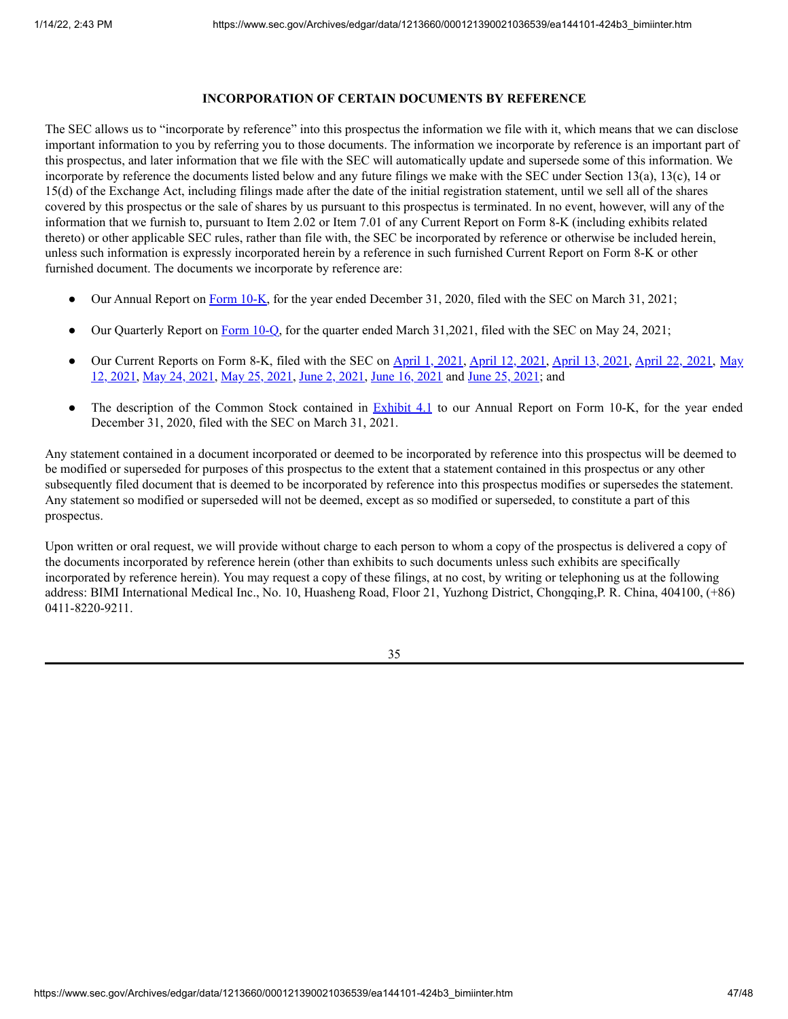## **INCORPORATION OF CERTAIN DOCUMENTS BY REFERENCE**

<span id="page-46-0"></span>The SEC allows us to "incorporate by reference" into this prospectus the information we file with it, which means that we can disclose important information to you by referring you to those documents. The information we incorporate by reference is an important part of this prospectus, and later information that we file with the SEC will automatically update and supersede some of this information. We incorporate by reference the documents listed below and any future filings we make with the SEC under Section 13(a), 13(c), 14 or 15(d) of the Exchange Act, including filings made after the date of the initial registration statement, until we sell all of the shares covered by this prospectus or the sale of shares by us pursuant to this prospectus is terminated. In no event, however, will any of the information that we furnish to, pursuant to Item 2.02 or Item 7.01 of any Current Report on Form 8-K (including exhibits related thereto) or other applicable SEC rules, rather than file with, the SEC be incorporated by reference or otherwise be included herein, unless such information is expressly incorporated herein by a reference in such furnished Current Report on Form 8-K or other furnished document. The documents we incorporate by reference are:

- Our Annual Report on [Form](http://www.sec.gov/Archives/edgar/data/1213660/000121390021019186/f10k2020_boqiinter.htm) 10-K, for the year ended December 31, 2020, filed with the SEC on March 31, 2021;
- Our Quarterly Report on [Form](https://www.sec.gov/Archives/edgar/data/1213660/000121390021028596/f10q0321_boqiinternational.htm) 10-Q, for the quarter ended March 31,2021, filed with the SEC on May 24, 2021;
- Our Current [Reports](https://www.sec.gov/Archives/edgar/data/1213660/000121390021025736/ea140728-8k_boqiinter.htm) on Form 8-K, filed with the SEC on [April](http://www.sec.gov/Archives/edgar/data/1213660/000121390021022567/ea139806-8k_boqiinter.htm) 1, 2021, April 12, 2021, April 13, 2021, April 22, 2021, May 12, 2021, May 24, [2021,](https://www.sec.gov/Archives/edgar/data/1213660/000121390021028599/ea141537-8k_boqiinter.htm) May 25, [2021,](https://www.sec.gov/Archives/edgar/data/1213660/000121390021029069/ea141627-8k_boqiinter.htm) June 2, [2021](https://www.sec.gov/Archives/edgar/data/1213660/000121390021030542/ea141857-8ka1_boqiinter.htm), June 16, [2021](http://www.sec.gov/Archives/edgar/data/1213660/000121390021032639/ea142802-8k_boqiintnl.htm) and June 25, [2021;](http://www.sec.gov/Archives/edgar/data/1213660/000121390021034231/ea143335-8k_boqiintl.htm) and
- The description of the Common Stock contained in **[Exhibit](https://www.sec.gov/Archives/edgar/data/1213660/000121390020012223/f10k2019ex4-1_boqiinter.htm) 4.1** to our Annual Report on Form 10-K, for the year ended December 31, 2020, filed with the SEC on March 31, 2021.

Any statement contained in a document incorporated or deemed to be incorporated by reference into this prospectus will be deemed to be modified or superseded for purposes of this prospectus to the extent that a statement contained in this prospectus or any other subsequently filed document that is deemed to be incorporated by reference into this prospectus modifies or supersedes the statement. Any statement so modified or superseded will not be deemed, except as so modified or superseded, to constitute a part of this prospectus.

Upon written or oral request, we will provide without charge to each person to whom a copy of the prospectus is delivered a copy of the documents incorporated by reference herein (other than exhibits to such documents unless such exhibits are specifically incorporated by reference herein). You may request a copy of these filings, at no cost, by writing or telephoning us at the following address: BIMI International Medical Inc., No. 10, Huasheng Road, Floor 21, Yuzhong District, Chongqing,P. R. China, 404100, (+86) 0411-8220-9211.

35